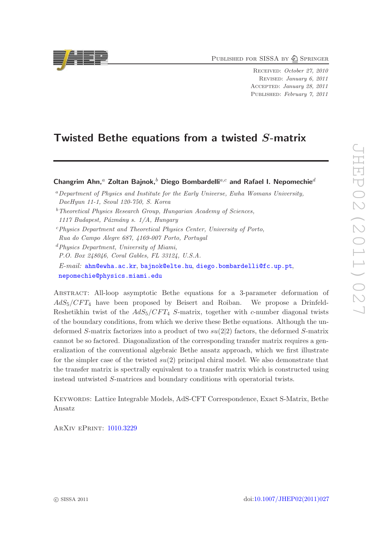PUBLISHED FOR SISSA BY 2 SPRINGER

Received: October 27, 2010 Revised: January 6, 2011 Accepted: January 28, 2011 Published: February 7, 2011

# Twisted Bethe equations from a twisted S-matrix

Changrim Ahn,<sup>a</sup> Zoltan Bajnok,<sup>b</sup> Diego Bombardelli<sup>a,c</sup> and Rafael I. Nepomechie<sup>d</sup>

<sup>b</sup>*Theoretical Physics Research Group, Hungarian Academy of Sciences,*

- <sup>c</sup>*Physics Department and Theoretical Physics Center, University of Porto,*
- *Rua do Campo Alegre 687, 4169-007 Porto, Portugal*
- <sup>d</sup>*Physics Department, University of Miami, P.O. Box 248046, Coral Gables, FL 33124, U.S.A. E-mail:* [ahn@ewha.ac.kr](mailto:ahn@ewha.ac.kr), [bajnok@elte.hu](mailto:bajnok@elte.hu), [diego.bombardelli@fc.up.pt](mailto:diego.bombardelli@fc.up.pt), [nepomechie@physics.miami.edu](mailto:nepomechie@physics.miami.edu)

Abstract: All-loop asymptotic Bethe equations for a 3-parameter deformation of  $AdS_5/CFT_4$  have been proposed by Beisert and Roiban. We propose a Drinfeld-Reshetikhin twist of the  $AdS_5/CFT_4$  S-matrix, together with c-number diagonal twists of the boundary conditions, from which we derive these Bethe equations. Although the undeformed S-matrix factorizes into a product of two  $su(2|2)$  factors, the deformed S-matrix cannot be so factored. Diagonalization of the corresponding transfer matrix requires a generalization of the conventional algebraic Bethe ansatz approach, which we first illustrate for the simpler case of the twisted  $su(2)$  principal chiral model. We also demonstrate that the transfer matrix is spectrally equivalent to a transfer matrix which is constructed using instead untwisted S-matrices and boundary conditions with operatorial twists.

Keywords: Lattice Integrable Models, AdS-CFT Correspondence, Exact S-Matrix, Bethe Ansatz

ArXiv ePrint: [1010.3229](http://arxiv.org/abs/1010.3229)



<sup>a</sup>*Department of Physics and Institute for the Early Universe, Ewha Womans University, DaeHyun 11-1, Seoul 120-750, S. Korea*

*<sup>1117</sup> Budapest, P´azm´any s. 1/A, Hungary*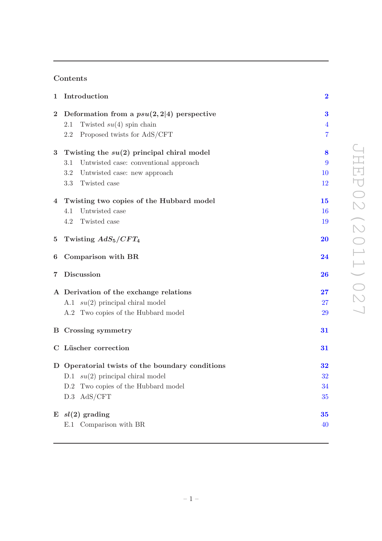# Contents

|                | 1 Introduction                                  | $\boldsymbol{2}$ |  |  |  |  |  |  |  |
|----------------|-------------------------------------------------|------------------|--|--|--|--|--|--|--|
| $\bf{2}$       | Deformation from a $psu(2,2 4)$ perspective     | $\bf{3}$         |  |  |  |  |  |  |  |
|                | Twisted $su(4)$ spin chain<br>2.1               | $\overline{4}$   |  |  |  |  |  |  |  |
|                | Proposed twists for AdS/CFT<br>2.2              | $\overline{7}$   |  |  |  |  |  |  |  |
| 3              | Twisting the $su(2)$ principal chiral model     | 8                |  |  |  |  |  |  |  |
|                | Untwisted case: conventional approach<br>3.1    | 9                |  |  |  |  |  |  |  |
|                | 3.2<br>Untwisted case: new approach             | <b>10</b>        |  |  |  |  |  |  |  |
|                | 3.3 Twisted case                                | 12               |  |  |  |  |  |  |  |
|                | 4 Twisting two copies of the Hubbard model      |                  |  |  |  |  |  |  |  |
|                | Untwisted case<br>4.1                           | <b>16</b>        |  |  |  |  |  |  |  |
|                | Twisted case<br>4.2                             | 19               |  |  |  |  |  |  |  |
|                | 5 Twisting $AdS_5/CFT_4$                        | <b>20</b>        |  |  |  |  |  |  |  |
| 6              | Comparison with BR                              | 24               |  |  |  |  |  |  |  |
| $\overline{7}$ | Discussion                                      | 26               |  |  |  |  |  |  |  |
|                | A Derivation of the exchange relations          |                  |  |  |  |  |  |  |  |
|                | A.1 $su(2)$ principal chiral model              | 27               |  |  |  |  |  |  |  |
|                | A.2 Two copies of the Hubbard model             | <b>29</b>        |  |  |  |  |  |  |  |
|                | <b>B</b> Crossing symmetry                      | 31               |  |  |  |  |  |  |  |
|                | C Lüscher correction                            | 31               |  |  |  |  |  |  |  |
|                | D Operatorial twists of the boundary conditions | 32               |  |  |  |  |  |  |  |
|                | D.1 $su(2)$ principal chiral model              | 32               |  |  |  |  |  |  |  |
|                | Two copies of the Hubbard model<br>D.2          | 34               |  |  |  |  |  |  |  |
|                | AdS/CFT<br>D.3                                  | 35               |  |  |  |  |  |  |  |
|                | $E$ $sl(2)$ grading                             | 35               |  |  |  |  |  |  |  |
|                | E.1 Comparison with BR                          | 40               |  |  |  |  |  |  |  |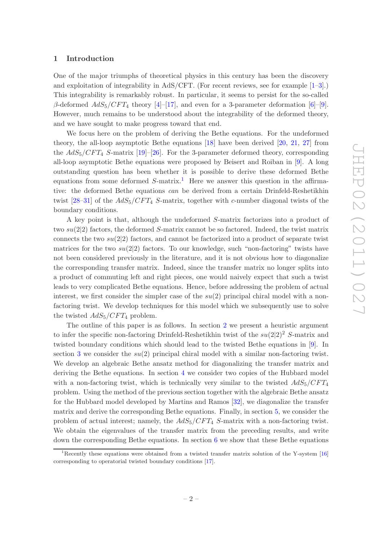#### <span id="page-2-0"></span>1 Introduction

One of the major triumphs of theoretical physics in this century has been the discovery and exploitation of integrability in AdS/CFT. (For recent reviews, see for example [\[1](#page-42-0)[–3](#page-42-1)].) This integrability is remarkably robust. In particular, it seems to persist for the so-called β-deformed  $AdS_5/CFT_4$  theory [\[4\]](#page-42-2)–[\[17](#page-43-0)], and even for a 3-parameter deformation [\[6\]](#page-42-3)–[\[9\]](#page-42-4). However, much remains to be understood about the integrability of the deformed theory, and we have sought to make progress toward that end.

We focus here on the problem of deriving the Bethe equations. For the undeformed theory, the all-loop asymptotic Bethe equations [\[18](#page-43-1)] have been derived [\[20](#page-43-2), [21,](#page-43-3) [27](#page-43-4)] from the  $AdS_5/CFT_4$  S-matrix [\[19\]](#page-43-5)–[\[26](#page-43-6)]. For the 3-parameter deformed theory, corresponding all-loop asymptotic Bethe equations were proposed by Beisert and Roiban in [\[9](#page-42-4)]. A long outstanding question has been whether it is possible to derive these deformed Bethe equations from some deformed  $S$ -matrix.<sup>[1](#page-2-1)</sup> Here we answer this question in the affirmative: the deformed Bethe equations *can* be derived from a certain Drinfeld-Reshetikhin twist  $[28-31]$  of the  $AdS_5/CFT_4$  S-matrix, together with c-number diagonal twists of the boundary conditions.

A key point is that, although the undeformed S-matrix factorizes into a product of two  $su(2|2)$  factors, the deformed S-matrix cannot be so factored. Indeed, the twist matrix connects the two  $su(2|2)$  factors, and cannot be factorized into a product of separate twist matrices for the two  $su(2|2)$  factors. To our knowledge, such "non-factoring" twists have not been considered previously in the literature, and it is not obvious how to diagonalize the corresponding transfer matrix. Indeed, since the transfer matrix no longer splits into a product of commuting left and right pieces, one would naively expect that such a twist leads to very complicated Bethe equations. Hence, before addressing the problem of actual interest, we first consider the simpler case of the  $su(2)$  principal chiral model with a nonfactoring twist. We develop techniques for this model which we subsequently use to solve the twisted  $AdS_5/CFT_4$  problem.

The outline of this paper is as follows. In section [2](#page-3-0) we present a heuristic argument to infer the specific non-factoring Drinfeld-Reshetikhin twist of the  $su(2|2)^2$  S-matrix and twisted boundary conditions which should lead to the twisted Bethe equations in [\[9](#page-42-4)]. In section [3](#page-8-0) we consider the  $su(2)$  principal chiral model with a similar non-factoring twist. We develop an algebraic Bethe ansatz method for diagonalizing the transfer matrix and deriving the Bethe equations. In section [4](#page-15-0) we consider two copies of the Hubbard model with a non-factoring twist, which is technically very similar to the twisted  $AdS_5/CFT_4$ problem. Using the method of the previous section together with the algebraic Bethe ansatz for the Hubbard model developed by Martins and Ramos [\[32](#page-43-9)], we diagonalize the transfer matrix and derive the corresponding Bethe equations. Finally, in section [5,](#page-20-0) we consider the problem of actual interest; namely, the  $AdS_5/CFT_4$  S-matrix with a non-factoring twist. We obtain the eigenvalues of the transfer matrix from the preceding results, and write down the corresponding Bethe equations. In section [6](#page-24-0) we show that these Bethe equations

<span id="page-2-1"></span><sup>&</sup>lt;sup>1</sup>Recently these equations were obtained from a twisted transfer matrix solution of the Y-system  $[16]$ corresponding to operatorial twisted boundary conditions [\[17](#page-43-0)].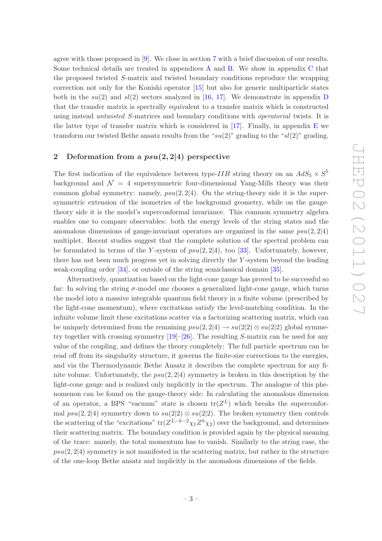agree with those proposed in [\[9](#page-42-4)]. We close in section [7](#page-26-0) with a brief discussion of our results. Some technical details are treated in appendices [A](#page-27-0) and [B.](#page-31-0) We show in appendix [C](#page-31-1) that the proposed twisted S-matrix and twisted boundary conditions reproduce the wrapping correction not only for the Konishi operator [\[15\]](#page-42-5) but also for generic multiparticle states both in the  $su(2)$  and  $sl(2)$  sectors analyzed in [\[16](#page-43-10), [17\]](#page-43-0). We demonstrate in appendix [D](#page-32-0) that the transfer matrix is spectrally equivalent to a transfer matrix which is constructed using instead *untwisted* S-matrices and boundary conditions with *operatorial* twists. It is the latter type of transfer matrix which is considered in  $[17]$ . Finally, in appendix [E](#page-35-1) we transform our twisted Bethe ansatz results from the " $su(2)$ " grading to the " $sl(2)$ " grading.

# <span id="page-3-0"></span>2 Deformation from a  $psu(2, 2|4)$  perspective

The first indication of the equivalence between type-*IIB* string theory on an  $AdS_5 \times S^5$ background and  $\mathcal{N} = 4$  supersymmetric four-dimensional Yang-Mills theory was their common global symmetry: namely,  $psu(2, 2|4)$ . On the string-theory side it is the supersymmetric extension of the isometries of the background geometry, while on the gaugetheory side it is the model's superconformal invariance. This common symmetry algebra enables one to compare observables: both the energy levels of the string states and the anomalous dimensions of gauge-invariant operators are organized in the same  $psu(2, 2|4)$ multiplet. Recent studies suggest that the complete solution of the spectral problem can be formulated in terms of the Y-system of  $psu(2, 2|4)$ , too [\[33](#page-43-11)]. Unfortunately, however, there has not been much progress yet in solving directly the Y -system beyond the leading weak-coupling order [\[34\]](#page-43-12), or outside of the string semiclassical domain [\[35](#page-43-13)].

Alternatively, quantization based on the light-cone gauge has proved to be successful so far: In solving the string σ-model one chooses a generalized light-cone gauge, which turns the model into a massive integrable quantum field theory in a finite volume (prescribed by the light-cone momentum), where excitations satisfy the level-matching condition. In the infinite volume limit these excitations scatter via a factorizing scattering matrix, which can be uniquely determined from the remaining  $psu(2, 2|4) \rightarrow su(2|2) \otimes su(2|2)$  global symmetry together with crossing symmetry [\[19\]](#page-43-5)–[\[26](#page-43-6)]. The resulting S-matrix can be used for any value of the coupling, and defines the theory completely: The full particle spectrum can be read off from its singularity structure, it governs the finite-size corrections to the energies, and via the Thermodynamic Bethe Ansatz it describes the complete spectrum for any finite volume. Unfortunately, the  $psu(2, 2|4)$  symmetry is broken in this description by the light-cone gauge and is realized only implicitly in the spectrum. The analogue of this phenomenon can be found on the gauge-theory side: In calculating the anomalous dimension of an operator, a BPS "vacuum" state is chosen  $tr(Z^L)$  which breaks the superconformal  $psu(2, 2|4)$  symmetry down to  $su(2|2) \otimes su(2|2)$ . The broken symmetry then controls the scattering of the "excitations"  $tr(Z^{L-k-2}\chi_1 Z^k \chi_2)$  over the background, and determines their scattering matrix. The boundary condition is provided again by the physical meaning of the trace: namely, the total momentum has to vanish. Similarly to the string case, the  $psu(2, 2|4)$  symmetry is not manifested in the scattering matrix, but rather in the structure of the one-loop Bethe ansatz and implicitly in the anomalous dimensions of the fields.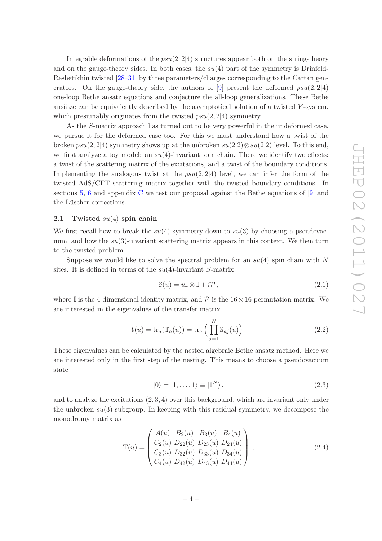Integrable deformations of the  $psu(2, 2|4)$  structures appear both on the string-theory and on the gauge-theory sides. In both cases, the  $su(4)$  part of the symmetry is Drinfeld-Reshetikhin twisted [\[28](#page-43-7)[–31](#page-43-8)] by three parameters/charges corresponding to the Cartan generators. On the gauge-theory side, the authors of  $[9]$  present the deformed  $psu(2, 2|4)$ one-loop Bethe ansatz equations and conjecture the all-loop generalizations. These Bethe ansätze can be equivalently described by the asymptotical solution of a twisted  $Y$ -system, which presumably originates from the twisted  $psu(2, 2|4)$  symmetry.

As the S-matrix approach has turned out to be very powerful in the undeformed case, we pursue it for the deformed case too. For this we must understand how a twist of the broken  $psu(2, 2|4)$  symmetry shows up at the unbroken  $su(2|2) \otimes su(2|2)$  level. To this end, we first analyze a toy model: an  $su(4)$ -invariant spin chain. There we identify two effects: a twist of the scattering matrix of the excitations, and a twist of the boundary conditions. Implementing the analogous twist at the  $psu(2, 2|4)$  level, we can infer the form of the twisted AdS/CFT scattering matrix together with the twisted boundary conditions. In sections [5,](#page-20-0) [6](#page-24-0) and appendix [C](#page-31-1) we test our proposal against the Bethe equations of [\[9](#page-42-4)] and the Lüscher corrections.

#### <span id="page-4-0"></span>2.1 Twisted  $su(4)$  spin chain

We first recall how to break the  $su(4)$  symmetry down to  $su(3)$  by choosing a pseudovacuum, and how the  $su(3)$ -invariant scattering matrix appears in this context. We then turn to the twisted problem.

Suppose we would like to solve the spectral problem for an  $su(4)$  spin chain with N sites. It is defined in terms of the  $su(4)$ -invariant S-matrix

$$
\mathbb{S}(u) = u\mathbb{I} \otimes \mathbb{I} + i\mathcal{P},\tag{2.1}
$$

where I is the 4-dimensional identity matrix, and P is the  $16 \times 16$  permutation matrix. We are interested in the eigenvalues of the transfer matrix

$$
t(u) = tr_a(\mathbb{T}_a(u)) = tr_a\left(\prod_{j=1}^N \mathbb{S}_{aj}(u)\right).
$$
 (2.2)

These eigenvalues can be calculated by the nested algebraic Bethe ansatz method. Here we are interested only in the first step of the nesting. This means to choose a pseudovacuum state

$$
|0\rangle = |1, \dots, 1\rangle \equiv |1^N\rangle, \qquad (2.3)
$$

and to analyze the excitations  $(2, 3, 4)$  over this background, which are invariant only under the unbroken  $su(3)$  subgroup. In keeping with this residual symmetry, we decompose the monodromy matrix as

$$
\mathbb{T}(u) = \begin{pmatrix} A(u) & B_2(u) & B_3(u) & B_4(u) \\ C_2(u) & D_{22}(u) & D_{23}(u) & D_{24}(u) \\ C_3(u) & D_{32}(u) & D_{33}(u) & D_{34}(u) \\ C_4(u) & D_{42}(u) & D_{43}(u) & D_{44}(u) \end{pmatrix},
$$
\n(2.4)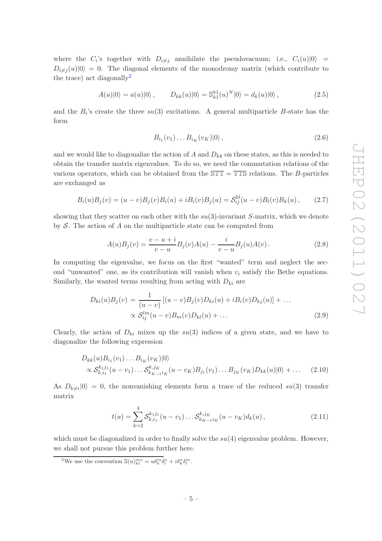where the  $C_i$ 's together with  $D_{i \neq j}$  annihilate the pseudovacuum; i.e.,  $C_i(u)|0\rangle =$  $D_{i\neq j}(u)|0\rangle = 0$ . The diagonal elements of the monodromy matrix (which contribute to the trace) act diagonally<sup>[2](#page-5-0)</sup>

$$
A(u)|0\rangle = a(u)|0\rangle, \qquad D_{kk}(u)|0\rangle = \mathbb{S}_{k1}^{k1}(u)^N|0\rangle = d_k(u)|0\rangle, \qquad (2.5)
$$

and the  $B_i$ 's create the three  $su(3)$  excitations. A general multiparticle B-state has the form

$$
B_{i_1}(v_1)\dots B_{i_K}(v_K)|0\rangle\,,\tag{2.6}
$$

and we would like to diagonalize the action of A and  $D_{kk}$  on these states, as this is needed to obtain the transfer matrix eigenvalues. To do so, we need the commutation relations of the various operators, which can be obtained from the  $T = TTS$  relations. The B-particles are exchanged as

$$
B_i(u)B_j(v) = (u-v)B_j(v)B_i(u) + iB_i(v)B_j(u) = \mathcal{S}_{ij}^{kl}(u-v)B_l(v)B_k(u), \qquad (2.7)
$$

showing that they scatter on each other with the  $su(3)$ -invariant S-matrix, which we denote by  $S$ . The action of  $A$  on the multiparticle state can be computed from

$$
A(u)B_j(v) = \frac{v - u + i}{v - u}B_j(v)A(u) - \frac{i}{v - u}B_j(u)A(v).
$$
 (2.8)

In computing the eigenvalue, we focus on the first "wanted" term and neglect the second "unwanted" one, as its contribution will vanish when  $v_i$  satisfy the Bethe equations. Similarly, the wanted terms resulting from acting with  $D_{ki}$  are

$$
D_{ki}(u)B_j(v) = \frac{1}{(u-v)} [(u-v)B_j(v)D_{ki}(u) + iB_i(v)D_{kj}(u)] + \dots
$$
  
 
$$
\propto S_{ij}^{lm}(u-v)B_m(v)D_{kl}(u) + \dots
$$
 (2.9)

Clearly, the action of  $D_{ki}$  mixes up the  $su(3)$  indices of a given state, and we have to diagonalize the following expression

$$
D_{kk}(u)B_{i_1}(v_1)\dots B_{i_K}(v_K)|0\rangle
$$
  
 
$$
\propto \mathcal{S}_{k,i_1}^{k_1j_1}(u-v_1)\dots \mathcal{S}_{k_{K-1}i_K}^{k,j_K}(u-v_K)B_{j_1}(v_1)\dots B_{j_K}(v_K)D_{kk}(u)|0\rangle + \dots
$$
 (2.10)

As  $D_{k\neq i}|0\rangle = 0$ , the nonvanishing elements form a trace of the reduced  $su(3)$  transfer matrix

$$
t(u) = \sum_{k=2}^{4} \mathcal{S}_{k,i_1}^{k_1 j_1} (u - v_1) \dots \mathcal{S}_{k_{K-1} i_K}^{k,j_K} (u - v_K) d_k(u), \qquad (2.11)
$$

which must be diagonalized in order to finally solve the  $su(4)$  eigenvalue problem. However, we shall not pursue this problem further here.

<span id="page-5-0"></span><sup>&</sup>lt;sup>2</sup>We use the convention  $\mathcal{S}(u)_{kl}^{mn} = u \delta_k^m \delta_l^n + i \delta_k^n \delta_l^m$ .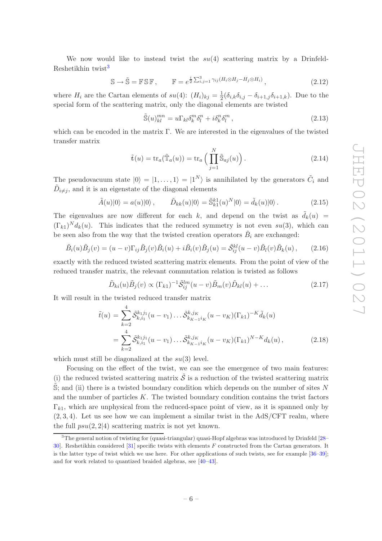We now would like to instead twist the  $su(4)$  scattering matrix by a Drinfeld-Reshetikhin twist<sup>[3](#page-6-0)</sup>

$$
\mathbb{S} \to \tilde{\mathbb{S}} = \mathbb{F} \mathbb{S} \mathbb{F}, \qquad \mathbb{F} = e^{\frac{i}{2} \sum_{i,j=1}^{3} \gamma_{ij} (H_i \otimes H_j - H_j \otimes H_i)}, \tag{2.12}
$$

where  $H_i$  are the Cartan elements of  $su(4)$ :  $(H_i)_{kj} = \frac{1}{2}$  $\frac{1}{2}(\delta_{i,k}\delta_{i,j}-\delta_{i+1,j}\delta_{i+1,k})$ . Due to the special form of the scattering matrix, only the diagonal elements are twisted

$$
\tilde{\mathbb{S}}(u)_{kl}^{mn} = u\Gamma_{kl}\delta_k^m \delta_l^n + i\delta_k^n \delta_l^m , \qquad (2.13)
$$

which can be encoded in the matrix Γ. We are interested in the eigenvalues of the twisted transfer matrix

$$
\tilde{\mathbf{t}}(u) = \text{tr}_a(\tilde{\mathbb{T}}_a(u)) = \text{tr}_a\left(\prod_{j=1}^N \tilde{\mathbb{S}}_{aj}(u)\right). \tag{2.14}
$$

The pseudovacuum state  $|0\rangle = |1, \ldots, 1\rangle = |1^N\rangle$  is annihilated by the generators  $\tilde{C}_i$  and  $\tilde{D}_{i \neq j}$ , and it is an eigenstate of the diagonal elements

$$
\tilde{A}(u)|0\rangle = a(u)|0\rangle, \qquad \tilde{D}_{kk}(u)|0\rangle = \tilde{\mathbb{S}}_{k1}^{k1}(u)^N|0\rangle = \tilde{d}_k(u)|0\rangle. \tag{2.15}
$$

The eigenvalues are now different for each k, and depend on the twist as  $\tilde{d}_k(u)$  =  $(\Gamma_{k1})^N d_k(u)$ . This indicates that the reduced symmetry is not even su(3), which can be seen also from the way that the twisted creation operators  $\tilde{B}_i$  are exchanged:

$$
\tilde{B}_i(u)\tilde{B}_j(v) = (u-v)\Gamma_{ij}\tilde{B}_j(v)\tilde{B}_i(u) + i\tilde{B}_i(v)\tilde{B}_j(u) = \tilde{\mathcal{S}}_{ij}^{kl}(u-v)\tilde{B}_l(v)\tilde{B}_k(u), \qquad (2.16)
$$

exactly with the reduced twisted scattering matrix elements. From the point of view of the reduced transfer matrix, the relevant commutation relation is twisted as follows

$$
\tilde{D}_{ki}(u)\tilde{B}_j(v) \propto (\Gamma_{k1})^{-1}\tilde{\mathcal{S}}_{ij}^{lm}(u-v)\tilde{B}_m(v)\tilde{D}_{kl}(u) + \dots \qquad (2.17)
$$

It will result in the twisted reduced transfer matrix

$$
\tilde{t}(u) = \sum_{k=2}^{4} \tilde{\mathcal{S}}_{k,i_1}^{k_1 j_1} (u - v_1) \dots \tilde{\mathcal{S}}_{k_{K-1} i_K}^{k, j_K} (u - v_K) (\Gamma_{k1})^{-K} \tilde{d}_k(u)
$$
\n
$$
= \sum_{k=2}^{4} \tilde{\mathcal{S}}_{k,i_1}^{k_1 j_1} (u - v_1) \dots \tilde{\mathcal{S}}_{k_{K-1} i_K}^{k, j_K} (u - v_K) (\Gamma_{k1})^{N-K} d_k(u), \tag{2.18}
$$

which must still be diagonalized at the  $su(3)$  level.

Focusing on the effect of the twist, we can see the emergence of two main features: (i) the reduced twisted scattering matrix  $\tilde{\mathcal{S}}$  is a reduction of the twisted scattering matrix  $\mathbb{S}$ ; and (ii) there is a twisted boundary condition which depends on the number of sites N and the number of particles  $K$ . The twisted boundary condition contains the twist factors  $\Gamma_{k1}$ , which are unphysical from the reduced-space point of view, as it is spanned only by  $(2,3,4)$ . Let us see how we can implement a similar twist in the AdS/CFT realm, where the full  $psu(2, 2|4)$  scattering matrix is not yet known.

<span id="page-6-0"></span><sup>&</sup>lt;sup>3</sup>The general notion of twisting for (quasi-triangular) quasi-Hopf algebras was introduced by Drinfeld [\[28](#page-43-7)– [30](#page-43-14)]. Reshetikhin considered [\[31](#page-43-8)] specific twists with elements F constructed from the Cartan generators. It is the latter type of twist which we use here. For other applications of such twists, see for example [\[36](#page-44-0)[–39\]](#page-44-1); and for work related to quantized braided algebras, see [\[40](#page-44-2)[–43](#page-44-3)].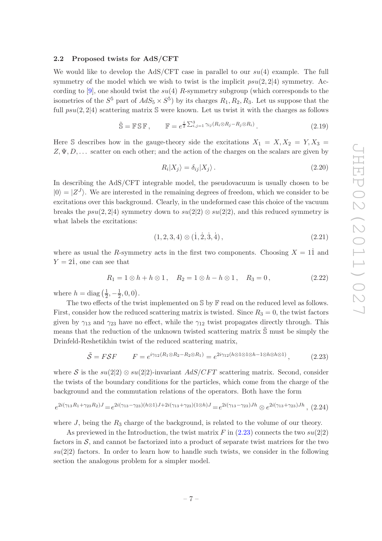#### <span id="page-7-0"></span>2.2 Proposed twists for AdS/CFT

We would like to develop the AdS/CFT case in parallel to our  $su(4)$  example. The full symmetry of the model which we wish to twist is the implicit  $psu(2, 2|4)$  symmetry. According to  $[9]$ , one should twist the  $su(4)$  R-symmetry subgroup (which corresponds to the isometries of the  $S^5$  part of  $AdS_5 \times S^5$  by its charges  $R_1, R_2, R_3$ . Let us suppose that the full  $psu(2, 2|4)$  scattering matrix S were known. Let us twist it with the charges as follows

$$
\tilde{\mathbb{S}} = \mathbb{F} \mathbb{S} \mathbb{F}, \qquad \mathbb{F} = e^{\frac{i}{2} \sum_{i,j=1}^{3} \gamma_{ij} (R_i \otimes R_j - R_j \otimes R_i)}.
$$
\n(2.19)

Here S describes how in the gauge-theory side the excitations  $X_1 = X, X_2 = Y, X_3 =$  $Z, \Psi, D, \ldots$  scatter on each other; and the action of the charges on the scalars are given by

$$
R_i|X_j\rangle = \delta_{ij}|X_j\rangle. \tag{2.20}
$$

In describing the AdS/CFT integrable model, the pseudovacuum is usually chosen to be  $|0\rangle = |Z^{J}\rangle$ . We are interested in the remaining degrees of freedom, which we consider to be excitations over this background. Clearly, in the undeformed case this choice of the vacuum breaks the  $psu(2, 2|4)$  symmetry down to  $su(2|2) \otimes su(2|2)$ , and this reduced symmetry is what labels the excitations:

$$
(1,2,3,4) \otimes (\dot{1},\dot{2},\dot{3},\dot{4}), \qquad (2.21)
$$

where as usual the R-symmetry acts in the first two components. Choosing  $X = 11$  and  $Y = 2\dot{1}$ , one can see that

$$
R_1 = 1 \otimes h + h \otimes 1, \quad R_2 = 1 \otimes h - h \otimes 1, \quad R_3 = 0,
$$
\n(2.22)

where  $h = \text{diag}\left(\frac{1}{2}\right)$  $\frac{1}{2}, -\frac{1}{2}$  $\frac{1}{2}, 0, 0).$ 

The two effects of the twist implemented on  $\mathbb S$  by  $\mathbb F$  read on the reduced level as follows. First, consider how the reduced scattering matrix is twisted. Since  $R_3 = 0$ , the twist factors given by  $\gamma_{13}$  and  $\gamma_{23}$  have no effect, while the  $\gamma_{12}$  twist propagates directly through. This means that the reduction of the unknown twisted scattering matrix  $\hat{S}$  must be simply the Drinfeld-Reshetikhin twist of the reduced scattering matrix,

<span id="page-7-1"></span>
$$
\tilde{S} = FSF \qquad F = e^{i\gamma_{12}(R_1 \otimes R_2 - R_2 \otimes R_1)} = e^{2i\gamma_{12}(h \otimes 1 \otimes 1 \otimes h - 1 \otimes h \otimes h \otimes 1)}, \tag{2.23}
$$

where S is the  $su(2|2) \otimes su(2|2)$ -invariant  $AdS/CFT$  scattering matrix. Second, consider the twists of the boundary conditions for the particles, which come from the charge of the background and the commutation relations of the operators. Both have the form

<span id="page-7-2"></span>
$$
e^{2i(\gamma_{13}R_1+\gamma_{23}R_2)J} = e^{2i(\gamma_{13}-\gamma_{23})(h\otimes 1)J+2i(\gamma_{13}+\gamma_{23})(1\otimes h)J} = e^{2i(\gamma_{13}-\gamma_{23})Jh} \otimes e^{2i(\gamma_{13}+\gamma_{23})Jh},
$$
 (2.24)

where  $J$ , being the  $R_3$  charge of the background, is related to the volume of our theory.

As previewed in the Introduction, the twist matrix F in  $(2.23)$  connects the two  $su(2|2)$ factors in  $S$ , and cannot be factorized into a product of separate twist matrices for the two  $su(2|2)$  factors. In order to learn how to handle such twists, we consider in the following section the analogous problem for a simpler model.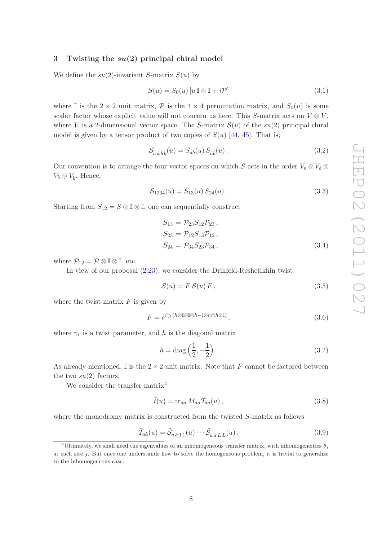# <span id="page-8-0"></span>3 Twisting the  $su(2)$  principal chiral model

We define the  $su(2)$ -invariant S-matrix  $S(u)$  by

$$
S(u) = S_0(u) \left[ u \mathbb{I} \otimes \mathbb{I} + i \mathcal{P} \right] \tag{3.1}
$$

where I is the  $2 \times 2$  unit matrix, P is the  $4 \times 4$  permutation matrix, and  $S_0(u)$  is some scalar factor whose explicit value will not concern us here. This S-matrix acts on  $V \otimes V$ , where V is a 2-dimensional vector space. The S-matrix  $\mathcal{S}(u)$  of the su(2) principal chiral model is given by a tensor product of two copies of  $S(u)$  [\[44](#page-44-4), [45](#page-44-5)]. That is,

$$
\mathcal{S}_{a\dot{a}b\dot{b}}(u) = S_{ab}(u) S_{\dot{a}\dot{b}}(u) \,. \tag{3.2}
$$

Our convention is to arrange the four vector spaces on which S acts in the order  $V_a \otimes V_a \otimes V_a$  $V_b \otimes V_{\dot{b}}$ . Hence,

$$
S_{1234}(u) = S_{13}(u) S_{24}(u).
$$
\n(3.3)

Starting from  $S_{12} = S \otimes \mathbb{I} \otimes \mathbb{I}$ , one can sequentially construct

$$
S_{13} = P_{23} S_{12} P_{23},
$$
  
\n
$$
S_{23} = P_{12} S_{13} P_{12},
$$
  
\n
$$
S_{24} = P_{34} S_{23} P_{34},
$$
\n(3.4)

where  $\mathcal{P}_{12} = \mathcal{P} \otimes \mathbb{I} \otimes \mathbb{I}$ , etc.

In view of our proposal [\(2.23\)](#page-7-1), we consider the Drinfeld-Reshetikhin twist

$$
\tilde{\mathcal{S}}(u) = F \mathcal{S}(u) F, \qquad (3.5)
$$

where the twist matrix  $F$  is given by

<span id="page-8-4"></span>
$$
F = e^{i\gamma_1(h\otimes \mathbb{I}\otimes \mathbb{I}\otimes h - \mathbb{I}\otimes h\otimes h\otimes \mathbb{I})},\tag{3.6}
$$

where  $\gamma_1$  is a twist parameter, and h is the diagonal matrix

$$
h = \text{diag}\left(\frac{1}{2}, -\frac{1}{2}\right). \tag{3.7}
$$

As already mentioned,  $\mathbb{I}$  is the  $2 \times 2$  unit matrix. Note that F cannot be factored between the two  $su(2)$  factors.

We consider the transfer matrix<sup>[4](#page-8-1)</sup>

<span id="page-8-2"></span>
$$
\tilde{t}(u) = \text{tr}_{a\dot{a}} M_{a\dot{a}} \tilde{T}_{a\dot{a}}(u) , \qquad (3.8)
$$

where the monodromy matrix is constructed from the twisted S-matrix as follows

<span id="page-8-3"></span>
$$
\tilde{\mathcal{T}}_{a\dot{a}}(u) = \tilde{\mathcal{S}}_{a\,\dot{a}\,1\,\dot{1}}(u) \cdots \tilde{\mathcal{S}}_{a\,\dot{a}\,L\,\dot{L}}(u) \,. \tag{3.9}
$$

<span id="page-8-1"></span><sup>&</sup>lt;sup>4</sup>Ultimately, we shall need the eigenvalues of an inhomogeneous transfer matrix, with inhomogeneities  $\theta_j$ at each site j. But once one understands how to solve the homogeneous problem, it is trivial to generalize to the inhomogeneous case.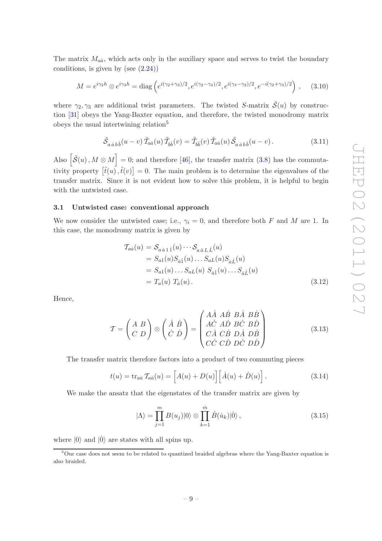The matrix  $M_{a\dot{a}}$ , which acts only in the auxiliary space and serves to twist the boundary conditions, is given by (see  $(2.24)$ )

<span id="page-9-5"></span>
$$
M = e^{i\gamma_2 h} \otimes e^{i\gamma_3 h} = \text{diag}\left(e^{i(\gamma_2 + \gamma_3)/2}, e^{i(\gamma_2 - \gamma_3)/2}, e^{i(\gamma_3 - \gamma_2)/2}, e^{-i(\gamma_2 + \gamma_3)/2}\right), \quad (3.10)
$$

where  $\gamma_2, \gamma_3$  are additional twist parameters. The twisted S-matrix  $\tilde{\mathcal{S}}(u)$  by construction [\[31](#page-43-8)] obeys the Yang-Baxter equation, and therefore, the twisted monodromy matrix obeys the usual intertwining relation<sup>[5](#page-9-1)</sup>

$$
\tilde{S}_{a\dot{a}b\dot{b}}(u-v)\tilde{T}_{a\dot{a}}(u)\tilde{T}_{b\dot{b}}(v) = \tilde{T}_{b\dot{b}}(v)\tilde{T}_{a\dot{a}}(u)\tilde{S}_{a\dot{a}b\dot{b}}(u-v).
$$
\n(3.11)

Also  $\left[\tilde{S}(u), M \otimes M\right] = 0$ ; and therefore [\[46\]](#page-44-6), the transfer matrix [\(3.8\)](#page-8-2) has the commutativity property  $[\tilde{t}(u),\tilde{t}(v)]=0$ . The main problem is to determine the eigenvalues of the transfer matrix. Since it is not evident how to solve this problem, it is helpful to begin with the untwisted case.

## <span id="page-9-0"></span>3.1 Untwisted case: conventional approach

We now consider the untwisted case; i.e.,  $\gamma_i = 0$ , and therefore both F and M are 1. In this case, the monodromy matrix is given by

<span id="page-9-4"></span>
$$
T_{a\dot{a}}(u) = S_{a\dot{a}1\dot{1}}(u) \cdots S_{a\dot{a}L\dot{L}}(u)
$$
  
\n
$$
= S_{a1}(u)S_{\dot{a}1}(u) \cdots S_{aL}(u)S_{\dot{a}\dot{L}}(u)
$$
  
\n
$$
= S_{a1}(u) \cdots S_{aL}(u) S_{\dot{a}1}(u) \cdots S_{\dot{a}\dot{L}}(u)
$$
  
\n
$$
= T_a(u) T_{\dot{a}}(u) .
$$
 (3.12)

Hence,

<span id="page-9-2"></span>
$$
\mathcal{T} = \begin{pmatrix} A & B \\ C & D \end{pmatrix} \otimes \begin{pmatrix} \dot{A} & \dot{B} \\ \dot{C} & \dot{D} \end{pmatrix} = \begin{pmatrix} A\dot{A} & A\dot{B} & B\dot{A} & B\dot{B} \\ A\dot{C} & A\dot{D} & B\dot{C} & B\dot{D} \\ C\dot{A} & C\dot{B} & D\dot{A} & D\dot{B} \\ C\dot{C} & C\dot{D} & D\dot{C} & D\dot{D} \end{pmatrix} \tag{3.13}
$$

The transfer matrix therefore factors into a product of two commuting pieces

$$
t(u) = \text{tr}_{a\dot{a}} \, \mathcal{T}_{a\dot{a}}(u) = \left[ A(u) + D(u) \right] \left[ \dot{A}(u) + \dot{D}(u) \right]. \tag{3.14}
$$

We make the ansatz that the eigenstates of the transfer matrix are given by

<span id="page-9-3"></span>
$$
|\Lambda\rangle = \prod_{j=1}^{m} B(u_j)|0\rangle \otimes \prod_{k=1}^{\dot{m}} \dot{B}(\dot{u}_k)|0\rangle, \qquad (3.15)
$$

where  $|0\rangle$  and  $|0\rangle$  are states with all spins up.

<span id="page-9-1"></span><sup>&</sup>lt;sup>5</sup>Our case does not seem to be related to quantized braided algebras where the Yang-Baxter equation is also braided.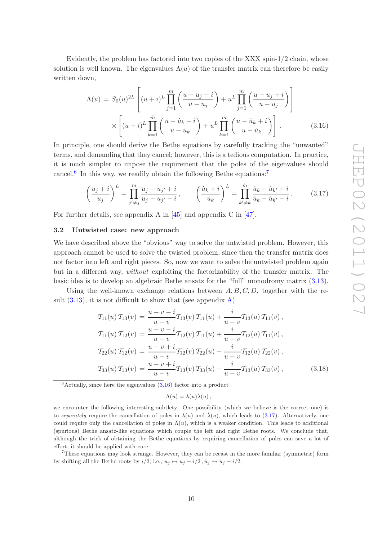Evidently, the problem has factored into two copies of the XXX spin-1/2 chain, whose solution is well known. The eigenvalues  $\Lambda(u)$  of the transfer matrix can therefore be easily written down,

<span id="page-10-3"></span>
$$
\Lambda(u) = S_0(u)^{2L} \left[ (u+i)^L \prod_{j=1}^m \left( \frac{u-u_j-i}{u-u_j} \right) + u^L \prod_{j=1}^m \left( \frac{u-u_j+i}{u-u_j} \right) \right]
$$

$$
\times \left[ (u+i)^L \prod_{k=1}^m \left( \frac{u-i_k-i}{u-i_k} \right) + u^L \prod_{k=1}^m \left( \frac{u-i_k+i}{u-i_k} \right) \right].
$$
(3.16)

In principle, one should derive the Bethe equations by carefully tracking the "unwanted" terms, and demanding that they cancel; however, this is a tedious computation. In practice, it is much simpler to impose the requirement that the poles of the eigenvalues should cancel.<sup>[6](#page-10-1)</sup> In this way, we readily obtain the following Bethe equations:<sup>[7](#page-10-2)</sup>

$$
\left(\frac{u_j+i}{u_j}\right)^L = \prod_{j'\neq j}^m \frac{u_j - u_{j'}+i}{u_j - u_{j'}-i}, \qquad \left(\frac{\dot{u}_k+i}{\dot{u}_k}\right)^L = \prod_{k'\neq k}^m \frac{\dot{u}_k - \dot{u}_{k'}+i}{\dot{u}_k - \dot{u}_{k'}-i}.
$$
 (3.17)

<span id="page-10-0"></span>For further details, see appendix A in [\[45\]](#page-44-5) and appendix C in [\[47\]](#page-44-7).

#### 3.2 Untwisted case: new approach

We have described above the "obvious" way to solve the untwisted problem. However, this approach cannot be used to solve the twisted problem, since then the transfer matrix does not factor into left and right pieces. So, now we want to solve the untwisted problem again but in a different way, *without* exploiting the factorizability of the transfer matrix. The basic idea is to develop an algebraic Bethe ansatz for the "full" monodromy matrix [\(3.13\)](#page-9-2).

Using the well-known exchange relations between  $A, B, C, D$ , together with the result  $(3.13)$ , it is not difficult to show that (see appendix [A\)](#page-27-0)

<span id="page-10-5"></span>
$$
T_{11}(u) T_{13}(v) = \frac{u - v - i}{u - v} T_{13}(v) T_{11}(u) + \frac{i}{u - v} T_{13}(u) T_{11}(v),
$$
  
\n
$$
T_{11}(u) T_{12}(v) = \frac{u - v - i}{u - v} T_{12}(v) T_{11}(u) + \frac{i}{u - v} T_{12}(u) T_{11}(v),
$$
  
\n
$$
T_{22}(u) T_{12}(v) = \frac{u - v + i}{u - v} T_{12}(v) T_{22}(u) - \frac{i}{u - v} T_{12}(u) T_{22}(v),
$$
  
\n
$$
T_{33}(u) T_{13}(v) = \frac{u - v + i}{u - v} T_{13}(v) T_{33}(u) - \frac{i}{u - v} T_{13}(u) T_{33}(v),
$$
\n(3.18)

<span id="page-10-1"></span> $6$ Actually, since here the eigenvalues  $(3.16)$  factor into a product

<span id="page-10-4"></span>
$$
\Lambda(u) = \lambda(u)\dot{\lambda}(u)\,,
$$

we encounter the following interesting subtlety. One possibility (which we believe is the correct one) is to separately require the cancellation of poles in  $\lambda(u)$  and  $\dot{\lambda}(u)$ , which leads to [\(3.17\)](#page-10-4). Alternatively, one could require only the cancellation of poles in  $\Lambda(u)$ , which is a weaker condition. This leads to additional (spurious) Bethe ansatz-like equations which couple the left and right Bethe roots. We conclude that, although the trick of obtaining the Bethe equations by requiring cancellation of poles can save a lot of effort, it should be applied with care.

<span id="page-10-2"></span><sup>7</sup>These equations may look strange. However, they can be recast in the more familiar (symmetric) form by shifting all the Bethe roots by  $i/2$ ; i.e.,  $u_i \mapsto u_j - i/2$ ,  $\dot{u}_i \mapsto \dot{u}_i - i/2$ .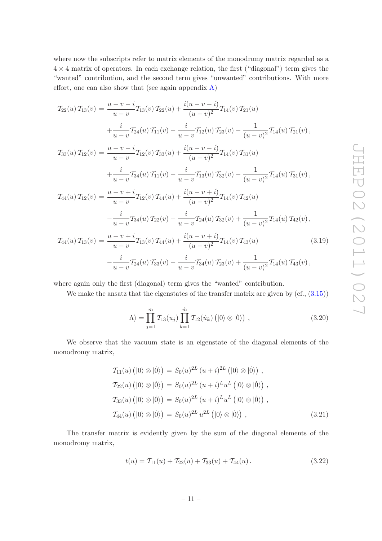where now the subscripts refer to matrix elements of the monodromy matrix regarded as a  $4 \times 4$  matrix of operators. In each exchange relation, the first ("diagonal") term gives the "wanted" contribution, and the second term gives "unwanted" contributions. With more effort, one can also show that (see again appendix  $A$ )

<span id="page-11-1"></span>
$$
T_{22}(u) T_{13}(v) = \frac{u - v - i}{u - v} T_{13}(v) T_{22}(u) + \frac{i(u - v - i)}{(u - v)^2} T_{14}(v) T_{21}(u)
$$
  
+ 
$$
\frac{i}{u - v} T_{24}(u) T_{11}(v) - \frac{i}{u - v} T_{12}(u) T_{23}(v) - \frac{1}{(u - v)^2} T_{14}(u) T_{21}(v),
$$
  

$$
T_{33}(u) T_{12}(v) = \frac{u - v - i}{u - v} T_{12}(v) T_{33}(u) + \frac{i(u - v - i)}{(u - v)^2} T_{14}(v) T_{31}(u)
$$
  
+ 
$$
\frac{i}{u - v} T_{34}(u) T_{11}(v) - \frac{i}{u - v} T_{13}(u) T_{32}(v) - \frac{1}{(u - v)^2} T_{14}(u) T_{31}(v),
$$
  

$$
T_{44}(u) T_{12}(v) = \frac{u - v + i}{u - v} T_{12}(v) T_{44}(u) + \frac{i(u - v + i)}{(u - v)^2} T_{14}(v) T_{42}(u)
$$
  
- 
$$
\frac{i}{u - v} T_{34}(u) T_{22}(v) - \frac{i}{u - v} T_{24}(u) T_{32}(v) + \frac{1}{(u - v)^2} T_{14}(u) T_{42}(v),
$$
  

$$
T_{44}(u) T_{13}(v) = \frac{u - v + i}{u - v} T_{13}(v) T_{44}(u) + \frac{i(u - v + i)}{(u - v)^2} T_{14}(v) T_{43}(u)
$$
(3.19)  
- 
$$
\frac{i}{u - v} T_{24}(u) T_{33}(v) - \frac{i}{u - v} T_{34}(u) T_{23}(v) + \frac{1}{(u - v)^2} T_{14}(u) T_{43}(v),
$$

where again only the first (diagonal) term gives the "wanted" contribution.

We make the ansatz that the eigenstates of the transfer matrix are given by  $(cf., (3.15))$  $(cf., (3.15))$  $(cf., (3.15))$ 

<span id="page-11-0"></span>
$$
|\Lambda\rangle = \prod_{j=1}^{m} \mathcal{T}_{13}(u_j) \prod_{k=1}^{\dot{m}} \mathcal{T}_{12}(\dot{u}_k) (|0\rangle \otimes |0\rangle) , \qquad (3.20)
$$

We observe that the vacuum state is an eigenstate of the diagonal elements of the monodromy matrix,

<span id="page-11-2"></span>
$$
T_{11}(u) (|0\rangle \otimes |0\rangle) = S_0(u)^{2L} (u+i)^{2L} (|0\rangle \otimes |0\rangle) ,
$$
  
\n
$$
T_{22}(u) (|0\rangle \otimes |0\rangle) = S_0(u)^{2L} (u+i)^{L} u^{L} (|0\rangle \otimes |0\rangle) ,
$$
  
\n
$$
T_{33}(u) (|0\rangle \otimes |0\rangle) = S_0(u)^{2L} (u+i)^{L} u^{L} (|0\rangle \otimes |0\rangle) ,
$$
  
\n
$$
T_{44}(u) (|0\rangle \otimes |0\rangle) = S_0(u)^{2L} u^{2L} (|0\rangle \otimes |0\rangle) ,
$$
  
\n(3.21)

The transfer matrix is evidently given by the sum of the diagonal elements of the monodromy matrix,

$$
t(u) = T_{11}(u) + T_{22}(u) + T_{33}(u) + T_{44}(u).
$$
 (3.22)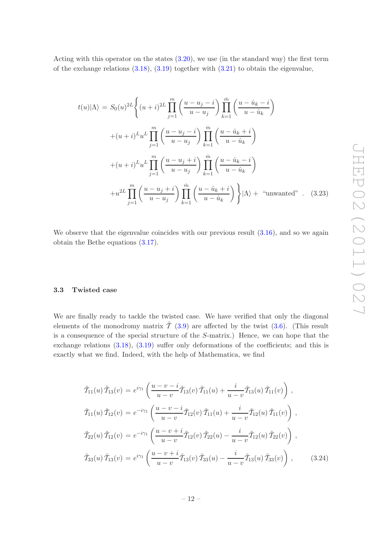Acting with this operator on the states [\(3.20\)](#page-11-0), we use (in the standard way) the first term of the exchange relations  $(3.18)$ ,  $(3.19)$  together with  $(3.21)$  to obtain the eigenvalue,

$$
t(u)|\Lambda\rangle = S_0(u)^{2L} \left\{ (u+i)^{2L} \prod_{j=1}^m \left( \frac{u-u_j-i}{u-u_j} \right) \prod_{k=1}^m \left( \frac{u-i_k-i}{u-i_k} \right) \right.
$$

$$
+ (u+i)^{L} u^{L} \prod_{j=1}^m \left( \frac{u-u_j-i}{u-u_j} \right) \prod_{k=1}^m \left( \frac{u-i_k+i}{u-i_k} \right)
$$

$$
+ (u+i)^{L} u^{L} \prod_{j=1}^m \left( \frac{u-u_j+i}{u-u_j} \right) \prod_{k=1}^m \left( \frac{u-i_k-i}{u-i_k} \right)
$$

$$
+ u^{2L} \prod_{j=1}^m \left( \frac{u-u_j+i}{u-u_j} \right) \prod_{k=1}^m \left( \frac{u-i_k+i}{u-i_k} \right) \left| \Lambda \right\rangle + \text{ "unwanted"}. \quad (3.23)
$$

We observe that the eigenvalue coincides with our previous result  $(3.16)$ , and so we again obtain the Bethe equations [\(3.17\)](#page-10-4).

#### <span id="page-12-0"></span>3.3 Twisted case

We are finally ready to tackle the twisted case. We have verified that only the diagonal elements of the monodromy matrix  $\tilde{T}$  [\(3.9\)](#page-8-3) are affected by the twist [\(3.6\)](#page-8-4). (This result is a consequence of the special structure of the S-matrix.) Hence, we can hope that the exchange relations [\(3.18\)](#page-10-5), [\(3.19\)](#page-11-1) suffer only deformations of the coefficients; and this is exactly what we find. Indeed, with the help of Mathematica, we find

$$
\tilde{\mathcal{T}}_{11}(u)\,\tilde{\mathcal{T}}_{13}(v) = e^{i\gamma_1} \left( \frac{u-v-i}{u-v} \tilde{\mathcal{T}}_{13}(v) \,\tilde{\mathcal{T}}_{11}(u) + \frac{i}{u-v} \tilde{\mathcal{T}}_{13}(u) \,\tilde{\mathcal{T}}_{11}(v) \right),
$$
\n
$$
\tilde{\mathcal{T}}_{11}(u)\,\tilde{\mathcal{T}}_{12}(v) = e^{-i\gamma_1} \left( \frac{u-v-i}{u-v} \tilde{\mathcal{T}}_{12}(v) \,\tilde{\mathcal{T}}_{11}(u) + \frac{i}{u-v} \tilde{\mathcal{T}}_{12}(u) \,\tilde{\mathcal{T}}_{11}(v) \right),
$$
\n
$$
\tilde{\mathcal{T}}_{22}(u)\,\tilde{\mathcal{T}}_{12}(v) = e^{-i\gamma_1} \left( \frac{u-v+i}{u-v} \tilde{\mathcal{T}}_{12}(v) \,\tilde{\mathcal{T}}_{22}(u) - \frac{i}{u-v} \tilde{\mathcal{T}}_{12}(u) \,\tilde{\mathcal{T}}_{22}(v) \right),
$$
\n
$$
\tilde{\mathcal{T}}_{33}(u)\,\tilde{\mathcal{T}}_{13}(v) = e^{i\gamma_1} \left( \frac{u-v+i}{u-v} \tilde{\mathcal{T}}_{13}(v) \,\tilde{\mathcal{T}}_{33}(u) - \frac{i}{u-v} \tilde{\mathcal{T}}_{13}(u) \,\tilde{\mathcal{T}}_{33}(v) \right), \tag{3.24}
$$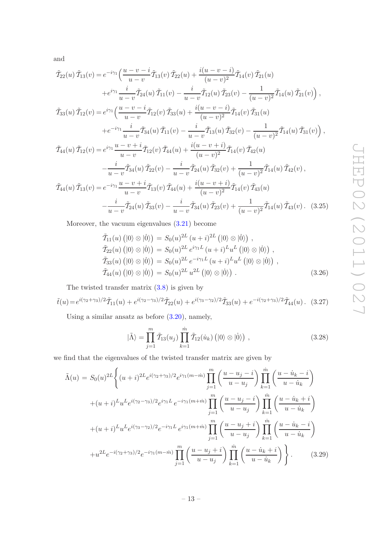and

<span id="page-13-0"></span>
$$
\tilde{\mathcal{T}}_{22}(u)\,\tilde{\mathcal{T}}_{13}(v) = e^{-i\gamma_1} \left( \frac{u-v-i}{u-v} \tilde{\mathcal{T}}_{13}(v) \,\tilde{\mathcal{T}}_{22}(u) + \frac{i(u-v-i)}{(u-v)^2} \tilde{\mathcal{T}}_{14}(v) \,\tilde{\mathcal{T}}_{21}(u) \n+ e^{i\gamma_1} \frac{i}{u-v} \tilde{\mathcal{T}}_{24}(u) \,\tilde{\mathcal{T}}_{11}(v) - \frac{i}{u-v} \tilde{\mathcal{T}}_{12}(u) \,\tilde{\mathcal{T}}_{23}(v) - \frac{1}{(u-v)^2} \tilde{\mathcal{T}}_{14}(u) \,\tilde{\mathcal{T}}_{21}(v) \right), \n\tilde{\mathcal{T}}_{33}(u)\,\tilde{\mathcal{T}}_{12}(v) = e^{i\gamma_1} \left( \frac{u-v-i}{u-v} \tilde{\mathcal{T}}_{12}(v) \,\tilde{\mathcal{T}}_{33}(u) + \frac{i(u-v-i)}{(u-v)^2} \tilde{\mathcal{T}}_{14}(v) \,\tilde{\mathcal{T}}_{31}(u) \n+ e^{-i\gamma_1} \frac{i}{u-v} \tilde{\mathcal{T}}_{34}(u) \,\tilde{\mathcal{T}}_{11}(v) - \frac{i}{u-v} \tilde{\mathcal{T}}_{13}(u) \,\tilde{\mathcal{T}}_{32}(v) - \frac{1}{(u-v)^2} \tilde{\mathcal{T}}_{14}(u) \,\tilde{\mathcal{T}}_{31}(v) \right), \n\tilde{\mathcal{T}}_{44}(u)\,\tilde{\mathcal{T}}_{12}(v) = e^{i\gamma_1} \frac{u-v+i}{u-v} \tilde{\mathcal{T}}_{12}(v) \,\tilde{\mathcal{T}}_{44}(u) + \frac{i(u-v+i)}{(u-v)^2} \tilde{\mathcal{T}}_{14}(v) \,\tilde{\mathcal{T}}_{42}(u) \n- \frac{i}{u-v} \tilde{\mathcal{T}}_{34}(u) \,\tilde{\mathcal{T}}_{22}(v) - \frac{i}{u-v} \tilde{\mathcal{T}}_{24}(u) \,\tilde{\mathcal{T}}_{32}(v) + \frac{1}{(u-v)^2} \tilde{\mathcal{T}}_{14}(u) \,\tilde{\mathcal{T}}_{42}(v) \n\tilde{\mathcal
$$

Moreover, the vacuum eigenvalues [\(3.21\)](#page-11-2) become

$$
\tilde{T}_{11}(u) (|0\rangle \otimes |0\rangle) = S_0(u)^{2L} (u+i)^{2L} (|0\rangle \otimes |0\rangle) ,
$$
\n
$$
\tilde{T}_{22}(u) (|0\rangle \otimes |0\rangle) = S_0(u)^{2L} e^{i\gamma_1 L} (u+i)^{L} u^{L} (|0\rangle \otimes |0\rangle) ,
$$
\n
$$
\tilde{T}_{33}(u) (|0\rangle \otimes |0\rangle) = S_0(u)^{2L} e^{-i\gamma_1 L} (u+i)^{L} u^{L} (|0\rangle \otimes |0\rangle) ,
$$
\n
$$
\tilde{T}_{44}(u) (|0\rangle \otimes |0\rangle) = S_0(u)^{2L} u^{2L} (|0\rangle \otimes |0\rangle) .
$$
\n(3.26)

The twisted transfer matrix  $(3.8)$  is given by

$$
\tilde{t}(u) = e^{i(\gamma_2 + \gamma_3)/2} \tilde{T}_{11}(u) + e^{i(\gamma_2 - \gamma_3)/2} \tilde{T}_{22}(u) + e^{i(\gamma_3 - \gamma_2)/2} \tilde{T}_{33}(u) + e^{-i(\gamma_2 + \gamma_3)/2} \tilde{T}_{44}(u).
$$
 (3.27)

Using a similar ansatz as before [\(3.20\)](#page-11-0), namely,

$$
|\tilde{\Lambda}\rangle = \prod_{j=1}^{m} \tilde{\mathcal{T}}_{13}(u_j) \prod_{k=1}^{m} \tilde{\mathcal{T}}_{12}(\dot{u}_k) (|0\rangle \otimes |0\rangle) , \qquad (3.28)
$$

we find that the eigenvalues of the twisted transfer matrix are given by

<span id="page-13-1"></span>
$$
\tilde{\Lambda}(u) = S_0(u)^{2L} \left\{ (u+i)^{2L} e^{i(\gamma_2 + \gamma_3)/2} e^{i\gamma_1(m-m)} \prod_{j=1}^m \left( \frac{u - u_j - i}{u - u_j} \right) \prod_{k=1}^m \left( \frac{u - \dot{u}_k - i}{u - \dot{u}_k} \right) \right.
$$

$$
+ (u+i)^{L} u^{L} e^{i(\gamma_2 - \gamma_3)/2} e^{i\gamma_1 L} e^{-i\gamma_1(m+m)} \prod_{j=1}^m \left( \frac{u - u_j - i}{u - u_j} \right) \prod_{k=1}^m \left( \frac{u - \dot{u}_k + i}{u - \dot{u}_k} \right)
$$

$$
+ (u+i)^{L} u^{L} e^{i(\gamma_3 - \gamma_2)/2} e^{-i\gamma_1 L} e^{i\gamma_1(m+m)} \prod_{j=1}^m \left( \frac{u - u_j + i}{u - u_j} \right) \prod_{k=1}^m \left( \frac{u - \dot{u}_k - i}{u - \dot{u}_k} \right)
$$

$$
+ u^{2L} e^{-i(\gamma_2 + \gamma_3)/2} e^{-i\gamma_1(m-m)} \prod_{j=1}^m \left( \frac{u - u_j + i}{u - u_j} \right) \prod_{k=1}^m \left( \frac{u - \dot{u}_k + i}{u - \dot{u}_k} \right) \left. \right\}.
$$
(3.29)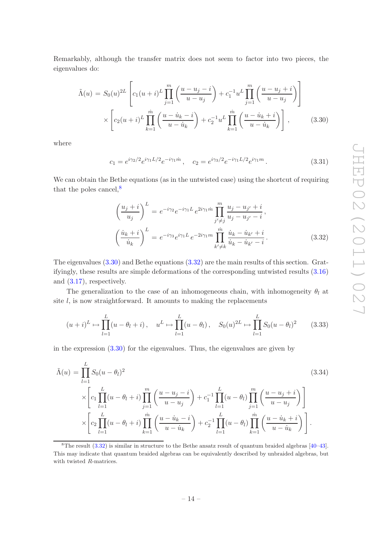Remarkably, although the transfer matrix does not seem to factor into two pieces, the eigenvalues do:

<span id="page-14-1"></span>
$$
\tilde{\Lambda}(u) = S_0(u)^{2L} \left[ c_1(u+i)^L \prod_{j=1}^m \left( \frac{u - u_j - i}{u - u_j} \right) + c_1^{-1} u^L \prod_{j=1}^m \left( \frac{u - u_j + i}{u - u_j} \right) \right]
$$
  
 
$$
\times \left[ c_2(u+i)^L \prod_{k=1}^m \left( \frac{u - u_k - i}{u - u_k} \right) + c_2^{-1} u^L \prod_{k=1}^m \left( \frac{u - u_k + i}{u - u_k} \right) \right],
$$
 (3.30)

where

$$
c_1 = e^{i\gamma_2/2} e^{i\gamma_1 L/2} e^{-i\gamma_1 \dot{m}}, \quad c_2 = e^{i\gamma_3/2} e^{-i\gamma_1 L/2} e^{i\gamma_1 m}.
$$
\n(3.31)

We can obtain the Bethe equations (as in the untwisted case) using the shortcut of requiring that the poles cancel, $\frac{8}{3}$  $\frac{8}{3}$  $\frac{8}{3}$ 

<span id="page-14-2"></span>
$$
\left(\frac{u_j+i}{u_j}\right)^L = e^{-i\gamma_2} e^{-i\gamma_1 L} e^{2i\gamma_1 m} \prod_{j'\neq j}^m \frac{u_j - u_{j'} + i}{u_j - u_{j'} - i},
$$
\n
$$
\left(\frac{\dot{u}_k+i}{\dot{u}_k}\right)^L = e^{-i\gamma_3} e^{i\gamma_1 L} e^{-2i\gamma_1 m} \prod_{k'\neq k}^m \frac{\dot{u}_k - \dot{u}_{k'} + i}{\dot{u}_k - \dot{u}_{k'} - i}.
$$
\n(3.32)

The eigenvalues [\(3.30\)](#page-14-1) and Bethe equations [\(3.32\)](#page-14-2) are the main results of this section. Gratifyingly, these results are simple deformations of the corresponding untwisted results [\(3.16\)](#page-10-3) and [\(3.17\)](#page-10-4), respectively.

The generalization to the case of an inhomogeneous chain, with inhomogeneity  $\theta_l$  at site  $l$ , is now straightforward. It amounts to making the replacements

$$
(u+i)^L \mapsto \prod_{l=1}^L (u - \theta_l + i), \quad u^L \mapsto \prod_{l=1}^L (u - \theta_l), \quad S_0(u)^{2L} \mapsto \prod_{l=1}^L S_0(u - \theta_l)^2 \tag{3.33}
$$

in the expression [\(3.30\)](#page-14-1) for the eigenvalues. Thus, the eigenvalues are given by

$$
\tilde{\Lambda}(u) = \prod_{l=1}^{L} S_0(u - \theta_l)^2
$$
\n
$$
\times \left[ c_1 \prod_{l=1}^{L} (u - \theta_l + i) \prod_{j=1}^{m} \left( \frac{u - u_j - i}{u - u_j} \right) + c_1^{-1} \prod_{l=1}^{L} (u - \theta_l) \prod_{j=1}^{m} \left( \frac{u - u_j + i}{u - u_j} \right) \right]
$$
\n
$$
\times \left[ c_2 \prod_{l=1}^{L} (u - \theta_l + i) \prod_{k=1}^{m} \left( \frac{u - u_k - i}{u - u_k} \right) + c_2^{-1} \prod_{l=1}^{L} (u - \theta_l) \prod_{k=1}^{m} \left( \frac{u - u_k + i}{u - u_k} \right) \right].
$$
\n(3.34)

<span id="page-14-0"></span><sup>&</sup>lt;sup>8</sup>The result  $(3.32)$  is similar in structure to the Bethe ansatz result of quantum braided algebras  $[40-43]$ . This may indicate that quantum braided algebras can be equivalently described by unbraided algebras, but with twisted R-matrices.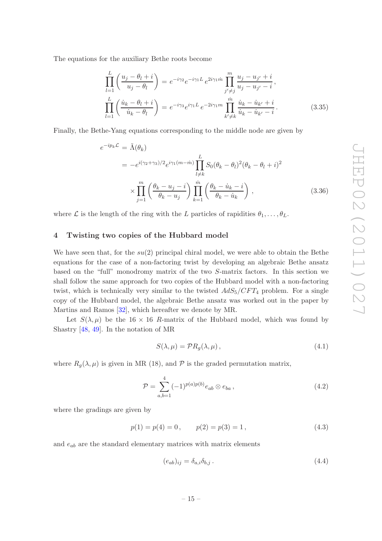The equations for the auxiliary Bethe roots become

$$
\prod_{l=1}^{L} \left( \frac{u_j - \theta_l + i}{u_j - \theta_l} \right) = e^{-i\gamma_2} e^{-i\gamma_1 L} e^{2i\gamma_1 m} \prod_{j' \neq j}^{m} \frac{u_j - u_{j'} + i}{u_j - u_{j'} - i},
$$
\n
$$
\prod_{l=1}^{L} \left( \frac{\dot{u}_k - \theta_l + i}{\dot{u}_k - \theta_l} \right) = e^{-i\gamma_3} e^{i\gamma_1 L} e^{-2i\gamma_1 m} \prod_{k' \neq k}^{m} \frac{\dot{u}_k - \dot{u}_{k'} + i}{\dot{u}_k - \dot{u}_{k'} - i}.
$$
\n(3.35)

Finally, the Bethe-Yang equations corresponding to the middle node are given by

<span id="page-15-2"></span>
$$
e^{-ip_k \mathcal{L}} = \tilde{\Lambda}(\theta_k)
$$
  
= 
$$
-e^{i(\gamma_2 + \gamma_3)/2} e^{i\gamma_1(m - \tilde{m})} \prod_{l \neq k}^{L} S_0(\theta_k - \theta_l)^2 (\theta_k - \theta_l + i)^2
$$
  

$$
\times \prod_{j=1}^{m} \left( \frac{\theta_k - u_j - i}{\theta_k - u_j} \right) \prod_{k=1}^{m} \left( \frac{\theta_k - u_k - i}{\theta_k - u_k} \right), \qquad (3.36)
$$

<span id="page-15-0"></span>where  $\mathcal L$  is the length of the ring with the L particles of rapidities  $\theta_1, \ldots, \theta_L$ .

# 4 Twisting two copies of the Hubbard model

We have seen that, for the  $su(2)$  principal chiral model, we were able to obtain the Bethe equations for the case of a non-factoring twist by developing an algebraic Bethe ansatz based on the "full" monodromy matrix of the two S-matrix factors. In this section we shall follow the same approach for two copies of the Hubbard model with a non-factoring twist, which is technically very similar to the twisted  $AdS_5/CFT_4$  problem. For a single copy of the Hubbard model, the algebraic Bethe ansatz was worked out in the paper by Martins and Ramos [\[32](#page-43-9)], which hereafter we denote by MR.

Let  $S(\lambda, \mu)$  be the 16 x 16 R-matrix of the Hubbard model, which was found by Shastry [\[48](#page-44-8), [49\]](#page-44-9). In the notation of MR

$$
S(\lambda, \mu) = \mathcal{P}R_g(\lambda, \mu), \qquad (4.1)
$$

where  $R_g(\lambda, \mu)$  is given in MR (18), and  $P$  is the graded permutation matrix,

$$
\mathcal{P} = \sum_{a,b=1}^{4} (-1)^{p(a)p(b)} e_{ab} \otimes e_{ba}, \qquad (4.2)
$$

where the gradings are given by

<span id="page-15-1"></span>
$$
p(1) = p(4) = 0, \qquad p(2) = p(3) = 1,
$$
\n
$$
(4.3)
$$

and  $e_{ab}$  are the standard elementary matrices with matrix elements

$$
(e_{ab})_{ij} = \delta_{a,i}\delta_{b,j} \tag{4.4}
$$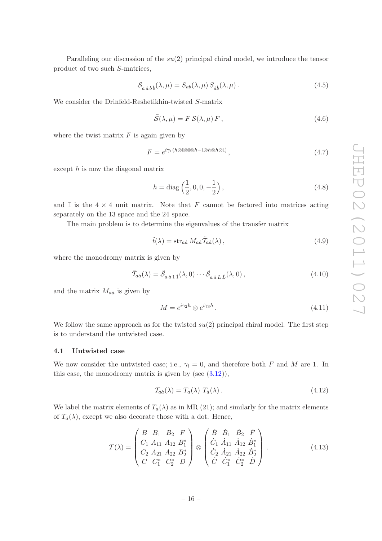Paralleling our discussion of the  $su(2)$  principal chiral model, we introduce the tensor product of two such S-matrices,

$$
S_{a\dot{a}b\dot{b}}(\lambda,\mu) = S_{ab}(\lambda,\mu) S_{\dot{a}\dot{b}}(\lambda,\mu).
$$
 (4.5)

We consider the Drinfeld-Reshetikhin-twisted S-matrix

$$
\tilde{\mathcal{S}}(\lambda,\mu) = F \mathcal{S}(\lambda,\mu) F, \qquad (4.6)
$$

where the twist matrix  $F$  is again given by

$$
F = e^{i\gamma_1(h\otimes \mathbb{I}\otimes \mathbb{I}\otimes h - \mathbb{I}\otimes h\otimes h\otimes \mathbb{I})},\tag{4.7}
$$

except h is now the diagonal matrix

<span id="page-16-3"></span>
$$
h = \text{diag}\left(\frac{1}{2}, 0, 0, -\frac{1}{2}\right),\tag{4.8}
$$

and I is the  $4 \times 4$  unit matrix. Note that F cannot be factored into matrices acting separately on the 13 space and the 24 space.

The main problem is to determine the eigenvalues of the transfer matrix

<span id="page-16-2"></span>
$$
\tilde{t}(\lambda) = \operatorname{str}_{a\dot{a}} M_{a\dot{a}} \tilde{T}_{a\dot{a}}(\lambda), \qquad (4.9)
$$

where the monodromy matrix is given by

<span id="page-16-1"></span>
$$
\tilde{T}_{a\dot{a}}(\lambda) = \tilde{S}_{a\dot{a}1\dot{1}}(\lambda,0)\cdots\tilde{S}_{a\dot{a}L\dot{L}}(\lambda,0),
$$
\n(4.10)

and the matrix  $M_{a\dot{a}}$  is given by

$$
M = e^{i\gamma_2 h} \otimes e^{i\gamma_3 h} . \tag{4.11}
$$

We follow the same approach as for the twisted  $su(2)$  principal chiral model. The first step is to understand the untwisted case.

## <span id="page-16-0"></span>4.1 Untwisted case

We now consider the untwisted case; i.e.,  $\gamma_i = 0$ , and therefore both F and M are 1. In this case, the monodromy matrix is given by (see  $(3.12)$ ),

$$
\mathcal{T}_{a\dot{a}}(\lambda) = T_a(\lambda) T_{\dot{a}}(\lambda). \tag{4.12}
$$

We label the matrix elements of  $T_a(\lambda)$  as in MR (21); and similarly for the matrix elements of  $T_a(\lambda)$ , except we also decorate those with a dot. Hence,

$$
\mathcal{T}(\lambda) = \begin{pmatrix} B & B_1 & B_2 & F \\ C_1 & A_{11} & A_{12} & B_1^* \\ C_2 & A_{21} & A_{22} & B_2^* \\ C & C_1^* & C_2^* & D \end{pmatrix} \otimes \begin{pmatrix} \dot{B} & \dot{B}_1 & \dot{B}_2 & \dot{F} \\ \dot{C}_1 & \dot{A}_{11} & \dot{A}_{12} & \dot{B}_1^* \\ \dot{C}_2 & \dot{A}_{21} & \dot{A}_{22} & \dot{B}_2^* \\ \dot{C} & \dot{C}_1^* & \dot{C}_2^* & D \end{pmatrix} . \tag{4.13}
$$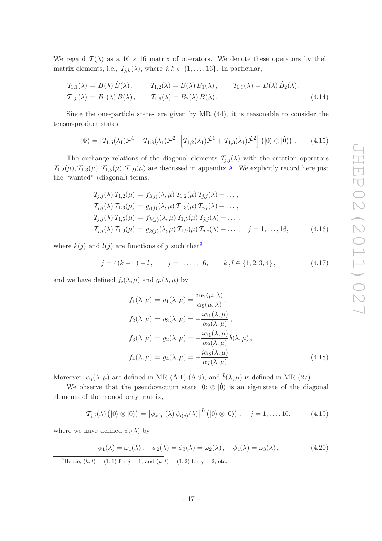We regard  $\mathcal{T}(\lambda)$  as a 16 × 16 matrix of operators. We denote these operators by their matrix elements, i.e.,  $\mathcal{T}_{j,k}(\lambda)$ , where  $j, k \in \{1, \ldots, 16\}$ . In particular,

$$
T_{1,1}(\lambda) = B(\lambda) \dot{B}(\lambda), \qquad T_{1,2}(\lambda) = B(\lambda) \dot{B}_1(\lambda), \qquad T_{1,3}(\lambda) = B(\lambda) \dot{B}_2(\lambda),
$$
  

$$
T_{1,5}(\lambda) = B_1(\lambda) \dot{B}(\lambda), \qquad T_{1,9}(\lambda) = B_2(\lambda) \dot{B}(\lambda).
$$
 (4.14)

Since the one-particle states are given by MR (44), it is reasonable to consider the tensor-product states

<span id="page-17-1"></span>
$$
|\Phi\rangle = \left[\mathcal{T}_{1,5}(\lambda_1)\mathcal{F}^1 + \mathcal{T}_{1,9}(\lambda_1)\mathcal{F}^2\right] \left[\mathcal{T}_{1,2}(\dot{\lambda}_1)\dot{\mathcal{F}}^1 + \mathcal{T}_{1,3}(\dot{\lambda}_1)\dot{\mathcal{F}}^2\right] (|0\rangle \otimes |0\rangle) \ . \tag{4.15}
$$

The exchange relations of the diagonal elements  $\mathcal{T}_{j,j}(\lambda)$  with the creation operators  $\mathcal{T}_{1,2}(\mu), \mathcal{T}_{1,3}(\mu), \mathcal{T}_{1,5}(\mu), \mathcal{T}_{1,9}(\mu)$  are discussed in appendix [A.](#page-27-0) We explicitly record here just the "wanted" (diagonal) terms,

<span id="page-17-2"></span>
$$
T_{j,j}(\lambda) T_{1,2}(\mu) = f_{l(j)}(\lambda, \mu) T_{1,2}(\mu) T_{j,j}(\lambda) + \dots,
$$
  
\n
$$
T_{j,j}(\lambda) T_{1,3}(\mu) = g_{l(j)}(\lambda, \mu) T_{1,3}(\mu) T_{j,j}(\lambda) + \dots,
$$
  
\n
$$
T_{j,j}(\lambda) T_{1,5}(\mu) = f_{k(j)}(\lambda, \mu) T_{1,5}(\mu) T_{j,j}(\lambda) + \dots,
$$
  
\n
$$
T_{j,j}(\lambda) T_{1,9}(\mu) = g_{k(j)}(\lambda, \mu) T_{1,9}(\mu) T_{j,j}(\lambda) + \dots, \quad j = 1, \dots, 16,
$$
\n(4.16)

where  $k(j)$  and  $l(j)$  are functions of j such that<sup>[9](#page-17-0)</sup>

<span id="page-17-4"></span>
$$
j = 4(k - 1) + l, \qquad j = 1, ..., 16, \qquad k, l \in \{1, 2, 3, 4\}, \tag{4.17}
$$

and we have defined  $f_i(\lambda, \mu)$  and  $g_i(\lambda, \mu)$  by

$$
f_1(\lambda, \mu) = g_1(\lambda, \mu) = \frac{i\alpha_2(\mu, \lambda)}{\alpha_9(\mu, \lambda)},
$$
  
\n
$$
f_2(\lambda, \mu) = g_3(\lambda, \mu) = -\frac{i\alpha_1(\lambda, \mu)}{\alpha_9(\lambda, \mu)},
$$
  
\n
$$
f_3(\lambda, \mu) = g_2(\lambda, \mu) = -\frac{i\alpha_1(\lambda, \mu)}{\alpha_9(\lambda, \mu)}\overline{b}(\lambda, \mu),
$$
  
\n
$$
f_4(\lambda, \mu) = g_4(\lambda, \mu) = -\frac{i\alpha_8(\lambda, \mu)}{\alpha_7(\lambda, \mu)}.
$$
\n(4.18)

Moreover,  $\alpha_i(\lambda, \mu)$  are defined in MR (A.1)-(A.9), and  $\bar{b}(\lambda, \mu)$  is defined in MR (27).

We observe that the pseudovacuum state  $|0\rangle \otimes |0\rangle$  is an eigenstate of the diagonal elements of the monodromy matrix,

<span id="page-17-3"></span>
$$
\mathcal{T}_{j,j}(\lambda) \left( \left| 0 \right\rangle \otimes \left| 0 \right\rangle \right) = \left[ \phi_{k(j)}(\lambda) \phi_{l(j)}(\lambda) \right]^L \left( \left| 0 \right\rangle \otimes \left| 0 \right\rangle \right) , \quad j = 1, \ldots, 16, \tag{4.19}
$$

where we have defined  $\phi_i(\lambda)$  by

$$
\phi_1(\lambda) = \omega_1(\lambda), \quad \phi_2(\lambda) = \phi_3(\lambda) = \omega_2(\lambda), \quad \phi_4(\lambda) = \omega_3(\lambda), \tag{4.20}
$$

<span id="page-17-0"></span><sup>9</sup>Hence,  $(k, l) = (1, 1)$  for  $j = 1$ ; and  $(k, l) = (1, 2)$  for  $j = 2$ , etc.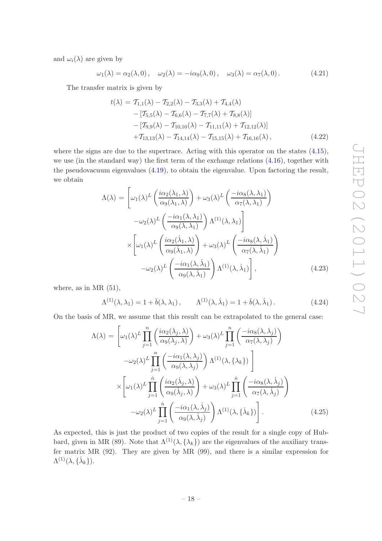and  $\omega_i(\lambda)$  are given by

$$
\omega_1(\lambda) = \alpha_2(\lambda, 0), \quad \omega_2(\lambda) = -i\alpha_9(\lambda, 0), \quad \omega_3(\lambda) = \alpha_7(\lambda, 0).
$$
 (4.21)

The transfer matrix is given by

$$
t(\lambda) = T_{1,1}(\lambda) - T_{2,2}(\lambda) - T_{3,3}(\lambda) + T_{4,4}(\lambda)
$$
  
\n
$$
- [T_{5,5}(\lambda) - T_{6,6}(\lambda) - T_{7,7}(\lambda) + T_{8,8}(\lambda)]
$$
  
\n
$$
- [T_{9,9}(\lambda) - T_{10,10}(\lambda) - T_{11,11}(\lambda) + T_{12,12}(\lambda)]
$$
  
\n
$$
+ T_{13,13}(\lambda) - T_{14,14}(\lambda) - T_{15,15}(\lambda) + T_{16,16}(\lambda),
$$
\n(4.22)

where the signs are due to the supertrace. Acting with this operator on the states  $(4.15)$ , we use (in the standard way) the first term of the exchange relations [\(4.16\)](#page-17-2), together with the pseudovacuum eigenvalues [\(4.19\)](#page-17-3), to obtain the eigenvalue. Upon factoring the result, we obtain

$$
\Lambda(\lambda) = \left[ \omega_1(\lambda)^L \left( \frac{i\alpha_2(\lambda_1, \lambda)}{\alpha_9(\lambda_1, \lambda)} \right) + \omega_3(\lambda)^L \left( \frac{-i\alpha_8(\lambda, \lambda_1)}{\alpha_7(\lambda, \lambda_1)} \right) \right.\n- \omega_2(\lambda)^L \left( \frac{-i\alpha_1(\lambda, \lambda_1)}{\alpha_9(\lambda, \lambda_1)} \right) \Lambda^{(1)}(\lambda, \lambda_1) \right] \n\times \left[ \omega_1(\lambda)^L \left( \frac{i\alpha_2(\lambda_1, \lambda)}{\alpha_9(\lambda_1, \lambda)} \right) + \omega_3(\lambda)^L \left( \frac{-i\alpha_8(\lambda, \lambda_1)}{\alpha_7(\lambda, \lambda_1)} \right) \right.\n- \omega_2(\lambda)^L \left( \frac{-i\alpha_1(\lambda, \lambda_1)}{\alpha_9(\lambda, \lambda_1)} \right) \Lambda^{(1)}(\lambda, \lambda_1) \right], \tag{4.23}
$$

where, as in MR  $(51)$ ,

$$
\Lambda^{(1)}(\lambda, \lambda_1) = 1 + \bar{b}(\lambda, \lambda_1), \qquad \Lambda^{(1)}(\lambda, \dot{\lambda}_1) = 1 + \bar{b}(\lambda, \dot{\lambda}_1). \tag{4.24}
$$

On the basis of MR, we assume that this result can be extrapolated to the general case:

$$
\Lambda(\lambda) = \left[\omega_1(\lambda)^L \prod_{j=1}^n \left(\frac{i\alpha_2(\lambda_j, \lambda)}{\alpha_9(\lambda_j, \lambda)}\right) + \omega_3(\lambda)^L \prod_{j=1}^n \left(\frac{-i\alpha_8(\lambda, \lambda_j)}{\alpha_7(\lambda, \lambda_j)}\right) \right]
$$

$$
-\omega_2(\lambda)^L \prod_{j=1}^n \left(\frac{-i\alpha_1(\lambda, \lambda_j)}{\alpha_9(\lambda, \lambda_j)}\right) \Lambda^{(1)}(\lambda, \{\lambda_k\})\right]
$$

$$
\times \left[\omega_1(\lambda)^L \prod_{j=1}^n \left(\frac{i\alpha_2(\lambda_j, \lambda)}{\alpha_9(\lambda_j, \lambda)}\right) + \omega_3(\lambda)^L \prod_{j=1}^n \left(\frac{-i\alpha_8(\lambda, \lambda_j)}{\alpha_7(\lambda, \lambda_j)}\right)
$$

$$
-\omega_2(\lambda)^L \prod_{j=1}^n \left(\frac{-i\alpha_1(\lambda, \lambda_j)}{\alpha_9(\lambda, \lambda_j)}\right) \Lambda^{(1)}(\lambda, \{\lambda_k\})\right].
$$
(4.25)

As expected, this is just the product of two copies of the result for a single copy of Hubbard, given in MR (89). Note that  $\Lambda^{(1)}(\lambda, {\{\lambda_k\}})$  are the eigenvalues of the auxiliary transfer matrix MR (92). They are given by MR (99), and there is a similar expression for  $\Lambda^{(1)}(\lambda,\{\dot{\lambda}_k\}).$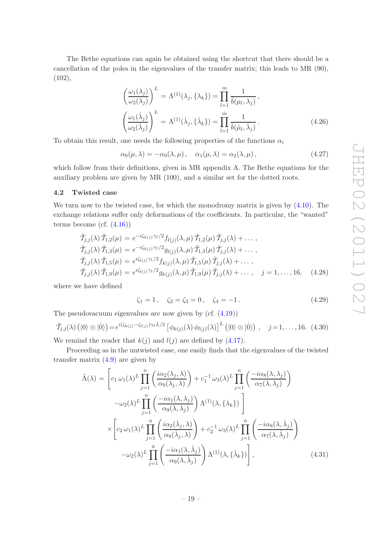The Bethe equations can again be obtained using the shortcut that there should be a cancellation of the poles in the eigenvalues of the transfer matrix; this leads to MR (90), (102),

$$
\left(\frac{\omega_1(\lambda_j)}{\omega_2(\lambda_j)}\right)^L = \Lambda^{(1)}(\lambda_j, \{\lambda_k\}) = \prod_{l=1}^m \frac{1}{\overline{b}(\mu_l, \lambda_j)},
$$
\n
$$
\left(\frac{\omega_1(\lambda_j)}{\omega_2(\lambda_j)}\right)^L = \Lambda^{(1)}(\lambda_j, \{\lambda_k\}) = \prod_{l=1}^m \frac{1}{\overline{b}(\mu_l, \lambda_j)}.
$$
\n(4.26)

To obtain this result, one needs the following properties of the functions  $\alpha_i$ 

$$
\alpha_9(\mu,\lambda) = -\alpha_9(\lambda,\mu), \quad \alpha_1(\mu,\lambda) = \alpha_2(\lambda,\mu), \tag{4.27}
$$

which follow from their definitions, given in MR appendix A. The Bethe equations for the auxiliary problem are given by MR (100), and a similar set for the dotted roots.

# <span id="page-19-0"></span>4.2 Twisted case

We turn now to the twisted case, for which the monodromy matrix is given by  $(4.10)$ . The exchange relations suffer only deformations of the coefficients. In particular, the "wanted" terms become (cf.  $(4.16)$ )

$$
\tilde{T}_{j,j}(\lambda) \tilde{T}_{1,2}(\mu) = e^{-i\zeta_{k(j)}\gamma_1/2} f_{l(j)}(\lambda,\mu) \tilde{T}_{1,2}(\mu) \tilde{T}_{j,j}(\lambda) + \dots, \n\tilde{T}_{j,j}(\lambda) \tilde{T}_{1,3}(\mu) = e^{-i\zeta_{k(j)}\gamma_1/2} g_{l(j)}(\lambda,\mu) \tilde{T}_{1,3}(\mu) \tilde{T}_{j,j}(\lambda) + \dots, \n\tilde{T}_{j,j}(\lambda) \tilde{T}_{1,5}(\mu) = e^{i\zeta_{l(j)}\gamma_1/2} f_{k(j)}(\lambda,\mu) \tilde{T}_{1,5}(\mu) \tilde{T}_{j,j}(\lambda) + \dots, \n\tilde{T}_{j,j}(\lambda) \tilde{T}_{1,9}(\mu) = e^{i\zeta_{l(j)}\gamma_1/2} g_{k(j)}(\lambda,\mu) \tilde{T}_{1,9}(\mu) \tilde{T}_{j,j}(\lambda) + \dots, \quad j = 1, \dots, 16, \quad (4.28)
$$

where we have defined

$$
\zeta_1 = 1, \quad \zeta_2 = \zeta_3 = 0, \quad \zeta_4 = -1. \tag{4.29}
$$

The pseudovacuum eigenvalues are now given by (cf. [\(4.19\)](#page-17-3))

$$
\tilde{\mathcal{T}}_{j,j}(\lambda) \left( \left| 0 \right\rangle \otimes \left| 0 \right\rangle \right) = e^{i(\zeta_{k(j)} - \zeta_{l(j)})\gamma_1 L/2} \left[ \phi_{k(j)}(\lambda) \phi_{l(j)}(\lambda) \right]^L \left( \left| 0 \right\rangle \otimes \left| 0 \right\rangle \right) , \quad j = 1, \ldots, 16. \tag{4.30}
$$

We remind the reader that  $k(j)$  and  $l(j)$  are defined by [\(4.17\)](#page-17-4).

Proceeding as in the untwisted case, one easily finds that the eigenvalues of the twisted transfer matrix  $(4.9)$  are given by

<span id="page-19-1"></span>
$$
\tilde{\Lambda}(\lambda) = \left[c_1 \omega_1(\lambda)^L \prod_{j=1}^n \left(\frac{i\alpha_2(\lambda_j, \lambda)}{\alpha_9(\lambda_j, \lambda)}\right) + c_1^{-1} \omega_3(\lambda)^L \prod_{j=1}^n \left(\frac{-i\alpha_8(\lambda, \lambda_j)}{\alpha_7(\lambda, \lambda_j)}\right) \right]
$$

$$
-\omega_2(\lambda)^L \prod_{j=1}^n \left(\frac{-i\alpha_1(\lambda, \lambda_j)}{\alpha_9(\lambda, \lambda_j)}\right) \Lambda^{(1)}(\lambda, \{\lambda_k\})\right]
$$

$$
\times \left[c_2 \omega_1(\lambda)^L \prod_{j=1}^n \left(\frac{i\alpha_2(\lambda_j, \lambda)}{\alpha_9(\lambda_j, \lambda)}\right) + c_2^{-1} \omega_3(\lambda)^L \prod_{j=1}^n \left(\frac{-i\alpha_8(\lambda, \lambda_j)}{\alpha_7(\lambda, \lambda_j)}\right) \right]
$$

$$
-\omega_2(\lambda)^L \prod_{j=1}^n \left(\frac{-i\alpha_1(\lambda, \lambda_j)}{\alpha_9(\lambda, \lambda_j)}\right) \Lambda^{(1)}(\lambda, \{\lambda_k\})\right],
$$
(4.31)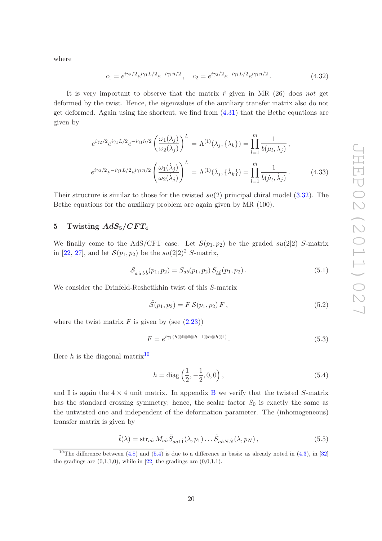where

$$
c_1 = e^{i\gamma_2/2} e^{i\gamma_1 L/2} e^{-i\gamma_1 \dot{n}/2}, \quad c_2 = e^{i\gamma_3/2} e^{-i\gamma_1 L/2} e^{i\gamma_1 n/2}.
$$
 (4.32)

It is very important to observe that the matrix  $\hat{r}$  given in MR (26) does *not* get deformed by the twist. Hence, the eigenvalues of the auxiliary transfer matrix also do not get deformed. Again using the shortcut, we find from [\(4.31\)](#page-19-1) that the Bethe equations are given by

$$
e^{i\gamma_2/2}e^{i\gamma_1L/2}e^{-i\gamma_1\dot{n}/2}\left(\frac{\omega_1(\lambda_j)}{\omega_2(\lambda_j)}\right)^L = \Lambda^{(1)}(\lambda_j, \{\lambda_k\}) = \prod_{l=1}^m \frac{1}{\bar{b}(\mu_l, \lambda_j)},
$$

$$
e^{i\gamma_3/2}e^{-i\gamma_1L/2}e^{i\gamma_1n/2}\left(\frac{\omega_1(\dot{\lambda}_j)}{\omega_2(\dot{\lambda}_j)}\right)^L = \Lambda^{(1)}(\dot{\lambda}_j, \{\dot{\lambda}_k\}) = \prod_{l=1}^m \frac{1}{\bar{b}(\mu_l, \dot{\lambda}_j)}.
$$
(4.33)

Their structure is similar to those for the twisted  $su(2)$  principal chiral model [\(3.32\)](#page-14-2). The Bethe equations for the auxiliary problem are again given by MR (100).

# <span id="page-20-0"></span>5 Twisting  $AdS_5/CFT_4$

We finally come to the AdS/CFT case. Let  $S(p_1, p_2)$  be the graded  $su(2|2)$  S-matrix in [\[22](#page-43-15), [27](#page-43-4)], and let  $S(p_1, p_2)$  be the  $su(2|2)^2$  S-matrix,

<span id="page-20-5"></span>
$$
S_{a\dot{a}b\dot{b}}(p_1, p_2) = S_{ab}(p_1, p_2) S_{\dot{a}\dot{b}}(p_1, p_2).
$$
\n(5.1)

We consider the Drinfeld-Reshetikhin twist of this S-matrix

<span id="page-20-4"></span>
$$
\tilde{\mathcal{S}}(p_1, p_2) = F \, \mathcal{S}(p_1, p_2) \, F \,, \tag{5.2}
$$

where the twist matrix  $F$  is given by (see  $(2.23)$ )

<span id="page-20-6"></span>
$$
F = e^{i\gamma_1(h\otimes \mathbb{I}\otimes \mathbb{I}\otimes h - \mathbb{I}\otimes h\otimes h\otimes \mathbb{I})}.
$$
\n
$$
(5.3)
$$

Here h is the diagonal matrix<sup>[10](#page-20-1)</sup>

<span id="page-20-2"></span>
$$
h = \text{diag}\left(\frac{1}{2}, -\frac{1}{2}, 0, 0\right),\tag{5.4}
$$

and I is again the  $4 \times 4$  unit matrix. In appendix [B](#page-31-0) we verify that the twisted S-matrix has the standard crossing symmetry; hence, the scalar factor  $S_0$  is exactly the same as the untwisted one and independent of the deformation parameter. The (inhomogeneous) transfer matrix is given by

<span id="page-20-3"></span>
$$
\tilde{t}(\lambda) = \operatorname{str}_{a\dot{a}} M_{a\dot{a}} \tilde{S}_{a\dot{a}1\dot{1}}(\lambda, p_1) \dots \tilde{S}_{a\dot{a}N\dot{N}}(\lambda, p_N) ,\qquad (5.5)
$$

<span id="page-20-1"></span><sup>&</sup>lt;sup>10</sup>The difference between  $\overline{(4.8)$  and  $(5.4)$  is due to a difference in basis: as already noted in [\(4.3\)](#page-15-1), in [\[32](#page-43-9)] the gradings are  $(0,1,1,0)$ , while in [\[22](#page-43-15)] the gradings are  $(0,0,1,1)$ .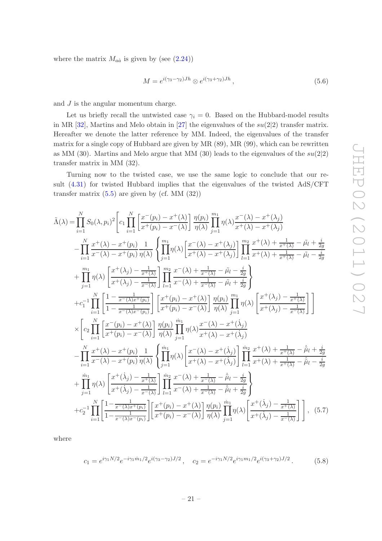where the matrix  $M_{a\dot{a}}$  is given by (see  $(2.24)$ )

<span id="page-21-2"></span>
$$
M = e^{i(\gamma_3 - \gamma_2)Jh} \otimes e^{i(\gamma_3 + \gamma_2)Jh}, \qquad (5.6)
$$

and J is the angular momentum charge.

Let us briefly recall the untwisted case  $\gamma_i = 0$ . Based on the Hubbard-model results in MR  $[32]$ , Martins and Melo obtain in  $[27]$  the eigenvalues of the  $su(2|2)$  transfer matrix. Hereafter we denote the latter reference by MM. Indeed, the eigenvalues of the transfer matrix for a single copy of Hubbard are given by MR (89), MR (99), which can be rewritten as MM (30). Martins and Melo argue that MM (30) leads to the eigenvalues of the  $su(2|2)$ transfer matrix in MM (32).

Turning now to the twisted case, we use the same logic to conclude that our result [\(4.31\)](#page-19-1) for twisted Hubbard implies that the eigenvalues of the twisted AdS/CFT transfer matrix  $(5.5)$  are given by (cf. MM  $(32)$ )

<span id="page-21-1"></span>
$$
\tilde{\Lambda}(\lambda) = \prod_{i=1}^{N} S_{0}(\lambda, p_{i})^{2} \left[ c_{1} \prod_{i=1}^{N} \left[ \frac{x^{-}(p_{i}) - x^{+}(\lambda)}{x^{+}(p_{i}) - x^{-}(\lambda)} \right] \frac{\eta(p_{i})}{\eta(\lambda)} \prod_{j=1}^{m_{1}} \eta(\lambda) \frac{x^{-}(\lambda) - x^{+}(\lambda_{j})}{x^{+}(\lambda) - x^{+}(\lambda_{j})} \right] - \prod_{i=1}^{N} \frac{x^{+}(\lambda) - x^{+}(p_{i})}{x^{-}(\lambda) - x^{+}(p_{i})} \frac{1}{\eta(\lambda)} \left\{ \prod_{j=1}^{m_{1}} \eta(\lambda) \left[ \frac{x^{-}(\lambda) - x^{+}(\lambda_{j})}{x^{+}(\lambda) - x^{+}(\lambda_{j})} \right] \prod_{l=1}^{m_{2}} \frac{x^{+}(\lambda) + \frac{1}{x^{+}(\lambda)} - \tilde{\mu}_{l} + \frac{i}{2g}}{x^{+}(\lambda) + \frac{1}{x^{+}(\lambda)} - \tilde{\mu}_{l} - \frac{i}{2g}} \right] + \prod_{j=1}^{m_{1}} \eta(\lambda) \left[ \frac{x^{+}(\lambda_{j}) - \frac{1}{x^{+}(\lambda)}}{x^{+}(\lambda_{j}) - \frac{1}{x^{+}(\lambda)}} \right] \prod_{l=1}^{m_{2}} \frac{x^{-}(\lambda) + \frac{1}{x^{+}(\lambda)} - \tilde{\mu}_{l} - \frac{i}{2g}}{x^{+}(\lambda) + \frac{1}{x^{+}(\lambda)} - \tilde{\mu}_{l} - \frac{i}{2g}} \right\} + c_{1}^{-1} \prod_{i=1}^{N} \left[ \frac{1 - \frac{1}{x^{-}(\lambda)x^{+}(p_{i})}}{1 - \frac{1}{x^{-}(\lambda)x^{-}(p_{i})}} \right] \left[ \frac{x^{+}(p_{i}) - x^{+}(\lambda)}{x^{+}(p_{i}) - x^{-}(\lambda)} \right] \frac{\eta(p_{i})}{\eta(\lambda)} \prod_{j=1}^{m_{1}} \eta(\lambda) \left[ \frac{x^{+}(\lambda_{j}) - \frac{1}{x^{+}(\lambda)}}{x^{+}(\lambda_{j}) - \frac{1}{x^{+}(\lambda)}} \right] \right] - \sum_{i=1}^{N} \left[ \frac{x^{-}(p_{i}) - x^{+}
$$

where

<span id="page-21-0"></span>
$$
c_1 = e^{i\gamma_1 N/2} e^{-i\gamma_1 \dot{m}_1/2} e^{i(\gamma_3 - \gamma_2)J/2}, \quad c_2 = e^{-i\gamma_1 N/2} e^{i\gamma_1 m_1/2} e^{i(\gamma_3 + \gamma_2)J/2}.
$$
 (5.8)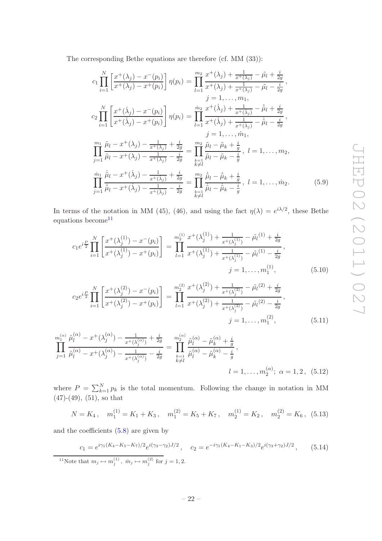The corresponding Bethe equations are therefore (cf. MM (33)):

<span id="page-22-3"></span>
$$
c_{1} \prod_{i=1}^{N} \left[ \frac{x^{+}(\lambda_{j}) - x^{-}(p_{i})}{x^{+}(\lambda_{j}) - x^{+}(p_{i})} \right] \eta(p_{i}) = \prod_{l=1}^{m_{2}} \frac{x^{+}(\lambda_{j}) + \frac{1}{x^{+}(\lambda_{j})} - \tilde{\mu}_{l} + \frac{i}{2g}}{x^{+}(\lambda_{j}) - \tilde{\mu}_{l} - \frac{i}{2g}},
$$
\n
$$
j = 1, ..., m_{1},
$$
\n
$$
c_{2} \prod_{i=1}^{N} \left[ \frac{x^{+}(\lambda_{j}) - x^{-}(p_{i})}{x^{+}(\lambda_{j}) - x^{+}(p_{i})} \right] \eta(p_{i}) = \prod_{l=1}^{m_{2}} \frac{x^{+}(\lambda_{j}) + \frac{1}{x^{+}(\lambda_{j})} - \tilde{\mu}_{l} + \frac{i}{2g}}{x^{+}(\lambda_{j}) - \frac{1}{x^{+}(\lambda_{j})} - \frac{i}{x^{+}(\lambda_{j})} - \frac{i}{x^{+}(\lambda_{j})} - \frac{i}{x^{+}(\lambda_{j})}};
$$
\n
$$
\prod_{j=1}^{m_{1}} \frac{\tilde{\mu}_{l} - x^{+}(\lambda_{j}) - \frac{1}{x^{+}(\lambda_{j})} + \frac{i}{2g}}{\tilde{\mu}_{l} - \tilde{\mu}_{l} - \tilde{\mu}_{k} + \frac{i}{g}}, l = 1, ..., m_{2},
$$
\n
$$
\prod_{j=1}^{m_{1}} \frac{\tilde{\mu}_{l} - x^{+}(\lambda_{j}) - \frac{1}{x^{+}(\lambda_{j})} - \frac{i}{2g}}{\tilde{\mu}_{l} - \tilde{\mu}_{l} - \tilde{\mu}_{k} - \frac{i}{g}} = \prod_{\substack{k=1 \ k \neq l}}^{m_{2}} \frac{\tilde{\mu}_{l} - \tilde{\mu}_{k} + \frac{i}{g}}{\tilde{\mu}_{l} - \tilde{\mu}_{k} - \frac{i}{g}}, l = 1, ..., m_{2}.
$$
\n
$$
(5.9)
$$

In terms of the notation in MM (45), (46), and using the fact  $\eta(\lambda) = e^{i\lambda/2}$ , these Bethe equations become  $11$ 

<span id="page-22-1"></span>
$$
c_1 e^{i\frac{P}{2}} \prod_{i=1}^N \left[ \frac{x^+(\lambda_j^{(1)}) - x^-(p_i)}{x^+(\lambda_j^{(1)}) - x^+(p_i)} \right] = \prod_{l=1}^{m_2^{(1)}} \frac{x^+(\lambda_j^{(1)}) + \frac{1}{x^+(\lambda_j^{(1)})} - \tilde{\mu}_l^{(1)} + \frac{i}{2g}}{x^+(\lambda_j^{(1)}) + \frac{1}{x^+(\lambda_j^{(1)})} - \tilde{\mu}_l^{(1)} - \frac{i}{2g}},
$$
\n
$$
j = 1, \dots, m_1^{(1)}, \qquad (5.10)
$$

$$
c_2 e^{i\frac{P}{2}} \prod_{i=1}^N \left[ \frac{x^+(\lambda_j^{(2)}) - x^-(p_i)}{x^+(\lambda_j^{(2)}) - x^+(p_i)} \right] = \prod_{l=1}^{m_2^{(2)}} \frac{x^+(\lambda_j^{(2)}) + \frac{1}{x^+(\lambda_j^{(2)})} - \tilde{\mu}_l^{(2)} + \frac{i}{2g}}{x^+(\lambda_j^{(2)}) + \frac{1}{x^+(\lambda_j^{(2)})} - \tilde{\mu}_l^{(2)} - \frac{i}{2g}},
$$
  
\n
$$
j = 1, ..., m_1^{(2)},
$$
\n(5.11)

$$
\prod_{j=1}^{m_1^{(\alpha)}} \frac{\tilde{\mu}_l^{(\alpha)} - x^+(\lambda_j^{(\alpha)}) - \frac{1}{x^+(\lambda_j^{(\alpha)})} + \frac{i}{2g}}{\tilde{\mu}_l^{(\alpha)} - x^+(\lambda_j^{(\alpha)}) - \frac{1}{x^+(\lambda_j^{(\alpha)})} - \frac{i}{2g}} = \prod_{\substack{k=1 \ k \neq l}}^{m_2^{(\alpha)}} \frac{\tilde{\mu}_l^{(\alpha)} - \tilde{\mu}_k^{(\alpha)} + \frac{i}{g}}{\tilde{\mu}_l^{(\alpha)} - \tilde{\mu}_k^{(\alpha)} - \frac{i}{g}},
$$
\n
$$
l = 1, \dots, m_2^{(\alpha)}; \ \alpha = 1, 2, \ (5.12)
$$

where  $P = \sum_{k=1}^{N} p_k$  is the total momentum. Following the change in notation in MM  $(47)$ - $(49)$ ,  $(51)$ , so that

$$
N = K_4, \quad m_1^{(1)} = K_1 + K_3, \quad m_1^{(2)} = K_5 + K_7, \quad m_2^{(1)} = K_2, \quad m_2^{(2)} = K_6, \tag{5.13}
$$

and the coefficients [\(5.8\)](#page-21-0) are given by

<span id="page-22-2"></span>
$$
c_1 = e^{i\gamma_1(K_4 - K_5 - K_7)/2} e^{i(\gamma_3 - \gamma_2)J/2}, \quad c_2 = e^{-i\gamma_1(K_4 - K_1 - K_3)/2} e^{i(\gamma_3 + \gamma_2)J/2}, \quad (5.14)
$$

<span id="page-22-0"></span><sup>11</sup>Note that  $m_j \mapsto m_j^{(1)}$ ,  $\dot{m}_j \mapsto m_j^{(2)}$  for  $j = 1, 2$ .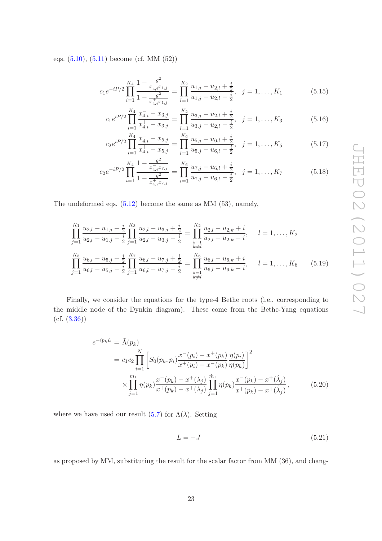eqs. [\(5.10\)](#page-22-1), [\(5.11\)](#page-22-1) become (cf. MM (52))

<span id="page-23-1"></span>
$$
c_1 e^{-iP/2} \prod_{i=1}^{K_4} \frac{1 - \frac{g^2}{x_{4,i}^2 x_{1,j}}}{1 - \frac{g^2}{x_{4,i}^4 x_{1,j}}} = \prod_{l=1}^{K_2} \frac{u_{1,j} - u_{2,l} + \frac{i}{2}}{u_{1,j} - u_{2,l} - \frac{i}{2}}, \quad j = 1, \dots, K_1
$$
(5.15)

$$
c_1 e^{iP/2} \prod_{i=1}^{K_4} \frac{x_{4,i}^--x_{3,j}}{x_{4,i}^+-x_{3,j}} = \prod_{l=1}^{K_2} \frac{u_{3,j}-u_{2,l}+\frac{i}{2}}{u_{3,j}-u_{2,l}-\frac{i}{2}}, \quad j=1,\ldots,K_3
$$
(5.16)

$$
c_2 e^{iP/2} \prod_{i=1}^{K_4} \frac{x_{4,i}^--x_{5,j}}{x_{4,i}^+-x_{5,j}} = \prod_{l=1}^{K_6} \frac{u_{5,j}^--u_{6,l}^+}{u_{5,j}^--u_{6,l}^-} \frac{i}{2}, \quad j=1,\ldots,K_5
$$
 (5.17)

$$
c_2 e^{-iP/2} \prod_{i=1}^{K_4} \frac{1 - \frac{g^2}{x_{4,i}^2 x_{7,j}}}{1 - \frac{g^2}{x_{4,i}^4 x_{7,j}}} = \prod_{l=1}^{K_6} \frac{u_{7,j} - u_{6,l} + \frac{i}{2}}{u_{7,j} - u_{6,l} - \frac{i}{2}}, \quad j = 1, \dots, K_7
$$
(5.18)

The undeformed eqs. [\(5.12\)](#page-22-1) become the same as MM (53), namely,

<span id="page-23-0"></span>
$$
\prod_{j=1}^{K_1} \frac{u_{2,l} - u_{1,j} + \frac{i}{2}}{u_{2,l} - u_{1,j} - \frac{i}{2}} \prod_{j=1}^{K_3} \frac{u_{2,l} - u_{3,j} + \frac{i}{2}}{u_{2,l} - u_{3,j} - \frac{i}{2}} = \prod_{\substack{k=1 \ k \neq l}}^{K_2} \frac{u_{2,l} - u_{2,k} + i}{u_{2,l} - u_{2,k} - i}, \quad l = 1, \dots, K_2
$$
\n
$$
\prod_{j=1}^{K_5} \frac{u_{6,l} - u_{5,j} + \frac{i}{2}}{u_{6,l} - u_{5,j} - \frac{i}{2}} \prod_{j=1}^{K_7} \frac{u_{6,l} - u_{7,j} + \frac{i}{2}}{u_{6,l} - u_{7,j} - \frac{i}{2}} = \prod_{\substack{k=1 \ k \neq l}}^{K_6} \frac{u_{6,l} - u_{6,k} + i}{u_{6,l} - u_{6,k} - i}, \quad l = 1, \dots, K_6 \quad (5.19)
$$

Finally, we consider the equations for the type-4 Bethe roots (i.e., corresponding to the middle node of the Dynkin diagram). These come from the Bethe-Yang equations (cf. [\(3.36\)](#page-15-2))

<span id="page-23-2"></span>
$$
e^{-ip_k L} = \tilde{\Lambda}(p_k)
$$
  
=  $c_1 c_2 \prod_{i=1}^N \left[ S_0(p_k, p_i) \frac{x^-(p_i) - x^+(p_k)}{x^+(p_i) - x^-(p_k)} \frac{\eta(p_i)}{\eta(p_k)} \right]^2$   

$$
\times \prod_{j=1}^{m_1} \eta(p_k) \frac{x^-(p_k) - x^+(\lambda_j)}{x^+(p_k) - x^+(\lambda_j)} \prod_{j=1}^{m_1} \eta(p_k) \frac{x^-(p_k) - x^+(\lambda_j)}{x^+(p_k) - x^+(\lambda_j)},
$$
(5.20)

where we have used our result [\(5.7\)](#page-21-1) for  $\Lambda(\lambda)$ . Setting

$$
L = -J \tag{5.21}
$$

as proposed by MM, substituting the result for the scalar factor from MM (36), and chang-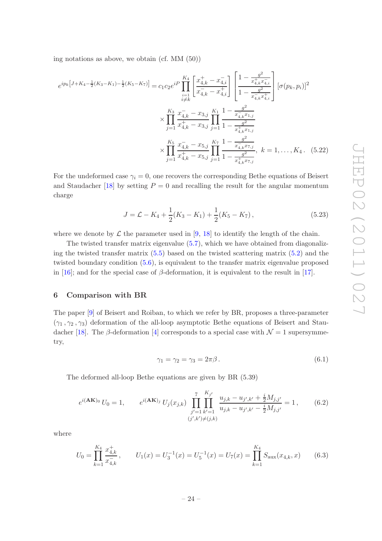ing notations as above, we obtain (cf. MM (50))

<span id="page-24-4"></span>
$$
e^{ip_k\left[J+K_4-\frac{1}{2}(K_3-K_1)-\frac{1}{2}(K_5-K_7)\right]} = c_1c_2e^{iP}\prod_{\substack{i=1\\i\neq k}}^{K_4}\left[\frac{x_{4,k}^+-x_{4,i}^-}{x_{4,k}^--x_{4,i}^+}\right]\left[\frac{1-\frac{g^2}{x_{4,k}^+-x_{4,i}^-}}{1-\frac{g^2}{x_{4,k}^--x_{4,i}^+}}\right] \left[\sigma(p_k,p_i)\right]^2
$$

$$
\times \prod_{j=1}^{K_3} \frac{x_{4,k}^--x_{3,j}}{x_{4,k}^+-x_{3,j}}\prod_{j=1}^{K_1}\frac{1-\frac{g^2}{x_{4,k}^--x_{1,j}^-}}{1-\frac{g^2}{x_{4,k}^+x_{1,j}^-}}\right]
$$

$$
\times \prod_{j=1}^{K_5} \frac{x_{4,k}^--x_{5,j}}{x_{4,k}^+-x_{5,j}}\prod_{j=1}^{K_7}\frac{1-\frac{g^2}{x_{4,k}^--x_{7,j}^-}}{1-\frac{g^2}{x_{4,k}^+x_{7,j}^-}}\,,\ k=1,\ldots,K_4\,. \tag{5.22}
$$

For the undeformed case  $\gamma_i = 0$ , one recovers the corresponding Bethe equations of Beisert and Staudacher [\[18\]](#page-43-1) by setting  $P = 0$  and recalling the result for the angular momentum charge

<span id="page-24-3"></span>
$$
J = \mathcal{L} - K_4 + \frac{1}{2}(K_3 - K_1) + \frac{1}{2}(K_5 - K_7),
$$
\n(5.23)

where we denote by  $\mathcal L$  the parameter used in [\[9](#page-42-4), [18](#page-43-1)] to identify the length of the chain.

The twisted transfer matrix eigenvalue  $(5.7)$ , which we have obtained from diagonalizing the twisted transfer matrix [\(5.5\)](#page-20-3) based on the twisted scattering matrix [\(5.2\)](#page-20-4) and the twisted boundary condition [\(5.6\)](#page-21-2), is equivalent to the transfer matrix eigenvalue proposed in [\[16](#page-43-10)]; and for the special case of  $\beta$ -deformation, it is equivalent to the result in [\[17\]](#page-43-0).

## <span id="page-24-0"></span>6 Comparison with BR

The paper [\[9](#page-42-4)] of Beisert and Roiban, to which we refer by BR, proposes a three-parameter  $(\gamma_1, \gamma_2, \gamma_3)$  deformation of the all-loop asymptotic Bethe equations of Beisert and Stau-dacher [\[18\]](#page-43-1). The β-deformation [\[4](#page-42-2)] corresponds to a special case with  $\mathcal{N}=1$  supersymmetry,

$$
\gamma_1 = \gamma_2 = \gamma_3 = 2\pi\beta. \tag{6.1}
$$

The deformed all-loop Bethe equations are given by BR (5.39)

<span id="page-24-1"></span>
$$
e^{i(\mathbf{AK})_0} U_0 = 1, \qquad e^{i(\mathbf{AK})_j} U_j(x_{j,k}) \prod_{\substack{j'=1 \ k'=1}}^7 \prod_{k'=1}^{K_{j'}} \frac{u_{j,k} - u_{j',k'} + \frac{i}{2} M_{j,j'}}{u_{j,k} - u_{j',k'} - \frac{i}{2} M_{j,j'}} = 1, \qquad (6.2)
$$

where

<span id="page-24-2"></span>
$$
U_0 = \prod_{k=1}^{K_4} \frac{x_{4,k}^+}{x_{4,k}^-}, \qquad U_1(x) = U_3^{-1}(x) = U_5^{-1}(x) = U_7(x) = \prod_{k=1}^{K_4} S_{\text{aux}}(x_{4,k}, x) \qquad (6.3)
$$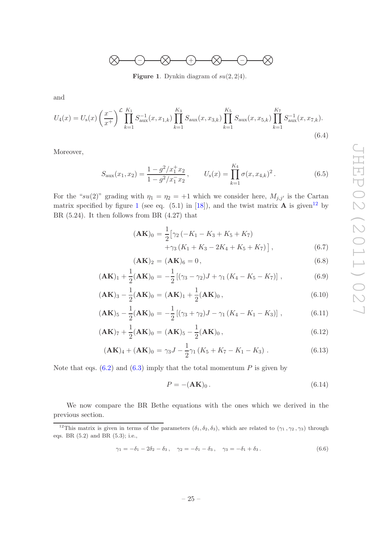

<span id="page-25-0"></span>**Figure 1.** Dynkin diagram of  $su(2, 2|4)$ .

and

$$
U_4(x) = U_8(x) \left(\frac{x^{-}}{x^{+}}\right)^{\mathcal{L}} \prod_{k=1}^{K_1} S_{\text{aux}}^{-1}(x, x_{1,k}) \prod_{k=1}^{K_3} S_{\text{aux}}(x, x_{3,k}) \prod_{k=1}^{K_5} S_{\text{aux}}(x, x_{5,k}) \prod_{k=1}^{K_7} S_{\text{aux}}^{-1}(x, x_{7,k}).
$$
\n(6.4)

Moreover,

<span id="page-25-4"></span>
$$
S_{\text{aux}}(x_1, x_2) = \frac{1 - g^2/x_1^+ x_2}{1 - g^2/x_1^- x_2}, \qquad U_{\text{s}}(x) = \prod_{k=1}^{K_4} \sigma(x, x_{4,k})^2.
$$
 (6.5)

For the "su(2)" grading with  $\eta_1 = \eta_2 = +1$  which we consider here,  $M_{j,j'}$  is the Cartan matrix specified by figure [1](#page-25-0) (see eq.  $(5.1)$  in [\[18](#page-43-1)]), and the twist matrix **A** is given<sup>[12](#page-25-1)</sup> by BR (5.24). It then follows from BR (4.27) that

<span id="page-25-2"></span>
$$
(\mathbf{AK})_0 = \frac{1}{2} \left[ \gamma_2 \left( -K_1 - K_3 + K_5 + K_7 \right) + \gamma_3 \left( K_1 + K_3 - 2K_4 + K_5 + K_7 \right) \right],\tag{6.7}
$$

$$
(\mathbf{AK})_2 = (\mathbf{AK})_6 = 0,\t(6.8)
$$

$$
(\mathbf{AK})_1 + \frac{1}{2}(\mathbf{AK})_0 = -\frac{1}{2} \left[ (\gamma_3 - \gamma_2) J + \gamma_1 \left( K_4 - K_5 - K_7 \right) \right],\tag{6.9}
$$

$$
(\mathbf{AK})_3 - \frac{1}{2}(\mathbf{AK})_0 = (\mathbf{AK})_1 + \frac{1}{2}(\mathbf{AK})_0,
$$
\n(6.10)

$$
(\mathbf{AK})_5 - \frac{1}{2}(\mathbf{AK})_0 = -\frac{1}{2} [(\gamma_3 + \gamma_2)J - \gamma_1 (K_4 - K_1 - K_3)], \qquad (6.11)
$$

$$
(\mathbf{AK})_7 + \frac{1}{2}(\mathbf{AK})_0 = (\mathbf{AK})_5 - \frac{1}{2}(\mathbf{AK})_0, \qquad (6.12)
$$

$$
(\mathbf{AK})_4 + (\mathbf{AK})_0 = \gamma_3 J - \frac{1}{2}\gamma_1 (K_5 + K_7 - K_1 - K_3) \,. \tag{6.13}
$$

Note that eqs.  $(6.2)$  and  $(6.3)$  imply that the total momentum P is given by

<span id="page-25-3"></span>
$$
P = -(\mathbf{AK})_0. \tag{6.14}
$$

We now compare the BR Bethe equations with the ones which we derived in the previous section.

<span id="page-25-5"></span>
$$
\gamma_1 = -\delta_1 - 2\delta_2 - \delta_3, \quad \gamma_2 = -\delta_1 - \delta_3, \quad \gamma_3 = -\delta_1 + \delta_3. \tag{6.6}
$$

<span id="page-25-1"></span><sup>&</sup>lt;sup>12</sup>This matrix is given in terms of the parameters  $(\delta_1, \delta_2, \delta_3)$ , which are related to  $(\gamma_1, \gamma_2, \gamma_3)$  through eqs. BR (5.2) and BR (5.3); i.e.,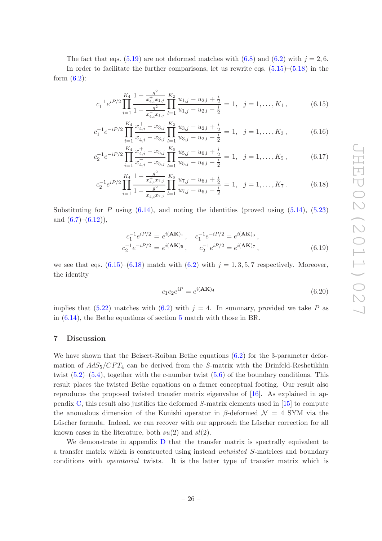The fact that eqs. [\(5.19\)](#page-23-0) are not deformed matches with [\(6.8\)](#page-25-2) and [\(6.2\)](#page-24-1) with  $j = 2, 6$ . In order to facilitate the further comparisons, let us rewrite eqs.  $(5.15)$ – $(5.18)$  in the form  $(6.2)$ :

$$
c_1^{-1}e^{iP/2}\prod_{i=1}^{K_4}\frac{1-\frac{g^2}{x_{4,i}^+x_{1,j}}}{1-\frac{g^2}{x_{4,i}^-x_{1,j}}}\prod_{l=1}^{K_2}\frac{u_{1,j}-u_{2,l}+\frac{i}{2}}{u_{1,j}-u_{2,l}-\frac{i}{2}}=1, \quad j=1,\ldots,K_1,
$$
(6.15)

$$
c_1^{-1}e^{-iP/2}\prod_{i=1}^{K_4}\frac{x_{4,i}^+-x_{3,j}}{x_{4,i}^--x_{3,j}}\prod_{l=1}^{K_2}\frac{u_{3,j}-u_{2,l}+\frac{i}{2}}{u_{3,j}-u_{2,l}-\frac{i}{2}}=1, \quad j=1,\ldots,K_3,
$$
 (6.16)

$$
c_2^{-1}e^{-iP/2}\prod_{i=1}^{K_4}\frac{x_{4,i}^+-x_{5,j}}{x_{4,i}^--x_{5,j}}\prod_{l=1}^{K_6}\frac{u_{5,j}-u_{6,l}+\frac{i}{2}}{u_{5,j}-u_{6,l}-\frac{i}{2}}=1, \quad j=1,\ldots,K_5,\tag{6.17}
$$

$$
c_2^{-1}e^{iP/2}\prod_{i=1}^{K_4}\frac{1-\frac{g^2}{x_{4,i}^4x_{7,j}}}{1-\frac{g^2}{x_{4,i}^2x_{7,j}}}\prod_{l=1}^{K_6}\frac{u_{7,j}-u_{6,l}+\frac{i}{2}}{u_{7,j}-u_{6,l}-\frac{i}{2}}=1, \quad j=1,\ldots,K_7.
$$
 (6.18)

Substituting for P using  $(6.14)$ , and noting the identities (proved using  $(5.14)$ ,  $(5.23)$ ) and  $(6.7)$ – $(6.12)$ ),

$$
c_1^{-1}e^{iP/2} = e^{i(\mathbf{AK})_1}, \quad c_1^{-1}e^{-iP/2} = e^{i(\mathbf{AK})_3},
$$
  
\n
$$
c_2^{-1}e^{-iP/2} = e^{i(\mathbf{AK})_5}, \quad c_2^{-1}e^{iP/2} = e^{i(\mathbf{AK})_7},
$$
\n(6.19)

we see that eqs.  $(6.15)$ – $(6.18)$  match with  $(6.2)$  with  $j = 1, 3, 5, 7$  respectively. Moreover, the identity

$$
c_1 c_2 e^{iP} = e^{i(\mathbf{AK})_4}
$$
\n(6.20)

implies that [\(5.22\)](#page-24-4) matches with [\(6.2\)](#page-24-1) with  $j = 4$ . In summary, provided we take P as in [\(6.14\)](#page-25-3), the Bethe equations of section [5](#page-20-0) match with those in BR.

## <span id="page-26-0"></span>7 Discussion

<span id="page-26-1"></span> $\epsilon$ 

We have shown that the Beisert-Roiban Bethe equations  $(6.2)$  for the 3-parameter deformation of  $AdS_5/CFT_4$  can be derived from the S-matrix with the Drinfeld-Reshetikhin twist  $(5.2)$ – $(5.4)$ , together with the c-number twist  $(5.6)$  of the boundary conditions. This result places the twisted Bethe equations on a firmer conceptual footing. Our result also reproduces the proposed twisted transfer matrix eigenvalue of [\[16\]](#page-43-10). As explained in appendix  $C$ , this result also justifies the deformed  $S$ -matrix elements used in [\[15](#page-42-5)] to compute the anomalous dimension of the Konishi operator in β-deformed  $\mathcal{N} = 4$  SYM via the Lüscher formula. Indeed, we can recover with our approach the Lüscher correction for all known cases in the literature, both  $su(2)$  and  $sl(2)$ .

We demonstrate in appendix [D](#page-32-0) that the transfer matrix is spectrally equivalent to a transfer matrix which is constructed using instead *untwisted* S-matrices and boundary conditions with *operatorial* twists. It is the latter type of transfer matrix which is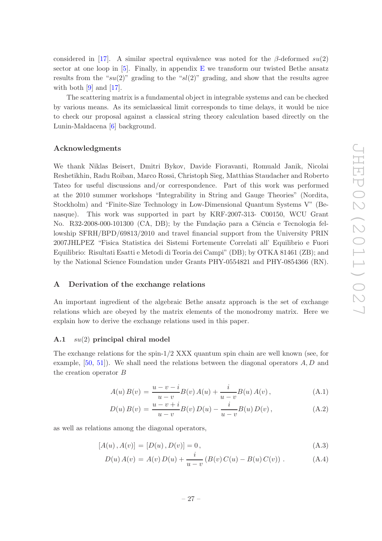considered in [\[17](#page-43-0)]. A similar spectral equivalence was noted for the  $\beta$ -deformed su(2) sector at one loop in  $[5]$ . Finally, in appendix [E](#page-35-1) we transform our twisted Bethe ansatz results from the " $su(2)$ " grading to the " $sl(2)$ " grading, and show that the results agree with both  $[9]$  and  $[17]$ .

The scattering matrix is a fundamental object in integrable systems and can be checked by various means. As its semiclassical limit corresponds to time delays, it would be nice to check our proposal against a classical string theory calculation based directly on the Lunin-Maldacena [\[6](#page-42-3)] background.

# Acknowledgments

We thank Niklas Beisert, Dmitri Bykov, Davide Fioravanti, Romuald Janik, Nicolai Reshetikhin, Radu Roiban, Marco Rossi, Christoph Sieg, Matthias Staudacher and Roberto Tateo for useful discussions and/or correspondence. Part of this work was performed at the 2010 summer workshops "Integrability in String and Gauge Theories" (Nordita, Stockholm) and "Finite-Size Technology in Low-Dimensional Quantum Systems V" (Benasque). This work was supported in part by KRF-2007-313- C00150, WCU Grant No. R32-2008-000-101300 (CA, DB); by the Fundação para a Ciência e Tecnologia fellowship SFRH/BPD/69813/2010 and travel financial support from the University PRIN 2007JHLPEZ "Fisica Statistica dei Sistemi Fortemente Correlati all' Equilibrio e Fuori Equilibrio: Risultati Esatti e Metodi di Teoria dei Campi" (DB); by OTKA 81461 (ZB); and by the National Science Foundation under Grants PHY-0554821 and PHY-0854366 (RN).

## <span id="page-27-0"></span>A Derivation of the exchange relations

An important ingredient of the algebraic Bethe ansatz approach is the set of exchange relations which are obeyed by the matrix elements of the monodromy matrix. Here we explain how to derive the exchange relations used in this paper.

# <span id="page-27-1"></span>A.1 su(2) principal chiral model

The exchange relations for the spin- $1/2$  XXX quantum spin chain are well known (see, for example,  $[50, 51]$  $[50, 51]$ . We shall need the relations between the diagonal operators  $A, D$  and the creation operator B

<span id="page-27-3"></span>
$$
A(u) B(v) = \frac{u - v - i}{u - v} B(v) A(u) + \frac{i}{u - v} B(u) A(v), \qquad (A.1)
$$

$$
D(u) B(v) = \frac{u - v + i}{u - v} B(v) D(u) - \frac{i}{u - v} B(u) D(v), \qquad (A.2)
$$

as well as relations among the diagonal operators,

<span id="page-27-2"></span>
$$
[A(u), A(v)] = [D(u), D(v)] = 0,
$$
\n(A.3)

$$
D(u) A(v) = A(v) D(u) + \frac{i}{u - v} (B(v) C(u) - B(u) C(v)).
$$
 (A.4)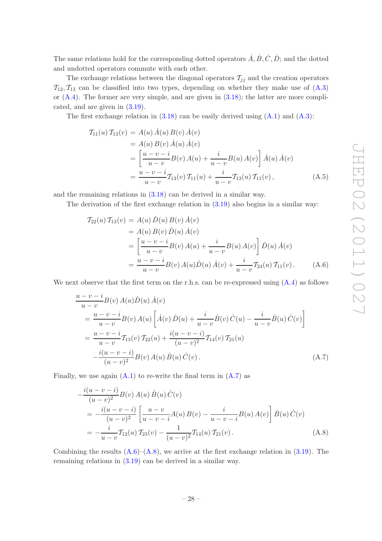The same relations hold for the corresponding dotted operators  $\dot{A}, \dot{B}, \dot{C}, \dot{D}$ ; and the dotted and undotted operators commute with each other.

The exchange relations between the diagonal operators  $\mathcal{T}_{jj}$  and the creation operators  $\mathcal{T}_{12}, \mathcal{T}_{13}$  can be classified into two types, depending on whether they make use of  $(A.3)$ or  $(A.4)$ . The former are very simple, and are given in  $(3.18)$ ; the latter are more complicated, and are given in [\(3.19\)](#page-11-1).

The first exchange relation in  $(3.18)$  can be easily derived using  $(A.1)$  and  $(A.3)$ :

$$
T_{11}(u) T_{13}(v) = A(u) \dot{A}(u) B(v) \dot{A}(v)
$$
  
=  $A(u) B(v) \dot{A}(u) \dot{A}(v)$   
=  $\left[ \frac{u - v - i}{u - v} B(v) A(u) + \frac{i}{u - v} B(u) A(v) \right] \dot{A}(u) \dot{A}(v)$   
=  $\frac{u - v - i}{u - v} T_{13}(v) T_{11}(u) + \frac{i}{u - v} T_{13}(u) T_{11}(v)$ , (A.5)

and the remaining relations in [\(3.18\)](#page-10-5) can be derived in a similar way.

The derivation of the first exchange relation in [\(3.19\)](#page-11-1) also begins in a similar way:

<span id="page-28-1"></span>
$$
T_{22}(u) T_{13}(v) = A(u) D(u) B(v) \dot{A}(v)
$$
  
=  $A(u) B(v) D(u) \dot{A}(v)$   
=  $\left[ \frac{u - v - i}{u - v} B(v) A(u) + \frac{i}{u - v} B(u) A(v) \right] D(u) \dot{A}(v)$   
=  $\frac{u - v - i}{u - v} B(v) A(u) D(u) \dot{A}(v) + \frac{i}{u - v} T_{24}(u) T_{11}(v)$ . (A.6)

We next observe that the first term on the r.h.s. can be re-expressed using  $(A.4)$  as follows

<span id="page-28-0"></span>
$$
\frac{u - v - i}{u - v} B(v) A(u) \dot{D}(u) \dot{A}(v)
$$
\n
$$
= \frac{u - v - i}{u - v} B(v) A(u) \left[ \dot{A}(v) \dot{D}(u) + \frac{i}{u - v} \dot{B}(v) \dot{C}(u) - \frac{i}{u - v} \dot{B}(u) \dot{C}(v) \right]
$$
\n
$$
= \frac{u - v - i}{u - v} T_{13}(v) T_{22}(u) + \frac{i(u - v - i)}{(u - v)^2} T_{14}(v) T_{21}(u)
$$
\n
$$
- \frac{i(u - v - i)}{(u - v)^2} B(v) A(u) \dot{B}(u) \dot{C}(v).
$$
\n(A.7)

Finally, we use again  $(A.1)$  to re-write the final term in  $(A.7)$  as

<span id="page-28-2"></span>
$$
-\frac{i(u-v-i)}{(u-v)^2}B(v) A(u) \dot{B}(u) \dot{C}(v)
$$
  
=\frac{i(u-v-i)}{(u-v)^2} \left[ \frac{u-v}{u-v-i} A(u) B(v) - \frac{i}{u-v-i} B(u) A(v) \right] \dot{B}(u) \dot{C}(v)  
=\frac{i}{u-v} T\_{12}(u) T\_{23}(v) - \frac{1}{(u-v)^2} T\_{14}(u) T\_{21}(v). (A.8)

Combining the results  $(A.6)$ – $(A.8)$ , we arrive at the first exchange relation in  $(3.19)$ . The remaining relations in [\(3.19\)](#page-11-1) can be derived in a similar way.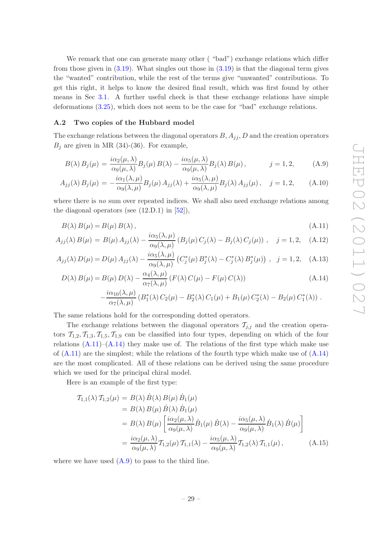We remark that one can generate many other ("bad") exchange relations which differ from those given in [\(3.19\)](#page-11-1). What singles out those in [\(3.19\)](#page-11-1) is that the diagonal term gives the "wanted" contribution, while the rest of the terms give "unwanted" contributions. To get this right, it helps to know the desired final result, which was first found by other means in Sec [3.1.](#page-9-0) A further useful check is that these exchange relations have simple deformations [\(3.25\)](#page-13-0), which does not seem to be the case for "bad" exchange relations.

## <span id="page-29-0"></span>A.2 Two copies of the Hubbard model

The exchange relations between the diagonal operators  $B, A_{jj}, D$  and the creation operators  $B_j$  are given in MR (34)-(36). For example,

<span id="page-29-2"></span>
$$
B(\lambda) B_j(\mu) = \frac{i\alpha_2(\mu, \lambda)}{\alpha_9(\mu, \lambda)} B_j(\mu) B(\lambda) - \frac{i\alpha_5(\mu, \lambda)}{\alpha_9(\mu, \lambda)} B_j(\lambda) B(\mu), \qquad j = 1, 2,
$$
 (A.9)

$$
A_{jj}(\lambda) B_j(\mu) = -\frac{i\alpha_1(\lambda,\mu)}{\alpha_9(\lambda,\mu)} B_j(\mu) A_{jj}(\lambda) + \frac{i\alpha_5(\lambda,\mu)}{\alpha_9(\lambda,\mu)} B_j(\lambda) A_{jj}(\mu), \quad j = 1, 2,
$$
 (A.10)

where there is *no* sum over repeated indices. We shall also need exchange relations among the diagonal operators (see  $(12.D.1)$  in  $[52]$ ),

<span id="page-29-1"></span>
$$
B(\lambda) B(\mu) = B(\mu) B(\lambda), \qquad (A.11)
$$

$$
A_{jj}(\lambda) B(\mu) = B(\mu) A_{jj}(\lambda) - \frac{i\alpha_5(\lambda, \mu)}{\alpha_9(\lambda, \mu)} (B_j(\mu) C_j(\lambda) - B_j(\lambda) C_j(\mu)), \quad j = 1, 2, \quad (A.12)
$$

$$
A_{jj}(\lambda) D(\mu) = D(\mu) A_{jj}(\lambda) - \frac{i\alpha_5(\lambda, \mu)}{\alpha_9(\lambda, \mu)} \left( C_j^*(\mu) B_j^*(\lambda) - C_j^*(\lambda) B_j^*(\mu) \right) , \quad j = 1, 2, \quad (A.13)
$$

$$
D(\lambda) B(\mu) = B(\mu) D(\lambda) - \frac{\alpha_4(\lambda, \mu)}{\alpha_7(\lambda, \mu)} (F(\lambda) C(\mu) - F(\mu) C(\lambda))
$$
\n(A.14)

$$
-\frac{i\alpha_{10}(\lambda,\mu)}{\alpha_7(\lambda,\mu)}\left(B_1^*(\lambda) C_2(\mu) - B_2^*(\lambda) C_1(\mu) + B_1(\mu) C_2^*(\lambda) - B_2(\mu) C_1^*(\lambda)\right).
$$

The same relations hold for the corresponding dotted operators.

The exchange relations between the diagonal operators  $\mathcal{T}_{j,i}$  and the creation operators  $T_{1,2}, T_{1,3}, T_{1,5}, T_{1,9}$  can be classified into four types, depending on which of the four relations  $(A.11)$ – $(A.14)$  they make use of. The relations of the first type which make use of  $(A.11)$  are the simplest; while the relations of the fourth type which make use of  $(A.14)$ are the most complicated. All of these relations can be derived using the same procedure which we used for the principal chiral model.

Here is an example of the first type:

$$
T_{1,1}(\lambda) T_{1,2}(\mu) = B(\lambda) \dot{B}(\lambda) B(\mu) \dot{B}_1(\mu)
$$
  
\n
$$
= B(\lambda) B(\mu) \dot{B}(\lambda) \dot{B}_1(\mu)
$$
  
\n
$$
= B(\lambda) B(\mu) \left[ \frac{i\alpha_2(\mu, \lambda)}{\alpha_9(\mu, \lambda)} \dot{B}_1(\mu) \dot{B}(\lambda) - \frac{i\alpha_5(\mu, \lambda)}{\alpha_9(\mu, \lambda)} \dot{B}_1(\lambda) \dot{B}(\mu) \right]
$$
  
\n
$$
= \frac{i\alpha_2(\mu, \lambda)}{\alpha_9(\mu, \lambda)} T_{1,2}(\mu) T_{1,1}(\lambda) - \frac{i\alpha_5(\mu, \lambda)}{\alpha_9(\mu, \lambda)} T_{1,2}(\lambda) T_{1,1}(\mu),
$$
 (A.15)

where we have used [\(A.9\)](#page-29-2) to pass to the third line.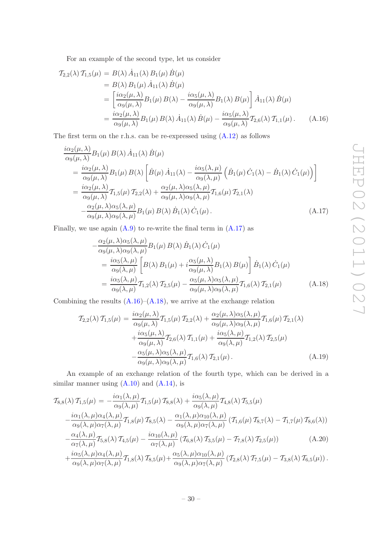For an example of the second type, let us consider

<span id="page-30-1"></span>
$$
T_{2,2}(\lambda) T_{1,5}(\mu) = B(\lambda) \dot{A}_{11}(\lambda) B_1(\mu) \dot{B}(\mu)
$$
  
\n
$$
= B(\lambda) B_1(\mu) \dot{A}_{11}(\lambda) \dot{B}(\mu)
$$
  
\n
$$
= \left[ \frac{i\alpha_2(\mu, \lambda)}{\alpha_9(\mu, \lambda)} B_1(\mu) B(\lambda) - \frac{i\alpha_5(\mu, \lambda)}{\alpha_9(\mu, \lambda)} B_1(\lambda) B(\mu) \right] \dot{A}_{11}(\lambda) \dot{B}(\mu)
$$
  
\n
$$
= \frac{i\alpha_2(\mu, \lambda)}{\alpha_9(\mu, \lambda)} B_1(\mu) B(\lambda) \dot{A}_{11}(\lambda) \dot{B}(\mu) - \frac{i\alpha_5(\mu, \lambda)}{\alpha_9(\mu, \lambda)} T_{2,6}(\lambda) T_{1,1}(\mu).
$$
 (A.16)

The first term on the r.h.s. can be re-expressed using  $(A.12)$  as follows

<span id="page-30-0"></span>
$$
\frac{i\alpha_2(\mu,\lambda)}{\alpha_9(\mu,\lambda)} B_1(\mu) B(\lambda) \dot{A}_{11}(\lambda) \dot{B}(\mu)
$$
\n
$$
= \frac{i\alpha_2(\mu,\lambda)}{\alpha_9(\mu,\lambda)} B_1(\mu) B(\lambda) \left[ \dot{B}(\mu) \dot{A}_{11}(\lambda) - \frac{i\alpha_5(\lambda,\mu)}{\alpha_9(\lambda,\mu)} \left( \dot{B}_1(\mu) \dot{C}_1(\lambda) - \dot{B}_1(\lambda) \dot{C}_1(\mu) \right) \right]
$$
\n
$$
= \frac{i\alpha_2(\mu,\lambda)}{\alpha_9(\mu,\lambda)} T_{1,5}(\mu) T_{2,2}(\lambda) + \frac{\alpha_2(\mu,\lambda)\alpha_5(\lambda,\mu)}{\alpha_9(\mu,\lambda)\alpha_9(\lambda,\mu)} T_{1,6}(\mu) T_{2,1}(\lambda)
$$
\n
$$
- \frac{\alpha_2(\mu,\lambda)\alpha_5(\lambda,\mu)}{\alpha_9(\mu,\lambda)\alpha_9(\lambda,\mu)} B_1(\mu) B(\lambda) \dot{B}_1(\lambda) \dot{C}_1(\mu).
$$
\n(A.17)

Finally, we use again  $(A.9)$  to re-write the final term in  $(A.17)$  as

<span id="page-30-2"></span>
$$
-\frac{\alpha_2(\mu,\lambda)\alpha_5(\lambda,\mu)}{\alpha_9(\mu,\lambda)\alpha_9(\lambda,\mu)}B_1(\mu) B(\lambda) \dot{B}_1(\lambda) \dot{C}_1(\mu)
$$
  
= 
$$
\frac{i\alpha_5(\lambda,\mu)}{\alpha_9(\lambda,\mu)} \left[B(\lambda) B_1(\mu) + i\frac{\alpha_5(\mu,\lambda)}{\alpha_9(\mu,\lambda)} B_1(\lambda) B(\mu)\right] \dot{B}_1(\lambda) \dot{C}_1(\mu)
$$
  
= 
$$
\frac{i\alpha_5(\lambda,\mu)}{\alpha_9(\lambda,\mu)} T_{1,2}(\lambda) T_{2,5}(\mu) - \frac{\alpha_5(\mu,\lambda)\alpha_5(\lambda,\mu)}{\alpha_9(\mu,\lambda)\alpha_9(\lambda,\mu)} T_{1,6}(\lambda) T_{2,1}(\mu)
$$
(A.18)

Combining the results  $(A.16)$ – $(A.18)$ , we arrive at the exchange relation

$$
\mathcal{T}_{2,2}(\lambda)\,\mathcal{T}_{1,5}(\mu) = \frac{i\alpha_2(\mu,\lambda)}{\alpha_9(\mu,\lambda)}\mathcal{T}_{1,5}(\mu)\,\mathcal{T}_{2,2}(\lambda) + \frac{\alpha_2(\mu,\lambda)\alpha_5(\lambda,\mu)}{\alpha_9(\mu,\lambda)\alpha_9(\lambda,\mu)}\mathcal{T}_{1,6}(\mu)\,\mathcal{T}_{2,1}(\lambda) \n+ \frac{i\alpha_5(\mu,\lambda)}{\alpha_9(\mu,\lambda)}\mathcal{T}_{2,6}(\lambda)\,\mathcal{T}_{1,1}(\mu) + \frac{i\alpha_5(\lambda,\mu)}{\alpha_9(\lambda,\mu)}\mathcal{T}_{1,2}(\lambda)\,\mathcal{T}_{2,5}(\mu) \n- \frac{\alpha_5(\mu,\lambda)\alpha_5(\lambda,\mu)}{\alpha_9(\mu,\lambda)\alpha_9(\lambda,\mu)}\mathcal{T}_{1,6}(\lambda)\,\mathcal{T}_{2,1}(\mu).
$$
\n(A.19)

An example of an exchange relation of the fourth type, which can be derived in a similar manner using  $(A.10)$  and  $(A.14)$ , is

$$
T_{8,8}(\lambda) T_{1,5}(\mu) = -\frac{i\alpha_1(\lambda,\mu)}{\alpha_9(\lambda,\mu)} T_{1,5}(\mu) T_{8,8}(\lambda) + \frac{i\alpha_5(\lambda,\mu)}{\alpha_9(\lambda,\mu)} T_{4,8}(\lambda) T_{5,5}(\mu)
$$
  

$$
-\frac{i\alpha_1(\lambda,\mu)\alpha_4(\lambda,\mu)}{\alpha_9(\lambda,\mu)\alpha_7(\lambda,\mu)} T_{1,8}(\mu) T_{8,5}(\lambda) - \frac{\alpha_1(\lambda,\mu)\alpha_{10}(\lambda,\mu)}{\alpha_9(\lambda,\mu)\alpha_7(\lambda,\mu)} (T_{1,6}(\mu) T_{8,7}(\lambda) - T_{1,7}(\mu) T_{8,6}(\lambda))
$$
  

$$
-\frac{\alpha_4(\lambda,\mu)}{\alpha_7(\lambda,\mu)} T_{5,8}(\lambda) T_{4,5}(\mu) - \frac{i\alpha_{10}(\lambda,\mu)}{\alpha_7(\lambda,\mu)} (T_{6,8}(\lambda) T_{3,5}(\mu) - T_{7,8}(\lambda) T_{2,5}(\mu))
$$
(A.20)  

$$
+\frac{i\alpha_5(\lambda,\mu)\alpha_4(\lambda,\mu)}{\alpha_9(\lambda,\mu)\alpha_9(\lambda,\mu)} T_{1,8}(\lambda) T_{8,5}(\mu) + \frac{\alpha_5(\lambda,\mu)\alpha_{10}(\lambda,\mu)}{\alpha_9(\lambda,\mu)\alpha_9(\lambda,\mu)} (T_{2,8}(\lambda) T_{7,5}(\mu) - T_{3,8}(\lambda) T_{6,5}(\mu)).
$$

$$
+\frac{\alpha_{5}(\lambda,\mu)\alpha_{4}(\lambda,\mu)}{\alpha_{9}(\lambda,\mu)\alpha_{7}(\lambda,\mu)}T_{1,8}(\lambda) T_{8,5}(\mu)+\frac{\alpha_{5}(\lambda,\mu)\alpha_{10}(\lambda,\mu)}{\alpha_{9}(\lambda,\mu)\alpha_{7}(\lambda,\mu)}\left(T_{2,8}(\lambda) T_{7,5}(\mu)-T_{3,8}(\lambda) T_{6,5}(\mu)\right).
$$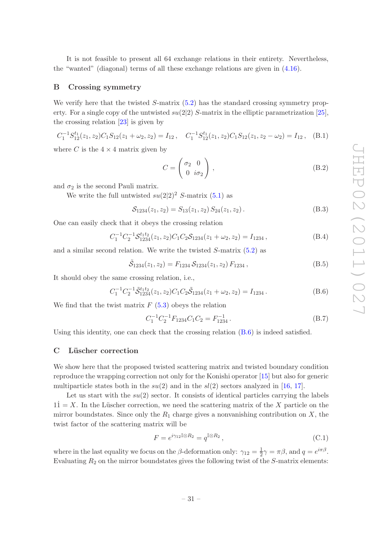It is not feasible to present all 64 exchange relations in their entirety. Nevertheless, the "wanted" (diagonal) terms of all these exchange relations are given in [\(4.16\)](#page-17-2).

# <span id="page-31-0"></span>B Crossing symmetry

We verify here that the twisted  $S$ -matrix  $(5.2)$  has the standard crossing symmetry property. For a single copy of the untwisted  $su(2|2)$  S-matrix in the elliptic parametrization [\[25\]](#page-43-16), the crossing relation [\[23](#page-43-17)] is given by

$$
C_1^{-1}S_{12}^{t_1}(z_1, z_2)C_1S_{12}(z_1 + \omega_2, z_2) = I_{12}, \quad C_1^{-1}S_{12}^{t_1}(z_1, z_2)C_1S_{12}(z_1, z_2 - \omega_2) = I_{12}, \quad (B.1)
$$

where C is the  $4 \times 4$  matrix given by

$$
C = \begin{pmatrix} \sigma_2 & 0 \\ 0 & i\sigma_2 \end{pmatrix}, \tag{B.2}
$$

and  $\sigma_2$  is the second Pauli matrix.

We write the full untwisted  $su(2|2)^2$  S-matrix [\(5.1\)](#page-20-5) as

$$
S_{1234}(z_1, z_2) = S_{13}(z_1, z_2) S_{24}(z_1, z_2).
$$
 (B.3)

One can easily check that it obeys the crossing relation

$$
C_1^{-1}C_2^{-1}S_{1234}^{t_1t_2}(z_1, z_2)C_1C_2S_{1234}(z_1 + \omega_2, z_2) = I_{1234}, \qquad (B.4)
$$

and a similar second relation. We write the twisted S-matrix [\(5.2\)](#page-20-4) as

$$
\tilde{S}_{1234}(z_1, z_2) = F_{1234} S_{1234}(z_1, z_2) F_{1234}, \qquad (B.5)
$$

It should obey the same crossing relation, i.e.,

<span id="page-31-2"></span>
$$
C_1^{-1}C_2^{-1}\tilde{\mathcal{S}}_{1234}^{t_1t_2}(z_1, z_2)C_1C_2\tilde{\mathcal{S}}_{1234}(z_1 + \omega_2, z_2) = I_{1234}.
$$
 (B.6)

We find that the twist matrix  $F(5.3)$  $F(5.3)$  obeys the relation

$$
C_1^{-1}C_2^{-1}F_{1234}C_1C_2 = F_{1234}^{-1}.
$$
\n(B.7)

<span id="page-31-1"></span>Using this identity, one can check that the crossing relation [\(B.6\)](#page-31-2) is indeed satisfied.

# C Lüscher correction

We show here that the proposed twisted scattering matrix and twisted boundary condition reproduce the wrapping correction not only for the Konishi operator [\[15](#page-42-5)] but also for generic multiparticle states both in the  $su(2)$  and in the  $sl(2)$  sectors analyzed in [\[16,](#page-43-10) [17](#page-43-0)].

Let us start with the  $su(2)$  sector. It consists of identical particles carrying the labels  $11 = X$ . In the Lüscher correction, we need the scattering matrix of the X particle on the mirror boundstates. Since only the  $R_1$  charge gives a nonvanishing contribution on  $X$ , the twist factor of the scattering matrix will be

$$
F = e^{i\gamma_{12}\mathbb{I}\otimes R_2} = q^{\mathbb{I}\otimes R_2},\tag{C.1}
$$

where in the last equality we focus on the  $\beta$ -deformation only:  $\gamma_{12} = \frac{1}{2}$  $\frac{1}{2}\gamma = \pi \beta$ , and  $q = e^{i\pi \beta}$ . Evaluating  $R_2$  on the mirror boundstates gives the following twist of the S-matrix elements: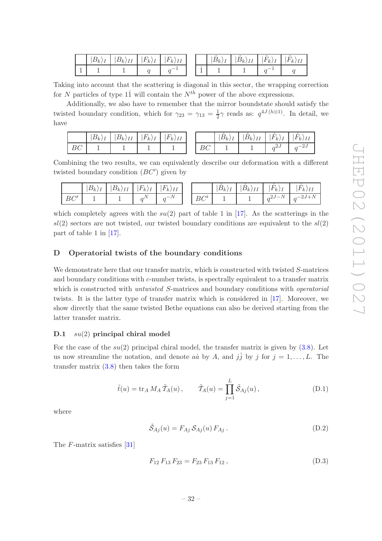|   | ${}^{\shortmid}B_k$<br>- | <b>T</b><br>$B_k$<br>$\frac{1}{2}$ | $F_{k}$<br>1 | $\tau$<br>IΙ<br>$ F_k\rangle$ |  | $ B_k\rangle_{I}$ | $B_k$<br>$\overline{1}$ | -<br>k <sub>i</sub><br>$\overline{ }$<br><b>x</b> | $k_{k}$<br>' 1 1 |
|---|--------------------------|------------------------------------|--------------|-------------------------------|--|-------------------|-------------------------|---------------------------------------------------|------------------|
| - |                          |                                    |              |                               |  |                   |                         |                                                   |                  |

Taking into account that the scattering is diagonal in this sector, the wrapping correction for N particles of type 11 will contain the  $N^{th}$  power of the above expressions.

Additionally, we also have to remember that the mirror boundstate should satisfy the twisted boundary condition, which for  $\gamma_{23} = \gamma_{13} = \frac{1}{2}$  $\frac{1}{2}\gamma$  reads as:  $q^{4J(h\otimes 1)}$ . In detail, we have

|                   | $ B_k\rangle$<br>- 33<br>$\overline{1}$ | $ B_k\rangle_{II}$ | $\overline{ }$<br>$ F_k\rangle$<br>. T<br>$\mathbf{I}$ | $ F_k\rangle$<br>$\overline{I}$ |                                          | $ B_{k/\lambda} $ | $\overline{ }$<br>$ B_k\rangle$<br>T<br>11 | $\overline{ }$<br>H<br>T<br>$k_{\cdot}$<br>$\mathbf{I}$ | $\overline{ }$<br>$ F_k\rangle$<br>II |
|-------------------|-----------------------------------------|--------------------|--------------------------------------------------------|---------------------------------|------------------------------------------|-------------------|--------------------------------------------|---------------------------------------------------------|---------------------------------------|
| $D\cap$<br>╰<br>৴ |                                         |                    |                                                        |                                 | $\overline{\phantom{0}}$<br>$\sim$<br>DU |                   |                                            | ل∍شہہ                                                   | $-$<br>رے∵<br>$\sim$                  |

Combining the two results, we can equivalently describe our deformation with a different twisted boundary condition  $(BC')$  given by

|                               | $ B_k\rangle$<br><b>.</b> | $\overline{ }$<br>(Dk)II | $\Gamma$<br>$H_1$<br>$\kappa$<br>$\overline{r}$<br>$\overline{ }$ | $F_{k}$<br><b>T</b> T<br>111 |    | $ B_k $ | $\mathcal{D}$<br><b>T</b> T<br>$D_k$<br>$\frac{1}{2}$ | $\tau$<br>$H_1$<br>$\kappa$<br>$\overline{r}$<br>$\overline{ }$ | $\overline{ }$<br>, F 1<br>$\kappa$<br>$\overline{1}$ |
|-------------------------------|---------------------------|--------------------------|-------------------------------------------------------------------|------------------------------|----|---------|-------------------------------------------------------|-----------------------------------------------------------------|-------------------------------------------------------|
| $\overline{\phantom{a}}$<br>∼ |                           |                          | $\sim$                                                            | $\mathbf{A}$<br>$\sim$ –     | D∪ |         |                                                       | $\mathbf{A}$<br>_<br>$\sim$ 4 $\sigma$<br>.                     | $\mathbf{A}$<br>_<br>- س∠<br>$\sim$<br>−∸             |

which completely agrees with the  $su(2)$  part of table 1 in [\[17\]](#page-43-0). As the scatterings in the  $sl(2)$  sectors are not twisted, our twisted boundary conditions are equivalent to the  $sl(2)$ part of table 1 in [\[17](#page-43-0)].

# <span id="page-32-0"></span>D Operatorial twists of the boundary conditions

We demonstrate here that our transfer matrix, which is constructed with twisted S-matrices and boundary conditions with c-number twists, is spectrally equivalent to a transfer matrix which is constructed with *untwisted* S-matrices and boundary conditions with *operatorial* twists. It is the latter type of transfer matrix which is considered in [\[17\]](#page-43-0). Moreover, we show directly that the same twisted Bethe equations can also be derived starting from the latter transfer matrix.

# <span id="page-32-1"></span>D.1  $su(2)$  principal chiral model

For the case of the  $su(2)$  principal chiral model, the transfer matrix is given by  $(3.8)$ . Let us now streamline the notation, and denote  $a\dot{a}$  by A, and  $j\dot{j}$  by j for  $j = 1, \ldots, L$ . The transfer matrix  $(3.8)$  then takes the form

<span id="page-32-2"></span>
$$
\tilde{t}(u) = \text{tr}_A M_A \tilde{T}_A(u), \qquad \tilde{T}_A(u) = \prod_{j=1}^L \tilde{S}_{Aj}(u), \qquad (D.1)
$$

where

$$
\tilde{S}_{Aj}(u) = F_{Aj} S_{Aj}(u) F_{Aj}.
$$
\n(D.2)

The F-matrix satisfies [\[31](#page-43-8)]

$$
F_{12} F_{13} F_{23} = F_{23} F_{13} F_{12}, \qquad (D.3)
$$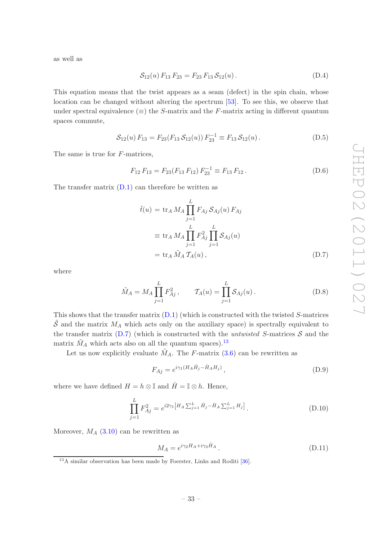as well as

$$
S_{12}(u) F_{13} F_{23} = F_{23} F_{13} S_{12}(u).
$$
 (D.4)

This equation means that the twist appears as a seam (defect) in the spin chain, whose location can be changed without altering the spectrum [\[53](#page-44-13)]. To see this, we observe that under spectral equivalence  $(\equiv)$  the S-matrix and the F-matrix acting in different quantum spaces commute,

$$
S_{12}(u) F_{13} = F_{23}(F_{13} S_{12}(u)) F_{23}^{-1} \equiv F_{13} S_{12}(u).
$$
 (D.5)

The same is true for F-matrices,

$$
F_{12} F_{13} = F_{23} (F_{13} F_{12}) F_{23}^{-1} \equiv F_{13} F_{12} .
$$
 (D.6)

The transfer matrix  $(D.1)$  can therefore be written as

<span id="page-33-0"></span>
$$
\tilde{t}(u) = \text{tr}_A M_A \prod_{j=1}^L F_{Aj} S_{Aj}(u) F_{Aj} \n\equiv \text{tr}_A M_A \prod_{j=1}^L F_{Aj}^2 \prod_{j=1}^L S_{Aj}(u) \n= \text{tr}_A \tilde{M}_A T_A(u),
$$
\n(D.7)

where

<span id="page-33-2"></span>
$$
\tilde{M}_A = M_A \prod_{j=1}^L F_{Aj}^2
$$
,  $\qquad \mathcal{T}_A(u) = \prod_{j=1}^L \mathcal{S}_{Aj}(u)$ . (D.8)

This shows that the transfer matrix  $(D.1)$  (which is constructed with the twisted S-matrices  $\tilde{\mathcal{S}}$  and the matrix  $M_A$  which acts only on the auxiliary space) is spectrally equivalent to the transfer matrix  $(D.7)$  (which is constructed with the *untwisted* S-matrices S and the matrix  $\tilde{M}_A$  which acts also on all the quantum spaces).<sup>[13](#page-33-1)</sup>

Let us now explicitly evaluate  $\tilde{M}_A$ . The F-matrix [\(3.6\)](#page-8-4) can be rewritten as

$$
F_{Aj} = e^{i\gamma_1(H_A\dot{H}_j - \dot{H}_A H_j)}, \qquad (D.9)
$$

where we have defined  $H = h \otimes \mathbb{I}$  and  $\dot{H} = \mathbb{I} \otimes h$ . Hence,

$$
\prod_{j=1}^{L} F_{Aj}^{2} = e^{i2\gamma_{1} \left[ H_{A} \sum_{j=1}^{L} \dot{H}_{j} - \dot{H}_{A} \sum_{j=1}^{L} H_{j} \right]}.
$$
\n(D.10)

Moreover,  $M_A$  [\(3.10\)](#page-9-5) can be rewritten as

$$
M_A = e^{i\gamma_2 H_A + i\gamma_3 \dot{H}_A}.
$$
\n(D.11)

<span id="page-33-1"></span><sup>&</sup>lt;sup>13</sup>A similar observation has been made by Foerster, Links and Roditi [\[36](#page-44-0)].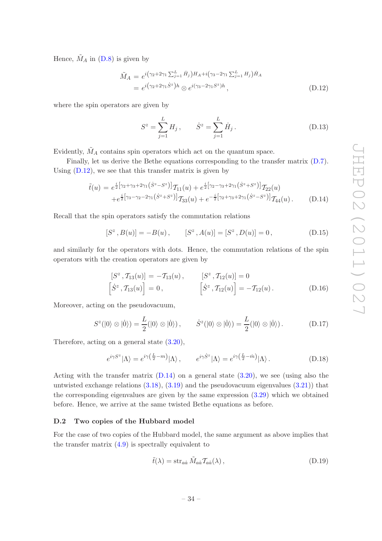Hence,  $\tilde{M}_A$  in [\(D.8\)](#page-33-2) is given by

<span id="page-34-1"></span>
$$
\tilde{M}_A = e^{i(\gamma_2 + 2\gamma_1 \sum_{j=1}^L \dot{H}_j)H_A + i(\gamma_3 - 2\gamma_1 \sum_{j=1}^L H_j)\dot{H}_A}
$$
\n
$$
= e^{i(\gamma_2 + 2\gamma_1 \dot{S}^z)h} \otimes e^{i(\gamma_3 - 2\gamma_1 S^z)h}, \qquad (D.12)
$$

where the spin operators are given by

$$
S^{z} = \sum_{j=1}^{L} H_{j}, \qquad \dot{S}^{z} = \sum_{j=1}^{L} \dot{H}_{j}.
$$
 (D.13)

Evidently,  $\tilde{M}_A$  contains spin operators which act on the quantum space.

Finally, let us derive the Bethe equations corresponding to the transfer matrix [\(D.7\)](#page-33-0). Using  $(D.12)$ , we see that this transfer matrix is given by

<span id="page-34-2"></span>
$$
\tilde{t}(u) = e^{\frac{i}{2} [\gamma_2 + \gamma_3 + 2\gamma_1 (\dot{S}^z - S^z)]} \mathcal{T}_{11}(u) + e^{\frac{i}{2} [\gamma_2 - \gamma_3 + 2\gamma_1 (\dot{S}^z + S^z)]} \mathcal{T}_{22}(u) \n+ e^{\frac{i}{2} [\gamma_3 - \gamma_2 - 2\gamma_1 (\dot{S}^z + S^z)]} \mathcal{T}_{33}(u) + e^{-\frac{i}{2} [\gamma_2 + \gamma_3 + 2\gamma_1 (\dot{S}^z - S^z)]} \mathcal{T}_{44}(u).
$$
\n(D.14)

Recall that the spin operators satisfy the commutation relations

$$
[S^z, B(u)] = -B(u), \qquad [S^z, A(u)] = [S^z, D(u)] = 0,
$$
 (D.15)

and similarly for the operators with dots. Hence, the commutation relations of the spin operators with the creation operators are given by

$$
[S^z, T_{13}(u)] = -T_{13}(u), \t [S^z, T_{12}(u)] = 0
$$
  

$$
[\dot{S}^z, T_{13}(u)] = 0, \t [\dot{S}^z, T_{12}(u)] = -T_{12}(u).
$$
 (D.16)

Moreover, acting on the pseudovacuum,

$$
S^{z}(|0\rangle \otimes |0\rangle) = \frac{L}{2}(|0\rangle \otimes |0\rangle), \qquad \dot{S}^{z}(|0\rangle \otimes |0\rangle) = \frac{L}{2}(|0\rangle \otimes |0\rangle).
$$
 (D.17)

Therefore, acting on a general state [\(3.20\)](#page-11-0),

$$
e^{i\gamma S^z}|\Lambda\rangle = e^{i\gamma(\frac{L}{2}-m)}|\Lambda\rangle, \qquad e^{i\gamma \dot{S}^z}|\Lambda\rangle = e^{i\gamma(\frac{L}{2}-m)}|\Lambda\rangle. \tag{D.18}
$$

Acting with the transfer matrix  $(D.14)$  on a general state  $(3.20)$ , we see (using also the untwisted exchange relations  $(3.18)$ ,  $(3.19)$  and the pseudovacuum eigenvalues  $(3.21)$ ) that the corresponding eigenvalues are given by the same expression [\(3.29\)](#page-13-1) which we obtained before. Hence, we arrive at the same twisted Bethe equations as before.

#### <span id="page-34-0"></span>D.2 Two copies of the Hubbard model

For the case of two copies of the Hubbard model, the same argument as above implies that the transfer matrix  $(4.9)$  is spectrally equivalent to

<span id="page-34-3"></span>
$$
\tilde{t}(\lambda) = \operatorname{str}_{a\dot{a}} \tilde{M}_{a\dot{a}} \mathcal{T}_{a\dot{a}}(\lambda), \qquad (D.19)
$$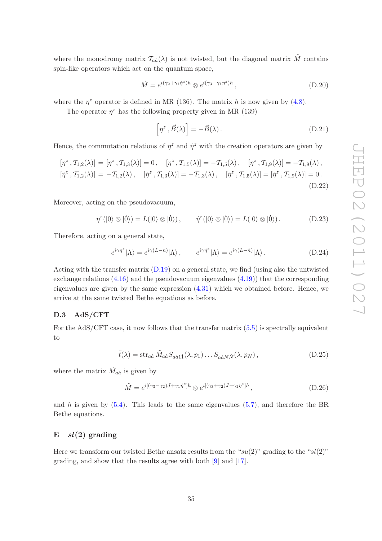where the monodromy matrix  $\mathcal{T}_{a\dot{a}}(\lambda)$  is not twisted, but the diagonal matrix  $\tilde{M}$  contains spin-like operators which act on the quantum space,

$$
\tilde{M} = e^{i(\gamma_2 + \gamma_1 \dot{\eta}^z)h} \otimes e^{i(\gamma_3 - \gamma_1 \eta^z)h}, \qquad (D.20)
$$

where the  $\eta^z$  operator is defined in MR (136). The matrix h is now given by [\(4.8\)](#page-16-3).

The operator  $\eta^z$  has the following property given in MR (139)

$$
\[ \eta^z \, , \vec{B}(\lambda) \] = -\vec{B}(\lambda) \,. \tag{D.21}
$$

Hence, the commutation relations of  $\eta^z$  and  $\dot{\eta}^z$  with the creation operators are given by

$$
[\eta^z, \mathcal{T}_{1,2}(\lambda)] = [\eta^z, \mathcal{T}_{1,3}(\lambda)] = 0, \quad [\eta^z, \mathcal{T}_{1,5}(\lambda)] = -\mathcal{T}_{1,5}(\lambda), \quad [\eta^z, \mathcal{T}_{1,9}(\lambda)] = -\mathcal{T}_{1,9}(\lambda), [\dot{\eta}^z, \mathcal{T}_{1,2}(\lambda)] = -\mathcal{T}_{1,2}(\lambda), \quad [\dot{\eta}^z, \mathcal{T}_{1,3}(\lambda)] = -\mathcal{T}_{1,3}(\lambda), \quad [\dot{\eta}^z, \mathcal{T}_{1,5}(\lambda)] = [\dot{\eta}^z, \mathcal{T}_{1,9}(\lambda)] = 0.
$$
\n(D.22)

Moreover, acting on the pseudovacuum,

$$
\eta^{z}(|0\rangle \otimes |0\rangle) = L(|0\rangle \otimes |0\rangle), \qquad \dot{\eta}^{z}(|0\rangle \otimes |0\rangle) = L(|0\rangle \otimes |0\rangle).
$$
 (D.23)

Therefore, acting on a general state,

$$
e^{i\gamma\eta^z}|\Lambda\rangle = e^{i\gamma(L-n)}|\Lambda\rangle, \qquad e^{i\gamma\eta^z}|\Lambda\rangle = e^{i\gamma(L-n)}|\Lambda\rangle. \tag{D.24}
$$

Acting with the transfer matrix  $(D.19)$  on a general state, we find (using also the untwisted exchange relations  $(4.16)$  and the pseudovacuum eigenvalues  $(4.19)$ ) that the corresponding eigenvalues are given by the same expression [\(4.31\)](#page-19-1) which we obtained before. Hence, we arrive at the same twisted Bethe equations as before.

# <span id="page-35-0"></span>D.3 AdS/CFT

For the AdS/CFT case, it now follows that the transfer matrix  $(5.5)$  is spectrally equivalent to

$$
\tilde{t}(\lambda) = \operatorname{str}_{a\dot{a}} \tilde{M}_{a\dot{a}} S_{a\dot{a}1\dot{1}}(\lambda, p_1) \dots S_{a\dot{a}N\dot{N}}(\lambda, p_N), \tag{D.25}
$$

where the matrix  $\tilde{M}_{a\dot{a}}$  is given by

$$
\tilde{M} = e^{i[(\gamma_3 - \gamma_2)J + \gamma_1 \dot{\eta}^z]h} \otimes e^{i[(\gamma_3 + \gamma_2)J - \gamma_1 \eta^z]h}, \qquad (D.26)
$$

and h is given by  $(5.4)$ . This leads to the same eigenvalues  $(5.7)$ , and therefore the BR Bethe equations.

# <span id="page-35-1"></span> $E$   $sl(2)$  grading

Here we transform our twisted Bethe ansatz results from the "su(2)" grading to the "sl(2)" grading, and show that the results agree with both [\[9\]](#page-42-4) and [\[17](#page-43-0)].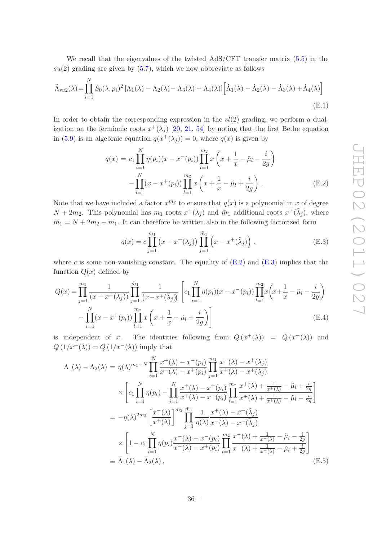We recall that the eigenvalues of the twisted  $AdS/CFT$  transfer matrix  $(5.5)$  in the  $su(2)$  grading are given by  $(5.7)$ , which we now abbreviate as follows

$$
\tilde{\Lambda}_{su2}(\lambda) = \prod_{i=1}^{N} S_0(\lambda, p_i)^2 \left[ \Lambda_1(\lambda) - \Lambda_2(\lambda) - \Lambda_3(\lambda) + \Lambda_4(\lambda) \right] \left[ \dot{\Lambda}_1(\lambda) - \dot{\Lambda}_2(\lambda) - \dot{\Lambda}_3(\lambda) + \dot{\Lambda}_4(\lambda) \right]
$$
\n(E.1)

In order to obtain the corresponding expression in the  $sl(2)$  grading, we perform a dualization on the fermionic roots  $x^+(\lambda_j)$  [\[20](#page-43-2), [21](#page-43-3), [54](#page-44-14)] by noting that the first Bethe equation in [\(5.9\)](#page-22-3) is an algebraic equation  $q(x^+(\lambda_j)) = 0$ , where  $q(x)$  is given by

<span id="page-36-0"></span>
$$
q(x) = c_1 \prod_{i=1}^{N} \eta(p_i)(x - x^-(p_i)) \prod_{l=1}^{m_2} x\left(x + \frac{1}{x} - \tilde{\mu}_l - \frac{i}{2g}\right)
$$

$$
- \prod_{i=1}^{N} (x - x^+(p_i)) \prod_{l=1}^{m_2} x\left(x + \frac{1}{x} - \tilde{\mu}_l + \frac{i}{2g}\right).
$$
 (E.2)

Note that we have included a factor  $x^{m_2}$  to ensure that  $q(x)$  is a polynomial in x of degree  $N+2m_2$ . This polynomial has  $m_1$  roots  $x^+(\lambda_j)$  and  $\tilde{m}_1$  additional roots  $x^+(\tilde{\lambda}_j)$ , where  $\tilde{m}_1 = N + 2m_2 - m_1$ . It can therefore be written also in the following factorized form

<span id="page-36-1"></span>
$$
q(x) = c \prod_{j=1}^{m_1} (x - x^+(\lambda_j)) \prod_{j=1}^{\tilde{m}_1} (x - x^+(\tilde{\lambda}_j)),
$$
 (E.3)

where c is some non-vanishing constant. The equality of  $(E.2)$  and  $(E.3)$  implies that the function  $Q(x)$  defined by

$$
Q(x) = \prod_{j=1}^{m_1} \frac{1}{(x - x^+(\lambda_j))} \prod_{j=1}^{\tilde{m}_1} \frac{1}{(x - x^+(\tilde{\lambda}_j))} \left[ c_1 \prod_{i=1}^N \eta(p_i) (x - x^-(p_i)) \prod_{l=1}^{m_2} x \left( x + \frac{1}{x} - \tilde{\mu}_l - \frac{i}{2g} \right) - \prod_{i=1}^N (x - x^+(p_i)) \prod_{l=1}^{m_2} x \left( x + \frac{1}{x} - \tilde{\mu}_l + \frac{i}{2g} \right) \right]
$$
(E.4)

is independent of x. The identities following from  $Q(x^+(\lambda)) = Q(x^-(\lambda))$  and  $Q(1/x^+(\lambda)) = Q(1/x^-(\lambda))$  imply that

<span id="page-36-2"></span>
$$
\Lambda_{1}(\lambda) - \Lambda_{2}(\lambda) = \eta(\lambda)^{m_{1}-N} \prod_{i=1}^{N} \frac{x^{+}(\lambda) - x^{-}(p_{i})}{x^{-}(\lambda) - x^{+}(p_{i})} \prod_{j=1}^{m_{1}} \frac{x^{-}(\lambda) - x^{+}(\lambda_{j})}{x^{+}(\lambda) - x^{+}(\lambda_{j})}
$$
\n
$$
\times \left[ c_{1} \prod_{i=1}^{N} \eta(p_{i}) - \prod_{i=1}^{N} \frac{x^{+}(\lambda) - x^{+}(p_{i})}{x^{+}(\lambda) - x^{-}(p_{i})} \prod_{l=1}^{m_{2}} \frac{x^{+}(\lambda) + \frac{1}{x^{+}(\lambda)} - \tilde{\mu}_{l} + \frac{i}{2g}}{x^{+}(\lambda) + \frac{1}{x^{+}(\lambda)} - \tilde{\mu}_{l} - \frac{i}{2g}} \right]
$$
\n
$$
= -\eta(\lambda)^{2m_{2}} \left[ \frac{x^{-}(\lambda)}{x^{+}(\lambda)} \right]^{m_{2}} \prod_{j=1}^{m_{1}} \frac{1}{\eta(\lambda)} \frac{x^{+}(\lambda) - x^{+}(\tilde{\lambda}_{j})}{x^{-}(\lambda) - x^{+}(\tilde{\lambda}_{j})}
$$
\n
$$
\times \left[ 1 - c_{1} \prod_{i=1}^{N} \eta(p_{i}) \frac{x^{-}(\lambda) - x^{-}(p_{i})}{x^{-}(\lambda) - x^{+}(p_{i})} \prod_{l=1}^{m_{2}} \frac{x^{-}(\lambda) + \frac{1}{x^{-}(\lambda)} - \tilde{\mu}_{l} - \frac{i}{2g}}{x^{-}(\lambda) + \frac{1}{x^{-}(\lambda)} - \tilde{\mu}_{l} + \frac{i}{2g}} \right]
$$
\n
$$
\equiv \tilde{\Lambda}_{1}(\lambda) - \tilde{\Lambda}_{2}(\lambda), \qquad (E.5)
$$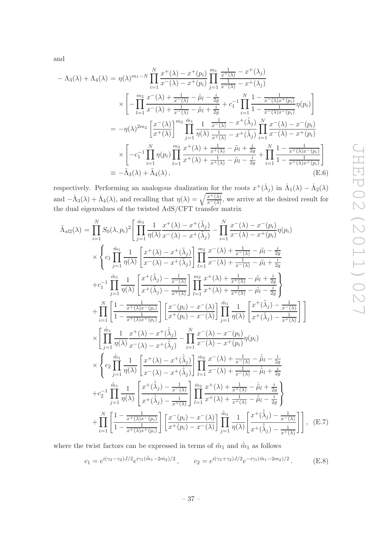and

<span id="page-37-2"></span>
$$
-\Lambda_{3}(\lambda) + \Lambda_{4}(\lambda) = \eta(\lambda)^{m_{1}-N} \prod_{i=1}^{N} \frac{x^{+}(\lambda) - x^{+}(p_{i})}{x^{-}(\lambda) - x^{+}(p_{i})} \prod_{j=1}^{m_{1}} \frac{\frac{1}{x^{+}(\lambda)} - x^{+}(\lambda_{j})}{\frac{1}{x^{-}(\lambda)} - x^{+}(\lambda_{j})}
$$
  
\n
$$
\times \left[ -\prod_{l=1}^{m_{2}} \frac{x^{-}(\lambda) + \frac{1}{x^{-}(\lambda)} - \tilde{\mu}_{l} - \frac{i}{2g}}{x^{-}(\lambda) + \frac{1}{x^{-}(\lambda)} - \tilde{\mu}_{l} + \frac{i}{2g}} + c_{1}^{-1} \prod_{i=1}^{N} \frac{1 - \frac{1}{x^{-}(\lambda)x^{+}(p_{i})}}{1 - \frac{1}{x^{-}(\lambda)x^{-}(p_{i})}} \eta(p_{i}) \right]
$$
  
\n
$$
= -\eta(\lambda)^{2m_{2}} \left[ \frac{x^{-}(\lambda)}{x^{+}(\lambda)} \right]^{m_{2}} \prod_{j=1}^{m_{1}} \frac{1}{\eta(\lambda)} \frac{\frac{1}{x^{-}(\lambda)} - x^{+}(\tilde{\lambda}_{j})}{\frac{1}{x^{+}(\lambda)} - x^{+}(\tilde{\lambda}_{j})} \prod_{i=1}^{N} \frac{x^{-}(\lambda) - x^{-}(p_{i})}{x^{-}(\lambda) - x^{+}(p_{i})}
$$
  
\n
$$
\times \left[ -c_{1}^{-1} \prod_{i=1}^{N} \eta(p_{i}) \prod_{l=1}^{m_{2}} \frac{x^{+}(\lambda) + \frac{1}{x^{+}(\lambda)} - \tilde{\mu}_{l} + \frac{i}{2g}}{x^{+}(\lambda) + \frac{1}{x^{+}(\lambda)} - \tilde{\mu}_{l} - \frac{i}{2g}} + \prod_{i=1}^{N} \frac{1 - \frac{1}{x^{+}(\lambda)x^{-}(p_{i})}}{1 - \frac{1}{x^{+}(\lambda)x^{+}(p_{i})}} \right]
$$
  
\n
$$
\equiv -\tilde{\Lambda}_{3}(\lambda) + \tilde{\Lambda}_{4}(\lambda), \qquad (E.6)
$$

respectively. Performing an analogous dualization for the roots  $x^+(\dot{\lambda}_j)$  in  $\dot{\Lambda}_1(\lambda) - \dot{\Lambda}_2(\lambda)$ and  $-\dot{\Lambda}_3(\lambda) + \dot{\Lambda}_4(\lambda)$ , and recalling that  $\eta(\lambda) = \sqrt{\frac{x^+(\lambda)}{x^-(\lambda)}}$ , we arrive at the desired result for the dual eigenvalues of the twisted AdS/CFT transfer matrix

<span id="page-37-0"></span>
$$
\tilde{\Lambda}_{sl2}(\lambda) = \prod_{i=1}^{N} S_{0}(\lambda, p_{i})^{2} \left[ \prod_{j=1}^{\tilde{m}_{1}} \frac{1}{\eta(\lambda)} \frac{x^{+}(\lambda) - x^{+}(\tilde{\lambda}_{j})}{x^{-}(\lambda) - x^{+}(\tilde{\lambda}_{j})} - \prod_{i=1}^{N} \frac{x^{-}(\lambda) - x^{-}(p_{i})}{x^{-}(\lambda) - x^{+}(p_{i})} \eta(p_{i}) \right] \times \left\{ c_{1} \prod_{j=1}^{\tilde{m}_{1}} \frac{1}{\eta(\lambda)} \left[ \frac{x^{+}(\lambda) - x^{+}(\tilde{\lambda}_{j})}{x^{-}(\lambda) - x^{+}(\tilde{\lambda}_{j})} \right] \prod_{l=1}^{m_{2}} \frac{x^{-}(\lambda) + \frac{1}{x^{-}(\lambda)} - \tilde{\mu}_{l} - \frac{i}{2g}}{x^{-}(\lambda) + \frac{i}{x^{-}(\lambda)} - \tilde{\mu}_{l} + \frac{i}{2g}} \right\} + c_{1}^{-1} \prod_{j=1}^{\tilde{m}_{1}} \frac{1}{\eta(\lambda)} \left[ \frac{x^{+}(\tilde{\lambda}_{j}) - \frac{1}{x^{-}(\lambda)}}{x^{+}(\tilde{\lambda}_{j}) - \frac{1}{x^{+}(\lambda)}} \right] \prod_{l=1}^{m_{2}} \frac{x^{+}(\lambda) + \frac{1}{x^{+}(\lambda)} - \tilde{\mu}_{l} + \frac{i}{2g}}{x^{+}(\lambda) + \frac{i}{x^{+}(\lambda)} - \tilde{\mu}_{l} - \frac{i}{2g}} \right\} + \prod_{i=1}^{N} \left[ \frac{1 - \frac{1}{x^{+}(\lambda)x^{-}(p_{i})}}{1 - \frac{1}{x^{+}(\lambda)x^{+}(p_{i})}} \right] \left[ \frac{x^{-}(p_{i}) - x^{-}(\lambda)}{x^{+}(\lambda)} \right] \prod_{j=1}^{\tilde{m}_{1}} \frac{1}{\eta(\lambda)} \left[ \frac{x^{+}(\tilde{\lambda}_{j}) - \frac{1}{x^{-}(\lambda)}}{x^{+}(\tilde{\lambda}_{j}) - \frac{1}{x^{+}(\lambda)}} \right] \right] \times \times \left\{ c_{2} \prod_{j=1}^{\tilde{m}_{1}} \frac{1}{\eta(\lambda)} \left[ \frac{x^{+}(\lambda) - x^{+}(\tilde{\lambda
$$

where the twist factors can be expressed in terms of  $\tilde{m}_1$  and  $\dot{\tilde{m}}_1$  as follows

<span id="page-37-1"></span>
$$
c_1 = e^{i(\gamma_3 - \gamma_2)J/2} e^{i\gamma_1(\tilde{m}_1 - 2m_2)/2}, \qquad c_2 = e^{i(\gamma_3 + \gamma_2)J/2} e^{-i\gamma_1(\tilde{m}_1 - 2m_2)/2}.
$$
 (E.8)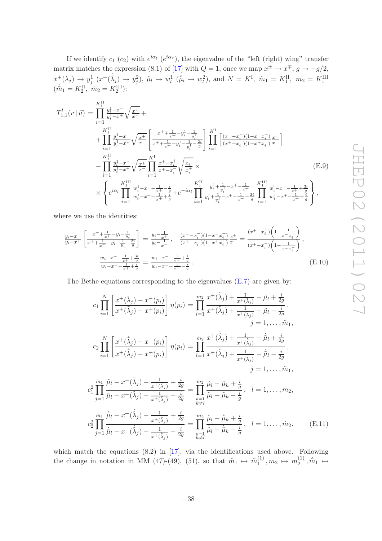$\int$ 

If we identify  $c_1$  ( $c_2$ ) with  $e^{i\alpha_l}$  ( $e^{i\alpha_r}$ ), the eigenvalue of the "left (right) wing" transfer matrix matches the expression (8.1) of [\[17](#page-43-0)] with  $Q = 1$ , once we map  $x^{\pm} \to x^{\mp}$ ,  $g \to -g/2$ ,  $x^+(\tilde(\lambda_j) \to y_j^1(x^+(\dot{\tildelambda}_j) \to y_j^2), \tilde{\mu}_l \to w_l^1(\dot{\tilde{\mu}}_l \to w_l^2), \text{ and } N = K^{\text{I}}, \tilde{m}_1 = K_1^{\text{II}}, m_2 = K_1^{\text{III}}$ <br> $(\dot{\tilde{m}}_1 = K_2^{\text{II}}, \dot{m}_2 = K_2^{\text{III}})$ :

$$
T_{1,1}^{l}(v | \vec{u}) = \prod_{i=1}^{K_{1}^{H}} \frac{y_{i}^{1} - x^{-}}{y_{i}^{1} - x^{+}} \sqrt{\frac{x^{+}}{x^{-}}} + \prod_{i=1}^{K_{1}^{H}} \frac{y_{i}^{1} - x^{-}}{y_{i}^{1} - x^{+}} \sqrt{\frac{x^{+}}{x^{-}}} \left[ \frac{x^{+} + \frac{1}{x^{+}} - y_{i}^{1} - \frac{1}{y_{i}^{1}}}{x^{+} + \frac{1}{x^{+}} - y_{i}^{1} - \frac{1}{y_{i}^{1}} - \frac{2i}{g}} \right] \prod_{i=1}^{K^{I}} \left[ \frac{(x^{-} - x_{i}^{-})(1 - x^{-} x_{i}^{+})}{(x^{+} - x_{i}^{-})(1 - x^{+} x_{i}^{+})} \frac{x^{+}}{x^{-}} \right] - \prod_{i=1}^{K_{1}^{H}} \frac{y_{i}^{1} - x^{-}}{y_{i}^{1} - x^{+}} \sqrt{\frac{x^{+}}{x^{-}}} \prod_{i=1}^{K^{I}} \frac{x^{+} - x_{i}^{+}}{x^{+} - x_{i}^{-}} \sqrt{\frac{x_{i}^{-}}{x_{i}^{+}}} \times \left[ \text{E.9} \right)
$$
\n
$$
\times \left\{ e^{i\alpha_{l}} \prod_{i=1}^{K^{II}} \frac{w_{i}^{1} - x^{+} - \frac{1}{x^{+}} - \frac{i}{y}}{w_{i}^{1} - x^{+} - \frac{1}{x^{+}} + \frac{i}{y}} + e^{-i\alpha_{l}} \prod_{i=1}^{K^{II}} \frac{y_{i}^{1} + \frac{1}{y_{i}^{1}} - x^{+} - \frac{1}{x^{+}} + \frac{2i}{g}}{y_{i}^{1} + \frac{1}{y_{i}^{1}} - x^{+} - \frac{1}{x^{+}} + \frac{2i}{g}} \prod_{i=1}^{K^{III}} \frac{w_{i}^{1} - x^{+} - \frac{1}{x^{+}} + \frac{3i}{g}}{w_{i}^{1} - x^{+} - \frac{1}{x^{+}} + \frac{4i}{g}} \right\},
$$
\n(E.9)

$$
\times \left\{ e^{i\alpha_l} \prod_{i=1}^r \frac{w_i^1 - x^2 - \frac{1}{x^2} - \frac{1}{g}}{w_i^1 - x^2 - \frac{1}{x^2} + \frac{1}{g}} + e^{-i\alpha_l} \prod_{i=1}^r \frac{y_i^1 - \frac{1}{y_i^1} - x^2 - \frac{1}{x^2}}{y_i^1 + \frac{1}{y_i^1} - x^2 - \frac{1}{x^2} + \frac{2i}{g}} \prod_{i=1}^r \frac{w_i^1 - x^2 - \frac{1}{x^2}}{w_i^1 - x^2 - \frac{1}{x^2}}
$$

where we use the identities:

$$
\frac{y_i - x^-}{y_i - x^+} \left[ \frac{x^+ + \frac{1}{x^+} - y_i - \frac{1}{y_i}}{x^+ + \frac{1}{x^+} - y_i - \frac{1}{y_i} - \frac{2i}{g}} \right] = \frac{y_i - \frac{1}{x^+}}{y_i - \frac{1}{x^-}}, \quad \frac{(x^- - x_i^-)(1 - x^- x_i^+)}{(x^+ - x_i^-)(1 - x^+ x_i^+)} \frac{x^+}{x^-} = \frac{(x^+ - x_i^+)(1 - \frac{1}{x^- x_i^+})}{(x^+ - x_i^-)(1 - \frac{1}{x^- x_i^-})},
$$
\n
$$
\frac{w_i - x^+ - \frac{1}{x^+} + \frac{3i}{g}}{w_i - x^+ - \frac{1}{x^+} + \frac{i}{g}} = \frac{w_i - x^- - \frac{1}{x^-} + \frac{i}{g}}{w_i - x^- - \frac{1}{x^-} - \frac{i}{g}}.
$$
\n(E.10)

The Bethe equations corresponding to the eigenvalues [\(E.7\)](#page-37-0) are given by:

<span id="page-38-0"></span>
$$
c_{1} \prod_{i=1}^{N} \left[ \frac{x^{+}(\tilde{\lambda}_{j}) - x^{-}(p_{i})}{x^{+}(\tilde{\lambda}_{j}) - x^{+}(p_{i})} \right] \eta(p_{i}) = \prod_{l=1}^{m_{2}} \frac{x^{+}(\tilde{\lambda}_{j}) + \frac{1}{x^{+}(\tilde{\lambda}_{j})} - \tilde{\mu}_{l} + \frac{i}{2g}}{x^{+}(\tilde{\lambda}_{j}) - \tilde{\mu}_{l} - \frac{i}{2g}},
$$
\n
$$
j = 1, ..., \tilde{m}_{1},
$$
\n
$$
c_{2} \prod_{i=1}^{N} \left[ \frac{x^{+}(\dot{\tilde{\lambda}}_{j}) - x^{-}(p_{i})}{x^{+}(\dot{\tilde{\lambda}}_{j}) - x^{+}(p_{i})} \right] \eta(p_{i}) = \prod_{l=1}^{m_{2}} \frac{x^{+}(\dot{\tilde{\lambda}}_{j}) + \frac{1}{x^{+}(\dot{\tilde{\lambda}}_{j})} - \tilde{\mu}_{l} + \frac{i}{2g}},
$$
\n
$$
j = 1, ..., \tilde{\tilde{m}}_{1},
$$
\n
$$
c_{1}^{2} \prod_{j=1}^{m_{1}} \frac{\tilde{\mu}_{l} - x^{+}(\tilde{\lambda}_{j}) - \frac{1}{x^{+}(\tilde{\lambda}_{j})} + \frac{i}{2g}}{x^{+}(\tilde{\lambda}_{j}) - \frac{1}{x^{+}(\tilde{\lambda}_{j})} - \frac{i}{2g}} = \prod_{k=1}^{m_{2}} \frac{\tilde{\mu}_{l} - \tilde{\mu}_{k} + \frac{i}{g}}{\tilde{\mu}_{l} - \tilde{\mu}_{k} - \frac{i}{g}}, \quad l = 1, ..., m_{2},
$$
\n
$$
c_{2}^{2} \prod_{j=1}^{m_{1}} \frac{\tilde{\mu}_{l} - x^{+}(\tilde{\lambda}_{j}) - \frac{1}{x^{+}(\tilde{\lambda}_{j})} - \frac{i}{x^{+}(\tilde{\lambda}_{j})} - \frac{i}{2g}}{x^{+}(\tilde{\lambda}_{j})} = \prod_{k=1}^{m_{2}} \frac{\tilde{\mu}_{l} - \tilde{\mu}_{k} + \frac{i}{g}}{\tilde{\mu}_{l} - \tilde{\mu}_{k} - \frac{i}{g}}, \quad l = 1, ..., m_{2}.
$$
\n $$ 

which match the equations  $(8.2)$  in  $[17]$ , via the identifications used above. Following the change in notation in MM (47)-(49), (51), so that  $\tilde{m}_1 \mapsto \tilde{m}_1^{(1)}$  $_1^{(1)}, m_2 \mapsto m_2^{(1)}$  $\hat{m}_1 \mapsto$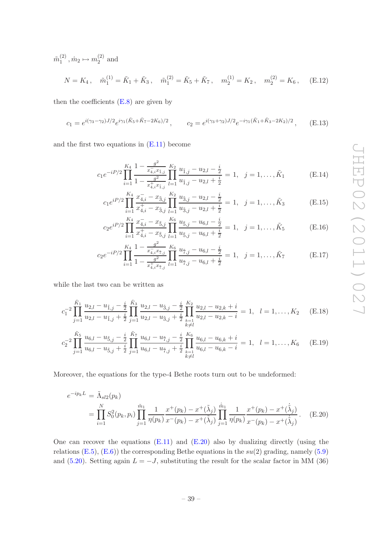$\tilde{m}_1^{(2)}$  $_1^{(2)}, \dot{m}_2 \mapsto m_2^{(2)}$  $2^{(2)}$  and

$$
N = K_4 \,, \quad \tilde{m}_1^{(1)} = \tilde{K}_1 + \tilde{K}_3 \,, \quad \tilde{m}_1^{(2)} = \tilde{K}_5 + \tilde{K}_7 \,, \quad m_2^{(1)} = K_2 \,, \quad m_2^{(2)} = K_6 \,, \quad \text{(E.12)}
$$

then the coefficients  $(E.8)$  are given by

$$
c_1 = e^{i(\gamma_3 - \gamma_2)J/2} e^{i\gamma_1(\tilde{K}_5 + \tilde{K}_7 - 2K_6)/2}, \qquad c_2 = e^{i(\gamma_3 + \gamma_2)J/2} e^{-i\gamma_1(\tilde{K}_1 + \tilde{K}_3 - 2K_2)/2}, \qquad (E.13)
$$

and the first two equations in  $(E.11)$  become

<span id="page-39-1"></span>
$$
c_1 e^{-iP/2} \prod_{i=1}^{K_4} \frac{1 - \frac{g^2}{x_{4,i}^2 x_{1,j}}}{1 - \frac{g^2}{x_{4,i}^4 x_{1,j}}} \prod_{l=1}^{K_2} \frac{u_{1,j} - u_{2,l} - \frac{i}{2}}{u_{1,j} - u_{2,l} + \frac{i}{2}} = 1, \quad j = 1, \dots, \tilde{K}_1
$$
 (E.14)

$$
c_1 e^{iP/2} \prod_{i=1}^{K_4} \frac{x_{4,i}^- - x_{3,j}^-}{x_{4,i}^+ - x_{3,j}^-} \prod_{l=1}^{K_2} \frac{u_{3,j} - u_{2,l} - \frac{i}{2}}{u_{3,j} - u_{2,l} + \frac{i}{2}} = 1, \quad j = 1, \dots, \tilde{K}_3
$$
 (E.15)

$$
c_2 e^{iP/2} \prod_{i=1}^{K_4} \frac{x_{4,i}^- - x_{5,j}}{x_{4,i}^+ - x_{5,j}^-} \prod_{l=1}^{K_6} \frac{u_{5,j}^- - u_{6,l} - \frac{i}{2}}{u_{5,j}^- - u_{6,l} + \frac{i}{2}} = 1, \quad j = 1, \dots, \tilde{K}_5
$$
(E.16)

$$
c_2 e^{-iP/2} \prod_{i=1}^{K_4} \frac{1 - \frac{g^2}{x_{4,i}^2 x_{7,j}}}{1 - \frac{g^2}{x_{4,i}^4 x_{7,j}}} \prod_{l=1}^{K_6} \frac{u_{7,j} - u_{6,l} - \frac{i}{2}}{u_{7,j} - u_{6,l} + \frac{i}{2}} = 1, \quad j = 1, \dots, \tilde{K}_7
$$
 (E.17)

while the last two can be written as

<span id="page-39-2"></span>
$$
c_1^{-2} \prod_{j=1}^{\tilde{K}_1} \frac{u_{2,l} - u_{\tilde{1},j} - \frac{i}{2}}{u_{2,l} - u_{\tilde{1},j} + \frac{i}{2}} \prod_{j=1}^{\tilde{K}_3} \frac{u_{2,l} - u_{\tilde{3},j} - \frac{i}{2}}{u_{2,l} - u_{\tilde{3},j} + \frac{i}{2}} \prod_{\substack{k=1 \ k \neq l}}^{\tilde{K}_2} \frac{u_{2,l} - u_{2,k} + i}{u_{2,l} - u_{2,k} - i} = 1, \quad l = 1, \ldots, K_2 \quad (E.18)
$$

$$
c_2^{-2} \prod_{j=1}^{\tilde{K}_5} \frac{u_{6,l} - u_{\tilde{5},j} - \frac{i}{2}}{u_{6,l} - u_{\tilde{5},j} + \frac{i}{2}} \prod_{j=1}^{\tilde{K}_7} \frac{u_{6,l} - u_{\tilde{7},j} - \frac{i}{2}}{u_{6,l} - u_{\tilde{7},j} + \frac{i}{2}} \prod_{\substack{k=1 \ k \neq l}}^{\tilde{K}_6} \frac{u_{6,l} - u_{6,k} + i}{u_{6,l} - u_{6,k} - i} = 1, \quad l = 1, \ldots, K_6 \quad (E.19)
$$

Moreover, the equations for the type-4 Bethe roots turn out to be undeformed:

<span id="page-39-0"></span>
$$
e^{-ip_k L} = \tilde{\Lambda}_{sl2}(p_k)
$$
  
= 
$$
\prod_{i=1}^{N} S_0^2(p_k, p_i) \prod_{j=1}^{\tilde{m}_1} \frac{1}{\eta(p_k)} \frac{x^+(p_k) - x^+(\tilde{\lambda}_j)}{x^-(p_k) - x^+(\tilde{\lambda}_j)} \prod_{j=1}^{\tilde{m}_1} \frac{1}{\eta(p_k)} \frac{x^+(p_k) - x^+(\tilde{\lambda}_j)}{x^-(p_k) - x^+(\tilde{\lambda}_j)}.
$$
 (E.20)

One can recover the equations  $(E.11)$  and  $(E.20)$  also by dualizing directly (using the relations  $(E.5)$ ,  $(E.6)$  the corresponding Bethe equations in the  $su(2)$  grading, namely [\(5.9\)](#page-22-3) and [\(5.20\)](#page-23-2). Setting again  $L = -J$ , substituting the result for the scalar factor in MM (36)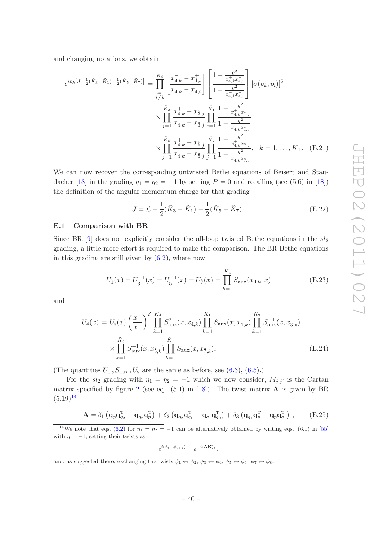and changing notations, we obtain

<span id="page-40-2"></span>
$$
e^{ip_k\left[J+\frac{1}{2}(\tilde{K}_3-\tilde{K}_1)+\frac{1}{2}(\tilde{K}_5-\tilde{K}_7)\right]} = \prod_{\substack{i=1\\i\neq k}}^{K_4} \left[\frac{x_{4,k}^--x_{4,i}^+}{x_{4,k}^+-x_{4,i}^-}\right] \left[\frac{1-\frac{g^2}{x_{4,k}^+x_{4,i}^-}}{1-\frac{g^2}{x_{4,k}^-x_{4,i}^+}}\right] [\sigma(p_k, p_i)]^2
$$
  

$$
\times \prod_{j=1}^{\tilde{K}_3} \frac{x_{4,k}^+-x_{3,j}^-}{x_{4,k}^- - x_{3,j}^-} \prod_{j=1}^{\tilde{K}_1} \frac{1-\frac{g^2}{x_{4,k}^+x_{1,j}^-}}{1-\frac{g^2}{x_{4,k}^-x_{1,j}^-}}
$$
  

$$
\times \prod_{j=1}^{\tilde{K}_5} \frac{x_{4,k}^+-x_{5,j}^-}{x_{4,k}^+ - x_{5,j}^-} \prod_{j=1}^{\tilde{K}_7} \frac{1-\frac{g^2}{x_{4,k}^+x_{7,j}^-}}{1-\frac{g^2}{x_{4,k}^-x_{7,j}^-}}, \quad k=1,\ldots,K_4. \quad \text{(E.21)}
$$

We can now recover the corresponding untwisted Bethe equations of Beisert and Stau-dacher [\[18](#page-43-1)] in the grading  $\eta_1 = \eta_2 = -1$  by setting  $P = 0$  and recalling (see (5.6) in [18]) the definition of the angular momentum charge for that grading

<span id="page-40-3"></span>
$$
J = \mathcal{L} - \frac{1}{2}(\tilde{K}_3 - \tilde{K}_1) - \frac{1}{2}(\tilde{K}_5 - \tilde{K}_7).
$$
 (E.22)

## <span id="page-40-0"></span>E.1 Comparison with BR

Since BR  $[9]$  does not explicitly consider the all-loop twisted Bethe equations in the  $sl_2$ grading, a little more effort is required to make the comparison. The BR Bethe equations in this grading are still given by  $(6.2)$ , where now

$$
U_{\tilde{1}}(x) = U_{\tilde{3}}^{-1}(x) = U_{\tilde{5}}^{-1}(x) = U_{\tilde{7}}(x) = \prod_{k=1}^{K_4} S_{\text{aux}}^{-1}(x_{4,k}, x)
$$
(E.23)

and

$$
U_4(x) = U_s(x) \left(\frac{x^{-}}{x^{+}}\right)^{\mathcal{L}} \prod_{k=1}^{K_4} S_{\text{aux}}^2(x, x_{4,k}) \prod_{k=1}^{\tilde{K}_1} S_{\text{aux}}(x, x_{\tilde{1},k}) \prod_{k=1}^{\tilde{K}_3} S_{\text{aux}}^{-1}(x, x_{\tilde{3},k})
$$

$$
\times \prod_{k=1}^{\tilde{K}_5} S_{\text{aux}}^{-1}(x, x_{\tilde{5},k}) \prod_{k=1}^{\tilde{K}_7} S_{\text{aux}}(x, x_{\tilde{7},k}).
$$
(E.24)

(The quantities  $U_0$ ,  $S_{\text{aux}}$ ,  $U_s$  are the same as before, see [\(6.3\)](#page-24-2), [\(6.5\)](#page-25-4).)

For the sl<sub>2</sub> grading with  $\eta_1 = \eta_2 = -1$  which we now consider,  $M_{j,j'}$  is the Cartan matrix specified by figure [2](#page-41-0) (see eq.  $(5.1)$  in [\[18\]](#page-43-1)). The twist matrix **A** is given by BR  $(5.19)^{14}$  $(5.19)^{14}$  $(5.19)^{14}$ 

$$
\mathbf{A} = \delta_1 \left( \mathbf{q}_p \mathbf{q}_{q_2}^{\mathrm{T}} - \mathbf{q}_{q_2} \mathbf{q}_p^{\mathrm{T}} \right) + \delta_2 \left( \mathbf{q}_{q_2} \mathbf{q}_{q_1}^{\mathrm{T}} - \mathbf{q}_{q_1} \mathbf{q}_{q_2}^{\mathrm{T}} \right) + \delta_3 \left( \mathbf{q}_{q_1} \mathbf{q}_p^{\mathrm{T}} - \mathbf{q}_p \mathbf{q}_{q_1}^{\mathrm{T}} \right) , \qquad \text{(E.25)}
$$

<span id="page-40-1"></span><sup>14</sup>We note that eqs. [\(6.2\)](#page-24-1) for  $\eta_1 = \eta_2 = -1$  can be alternatively obtained by writing eqs. (6.1) in [\[55](#page-44-15)] with  $\eta = -1$ , setting their twists as

$$
e^{i(\phi_i - \phi_{i+1})} = e^{-i(\mathbf{AK})_i},
$$

and, as suggested there, exchanging the twists  $\phi_1 \leftrightarrow \phi_2$ ,  $\phi_3 \leftrightarrow \phi_4$ ,  $\phi_5 \leftrightarrow \phi_6$ ,  $\phi_7 \leftrightarrow \phi_8$ .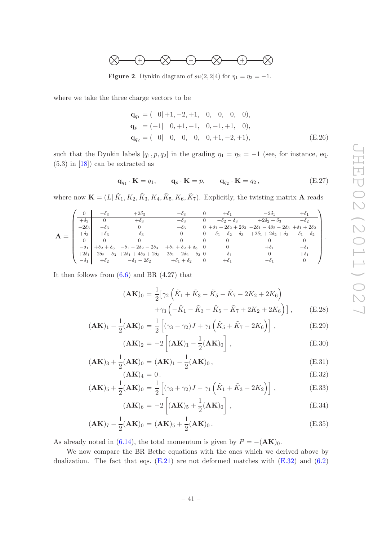

<span id="page-41-0"></span>**Figure 2.** Dynkin diagram of  $su(2, 2|4)$  for  $\eta_1 = \eta_2 = -1$ .

where we take the three charge vectors to be

$$
\mathbf{q}_{q_1} = (0|+1, -2, +1, 0, 0, 0, 0),
$$
  
\n
$$
\mathbf{q}_p = (+1| 0, +1, -1, 0, -1, +1, 0),
$$
  
\n
$$
\mathbf{q}_{q_2} = (0| 0, 0, 0, 0, +1, -2, +1),
$$
\n(E.26)

such that the Dynkin labels  $[q_1, p, q_2]$  in the grading  $\eta_1 = \eta_2 = -1$  (see, for instance, eq.  $(5.3)$  in  $[18]$  can be extracted as

$$
\mathbf{q}_{q_1} \cdot \mathbf{K} = q_1, \qquad \mathbf{q}_p \cdot \mathbf{K} = p, \qquad \mathbf{q}_{q_2} \cdot \mathbf{K} = q_2, \tag{E.27}
$$

where now  $\mathbf{K} = (L | \tilde{K}_1, K_2, \tilde{K}_3, K_4, \tilde{K}_5, K_6, \tilde{K}_7)$ . Explicitly, the twisting matrix **A** reads

|  |              | $-\theta_3$ | $+2\delta_3$                                                                                                    | $-\theta_3$                     | $+\delta_1$          | $-2\delta_1$                                                                                      | $+\delta_1$            |  |
|--|--------------|-------------|-----------------------------------------------------------------------------------------------------------------|---------------------------------|----------------------|---------------------------------------------------------------------------------------------------|------------------------|--|
|  | $+\delta_3$  | $\Omega$    | $+\delta_3$                                                                                                     | $-\delta_3$                     | $-\delta_2-\delta_3$ | $+2\delta_2+\delta_3$                                                                             | $-\delta$ <sup>2</sup> |  |
|  | $-2\delta_3$ | $-\delta_3$ | $\theta$                                                                                                        | $+\delta_3$                     |                      | $0 + \delta_1 + 2\delta_2 + 2\delta_3 - 2\delta_1 - 4\delta_2 - 2\delta_3 + \delta_1 + 2\delta_2$ |                        |  |
|  | $+\delta_3$  | $+\delta_3$ | $-\delta$ 3                                                                                                     | $\theta$                        |                      | 0 $-\delta_1 - \delta_2 - \delta_3$ $+2\delta_1 + 2\delta_2 + \delta_3$ $-\delta_1 - \delta_2$    |                        |  |
|  |              |             |                                                                                                                 |                                 | $\Omega$             |                                                                                                   |                        |  |
|  | $-\delta_1$  |             | $+ \delta_2 + \delta_3 - \delta_1 - 2\delta_2 - 2\delta_3$                                                      | $+\delta_1+\delta_2+\delta_3$ 0 |                      | $+\delta_1$                                                                                       | $-\delta_1$            |  |
|  |              |             | $+2\delta_1$ $-2\delta_2 - \delta_3$ $+2\delta_1 + 4\delta_2 + 2\delta_3$ $-2\delta_1 - 2\delta_2 - \delta_3$ 0 |                                 | $-\delta_1$          |                                                                                                   | $+\delta_1$            |  |
|  |              |             | $-\delta_1$ $+\delta_2$ $-\delta_1 - 2\delta_2$ $+\delta_1 + \delta_2$ 0                                        |                                 | $+\delta_1$          |                                                                                                   |                        |  |
|  |              |             |                                                                                                                 |                                 |                      |                                                                                                   |                        |  |

It then follows from  $(6.6)$  and BR  $(4.27)$  that

<span id="page-41-1"></span>
$$
(\mathbf{AK})_0 = \frac{1}{2} \Big[ \gamma_2 \left( \tilde{K}_1 + \tilde{K}_3 - \tilde{K}_5 - \tilde{K}_7 - 2K_2 + 2K_6 \right) + \gamma_3 \left( -\tilde{K}_1 - \tilde{K}_3 - \tilde{K}_5 - \tilde{K}_7 + 2K_2 + 2K_6 \right) \Big], \qquad \text{(E.28)}
$$

$$
(\mathbf{AK})_1 - \frac{1}{2}(\mathbf{AK})_0 = \frac{1}{2} \left[ (\gamma_3 - \gamma_2) J + \gamma_1 \left( \tilde{K}_5 + \tilde{K}_7 - 2K_6 \right) \right],
$$
 (E.29)

$$
(\mathbf{AK})_2 = -2\left[ (\mathbf{AK})_1 - \frac{1}{2} (\mathbf{AK})_0 \right], \tag{E.30}
$$

$$
(\mathbf{AK})_3 + \frac{1}{2}(\mathbf{AK})_0 = (\mathbf{AK})_1 - \frac{1}{2}(\mathbf{AK})_0, \tag{E.31}
$$

$$
(\mathbf{A}\mathbf{K})_4 = 0. \tag{E.32}
$$

$$
(\mathbf{AK})_5 + \frac{1}{2}(\mathbf{AK})_0 = \frac{1}{2} \left[ (\gamma_3 + \gamma_2) J - \gamma_1 \left( \tilde{K}_1 + \tilde{K}_3 - 2K_2 \right) \right],
$$
 (E.33)

$$
(\mathbf{AK})_6 = -2\left[ (\mathbf{AK})_5 + \frac{1}{2} (\mathbf{AK})_0 \right], \tag{E.34}
$$

$$
(\mathbf{AK})_7 - \frac{1}{2}(\mathbf{AK})_0 = (\mathbf{AK})_5 + \frac{1}{2}(\mathbf{AK})_0.
$$
 (E.35)

As already noted in [\(6.14\)](#page-25-3), the total momentum is given by  $P = -(\mathbf{AK})_0$ .

We now compare the BR Bethe equations with the ones which we derived above by dualization. The fact that eqs.  $(E.21)$  are not deformed matches with  $(E.32)$  and  $(6.2)$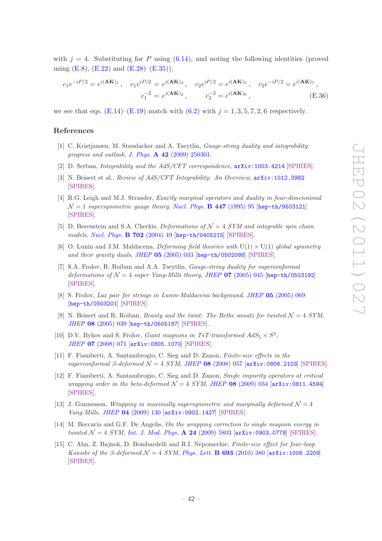with  $j = 4$ . Substituting for P using [\(6.14\)](#page-25-3), and noting the following identities (proved using  $(E.8)$ ,  $(E.22)$  and  $(E.28)$ – $(E.35)$ ),

$$
c_1 e^{-iP/2} = e^{i(\mathbf{AK})_1}, \quad c_1 e^{iP/2} = e^{i(\mathbf{AK})_3}, \quad c_2 e^{iP/2} = e^{i(\mathbf{AK})_5}, \quad c_2 e^{-iP/2} = e^{i(\mathbf{AK})_7},
$$

$$
c_1^{-2} = e^{i(\mathbf{AK})_2}, \quad c_2^{-2} = e^{i(\mathbf{AK})_6}, \quad (E.36)
$$

we see that eqs.  $(E.14)$ – $(E.19)$  match with  $(6.2)$  with  $j = 1, 3, 5, 7, 2, 6$  respectively.

# References

- <span id="page-42-0"></span>[1] C. Kristjansen, M. Staudacher and A. Tseytlin, *Gauge-string duality and integrability: progress and outlook*, *J. Phys.* A 42 [\(2009\) 250301.](http://dx.doi.org/10.1088/1751-8121/42/25/250301)
- [2] D. Serban, *Integrability and the AdS/CFT correspondence*,  $arXiv:1003.4214$  [\[SPIRES\]](http://www-spires.slac.stanford.edu/spires/find/hep/www?eprint=1003.4214).
- <span id="page-42-1"></span>[3] N. Beisert et al., *Review of AdS/CFT Integrability: An Overview*, [arXiv:1012.3982](http://arxiv.org/abs/1012.3982) [\[SPIRES\]](http://www-spires.slac.stanford.edu/spires/find/hep/www?eprint=1012.3982).
- <span id="page-42-2"></span>[4] R.G. Leigh and M.J. Strassler, *Exactly marginal operators and duality in four-dimensional*  $\mathcal{N}=1$  *supersymmetric gauge theory, [Nucl. Phys.](http://dx.doi.org/10.1016/0550-3213(95)00261-P)* **B** 447 (1995) 95 [[hep-th/9503121](http://arxiv.org/abs/hep-th/9503121)] [\[SPIRES\]](http://www-spires.slac.stanford.edu/spires/find/hep/www?eprint=HEP-TH/9503121).
- <span id="page-42-6"></span>[5] D. Berenstein and S.A. Cherkis, *Deformations of* N = 4 *SYM and integrable spin chain models*, *[Nucl. Phys.](http://dx.doi.org/10.1016/j.nuclphysb.2004.09.005)* B 702 (2004) 49 [[hep-th/0405215](http://arxiv.org/abs/hep-th/0405215)] [\[SPIRES\]](http://www-spires.slac.stanford.edu/spires/find/hep/www?eprint=HEP-TH/0405215).
- <span id="page-42-3"></span>[6] O. Lunin and J.M. Maldacena, *Deforming field theories with*  $U(1) \times U(1)$  *global symmetry and their gravity duals*, *JHEP* 05 [\(2005\) 033](http://dx.doi.org/10.1088/1126-6708/2005/05/033) [[hep-th/0502086](http://arxiv.org/abs/hep-th/0502086)] [\[SPIRES\]](http://www-spires.slac.stanford.edu/spires/find/hep/www?eprint=HEP-TH/0502086).
- [7] S.A. Frolov, R. Roiban and A.A. Tseytlin, *Gauge-string duality for superconformal deformations of*  $\mathcal{N} = 4$  *super Yang-Mills theory, JHEP* 07 [\(2005\) 045](http://dx.doi.org/10.1088/1126-6708/2005/07/045) [[hep-th/0503192](http://arxiv.org/abs/hep-th/0503192)] [\[SPIRES\]](http://www-spires.slac.stanford.edu/spires/find/hep/www?eprint=HEP-TH/0503192).
- [8] S. Frolov, *Lax pair for strings in Lunin-Maldacena background*, *JHEP* 05 [\(2005\) 069](http://dx.doi.org/10.1088/1126-6708/2005/05/069) [[hep-th/0503201](http://arxiv.org/abs/hep-th/0503201)] [\[SPIRES\]](http://www-spires.slac.stanford.edu/spires/find/hep/www?eprint=HEP-TH/0503201).
- <span id="page-42-4"></span>[9] N. Beisert and R. Roiban, *Beauty and the twist: The Bethe ansatz for twisted*  $\mathcal{N} = 4$  *SYM*, *JHEP* 08 [\(2005\) 039](http://dx.doi.org/10.1088/1126-6708/2005/08/039) [[hep-th/0505187](http://arxiv.org/abs/hep-th/0505187)] [\[SPIRES\]](http://www-spires.slac.stanford.edu/spires/find/hep/www?eprint=HEP-TH/0505187).
- [10] D.V. Bykov and S. Frolov, *Giant magnons in TsT-transformed*  $AdS_5 \times S^5$ , *JHEP* 07 [\(2008\) 071](http://dx.doi.org/10.1088/1126-6708/2008/07/071) [[arXiv:0805.1070](http://arxiv.org/abs/0805.1070)] [\[SPIRES\]](http://www-spires.slac.stanford.edu/spires/find/hep/www?eprint=0805.1070).
- [11] F. Fiamberti, A. Santambrogio, C. Sieg and D. Zanon, *Finite-size effects in the superconformal* β*-deformed* N = 4 *SYM*, *JHEP* 08 [\(2008\) 057](http://dx.doi.org/10.1088/1126-6708/2008/08/057) [[arXiv:0806.2103](http://arxiv.org/abs/0806.2103)] [\[SPIRES\]](http://www-spires.slac.stanford.edu/spires/find/hep/www?eprint=0806.2103).
- [12] F. Fiamberti, A. Santambrogio, C. Sieg and D. Zanon, *Single impurity operators at critical wrapping order in the beta-deformed*  $\mathcal{N} = 4$  *SYM, JHEP* 08 [\(2009\) 034](http://dx.doi.org/10.1088/1126-6708/2009/08/034) [[arXiv:0811.4594](http://arxiv.org/abs/0811.4594)] [\[SPIRES\]](http://www-spires.slac.stanford.edu/spires/find/hep/www?eprint=0811.4594).
- [13] J. Gunnesson, *Wrapping in maximally supersymmetric and marginally deformed*  $\mathcal{N} = 4$ *Yang-Mills*, *JHEP* 04 [\(2009\) 130](http://dx.doi.org/10.1088/1126-6708/2009/04/130) [[arXiv:0902.1427](http://arxiv.org/abs/0902.1427)] [\[SPIRES\]](http://www-spires.slac.stanford.edu/spires/find/hep/www?eprint=0902.1427).
- [14] M. Beccaria and G.F. De Angelis, *On the wrapping correction to single magnon energy in twisted* N = 4 *SYM*, *[Int. J. Mod. Phys.](http://dx.doi.org/10.1142/S0217751X09047375)* A 24 (2009) 5803 [[arXiv:0903.0778](http://arxiv.org/abs/0903.0778)] [\[SPIRES\]](http://www-spires.slac.stanford.edu/spires/find/hep/www?eprint=0903.0778).
- <span id="page-42-5"></span>[15] C. Ahn, Z. Bajnok, D. Bombardelli and R.I. Nepomechie, *Finite-size effect for four-loop Konishi of the*  $\beta$ -deformed  $\mathcal{N} = 4$  *SYM*, *[Phys. Lett.](http://dx.doi.org/10.1016/j.physletb.2010.08.056)* **B 693** (2010) 380 [[arXiv:1006.2209](http://arxiv.org/abs/1006.2209)] [\[SPIRES\]](http://www-spires.slac.stanford.edu/spires/find/hep/www?eprint=1006.2209).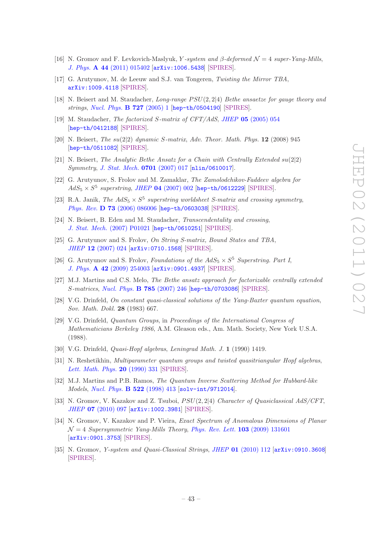- <span id="page-43-10"></span>[16] N. Gromov and F. Levkovich-Maslyuk, Y-system and  $\beta$ -deformed  $\mathcal{N}=4$  super-Yang-Mills, *J. Phys.* A 44 [\(2011\) 015402](http://dx.doi.org/10.1088/1751-8113/44/1/015402) [[arXiv:1006.5438](http://arxiv.org/abs/1006.5438)] [\[SPIRES\]](http://www-spires.slac.stanford.edu/spires/find/hep/www?eprint=1006.5438).
- <span id="page-43-0"></span>[17] G. Arutyunov, M. de Leeuw and S.J. van Tongeren, *Twisting the Mirror TBA*, [arXiv:1009.4118](http://arxiv.org/abs/1009.4118) [\[SPIRES\]](http://www-spires.slac.stanford.edu/spires/find/hep/www?eprint=1009.4118).
- <span id="page-43-1"></span>[18] N. Beisert and M. Staudacher, *Long-range PSU*(2,2|4) *Bethe ansaetze for gauge theory and strings*, *[Nucl. Phys.](http://dx.doi.org/10.1016/j.nuclphysb.2005.06.038)* B 727 (2005) 1 [[hep-th/0504190](http://arxiv.org/abs/hep-th/0504190)] [\[SPIRES\]](http://www-spires.slac.stanford.edu/spires/find/hep/www?eprint=HEP-TH/0504190).
- <span id="page-43-5"></span>[19] M. Staudacher, *The factorized* S*-matrix of CFT/AdS*, *JHEP* 05 [\(2005\) 054](http://dx.doi.org/10.1088/1126-6708/2005/05/054) [[hep-th/0412188](http://arxiv.org/abs/hep-th/0412188)] [\[SPIRES\]](http://www-spires.slac.stanford.edu/spires/find/hep/www?eprint=HEP-TH/0412188).
- <span id="page-43-2"></span>[20] N. Beisert, *The* su(2|2) *dynamic* S*-matrix*, *Adv. Theor. Math. Phys.* 12 (2008) 945 [[hep-th/0511082](http://arxiv.org/abs/hep-th/0511082)] [\[SPIRES\]](http://www-spires.slac.stanford.edu/spires/find/hep/www?eprint=HEP-TH/0511082).
- <span id="page-43-3"></span>[21] N. Beisert, *The Analytic Bethe Ansatz for a Chain with Centrally Extended*  $su(2|2)$ *Symmetry*, *[J. Stat. Mech.](http://dx.doi.org/10.1088/1742-5468/2007/01/P01017)* 0701 (2007) 017 [[nlin/0610017](http://arxiv.org/abs/nlin/0610017)].
- <span id="page-43-15"></span>[22] G. Arutyunov, S. Frolov and M. Zamaklar, *The Zamolodchikov-Faddeev algebra for*  $AdS_5 \times S^5$  superstring, *JHEP* 04 [\(2007\) 002](http://dx.doi.org/10.1088/1126-6708/2007/04/002) [[hep-th/0612229](http://arxiv.org/abs/hep-th/0612229)] [\[SPIRES\]](http://www-spires.slac.stanford.edu/spires/find/hep/www?eprint=HEP-TH/0612229).
- <span id="page-43-17"></span>[23] R.A. Janik, *The AdS*<sub>5</sub>  $\times$  S<sup>5</sup> superstring worldsheet S-matrix and crossing symmetry, *Phys. Rev.* D 73 [\(2006\) 086006](http://dx.doi.org/10.1103/PhysRevD.73.086006) [[hep-th/0603038](http://arxiv.org/abs/hep-th/0603038)] [\[SPIRES\]](http://www-spires.slac.stanford.edu/spires/find/hep/www?eprint=HEP-TH/0603038).
- [24] N. Beisert, B. Eden and M. Staudacher, *Transcendentality and crossing*, *J. Stat. Mech.* [\(2007\) P01021](http://dx.doi.org/10.1088/1742-5468/2007/01/P01021) [[hep-th/0610251](http://arxiv.org/abs/hep-th/0610251)] [\[SPIRES\]](http://www-spires.slac.stanford.edu/spires/find/hep/www?eprint=HEP-TH/0610251).
- <span id="page-43-16"></span>[25] G. Arutyunov and S. Frolov, *On String S-matrix, Bound States and TBA*, *JHEP* 12 [\(2007\) 024](http://dx.doi.org/10.1088/1126-6708/2007/12/024) [[arXiv:0710.1568](http://arxiv.org/abs/0710.1568)] [\[SPIRES\]](http://www-spires.slac.stanford.edu/spires/find/hep/www?eprint=0710.1568).
- <span id="page-43-6"></span>[26] G. Arutyunov and S. Frolov, *Foundations of the AdS*<sub>5</sub>  $\times$  S<sup>5</sup> *Superstring. Part I*, *J. Phys.* A 42 [\(2009\) 254003](http://dx.doi.org/10.1088/1751-8113/42/25/254003) [[arXiv:0901.4937](http://arxiv.org/abs/0901.4937)] [\[SPIRES\]](http://www-spires.slac.stanford.edu/spires/find/hep/www?eprint=0901.4937).
- <span id="page-43-4"></span>[27] M.J. Martins and C.S. Melo, *The Bethe ansatz approach for factorizable centrally extended* S*-matrices*, *[Nucl. Phys.](http://dx.doi.org/10.1016/j.nuclphysb.2007.05.021)* B 785 (2007) 246 [[hep-th/0703086](http://arxiv.org/abs/hep-th/0703086)] [\[SPIRES\]](http://www-spires.slac.stanford.edu/spires/find/hep/www?eprint=HEP-TH/0703086).
- <span id="page-43-7"></span>[28] V.G. Drinfeld, *On constant quasi-classical solutions of the Yang-Baxter quantum equation*, *Sov. Math. Dokl.* 28 (1983) 667.
- [29] V.G. Drinfeld, *Quantum Groups*, in *Proceedings of the International Congress of Mathematicians Berkeley 1986*, A.M. Gleason eds., Am. Math. Society, New York U.S.A. (1988).
- <span id="page-43-14"></span>[30] V.G. Drinfeld, *Quasi-Hopf algebras*, *Leningrad Math. J.* 1 (1990) 1419.
- <span id="page-43-8"></span>[31] N. Reshetikhin, *Multiparameter quantum groups and twisted quasitriangular Hopf algebras*, *[Lett. Math. Phys.](http://dx.doi.org/10.1007/BF00626530)* 20 (1990) 331 [\[SPIRES\]](http://www-spires.slac.stanford.edu/spires/find/hep/www?j=LMPHD,20,331).
- <span id="page-43-9"></span>[32] M.J. Martins and P.B. Ramos, *The Quantum Inverse Scattering Method for Hubbard-like Models*, *[Nucl. Phys.](http://dx.doi.org/10.1016/S0550-3213(98)00199-0)* B 522 (1998) 413 [[solv-int/9712014](http://arxiv.org/abs/solv-int/9712014)].
- <span id="page-43-11"></span>[33] N. Gromov, V. Kazakov and Z. Tsuboi,  $PSU(2, 2|4)$  *Character of Quasiclassical AdS/CFT*, *JHEP* 07 [\(2010\) 097](http://dx.doi.org/10.1007/JHEP07(2010)097) [[arXiv:1002.3981](http://arxiv.org/abs/1002.3981)] [\[SPIRES\]](http://www-spires.slac.stanford.edu/spires/find/hep/www?eprint=1002.3981).
- <span id="page-43-12"></span>[34] N. Gromov, V. Kazakov and P. Vieira, *Exact Spectrum of Anomalous Dimensions of Planar*  $\mathcal{N} = 4$  *Supersymmetric Yang-Mills Theory, [Phys. Rev. Lett.](http://dx.doi.org/10.1103/PhysRevLett.103.131601)* **103** (2009) 131601 [[arXiv:0901.3753](http://arxiv.org/abs/0901.3753)] [\[SPIRES\]](http://www-spires.slac.stanford.edu/spires/find/hep/www?eprint=0901.3753).
- <span id="page-43-13"></span>[35] N. Gromov, *Y-system and Quasi-Classical Strings*, *JHEP* 01 [\(2010\) 112](http://dx.doi.org/10.1007/JHEP01(2010)112) [[arXiv:0910.3608](http://arxiv.org/abs/0910.3608)] [\[SPIRES\]](http://www-spires.slac.stanford.edu/spires/find/hep/www?eprint=0910.3608).